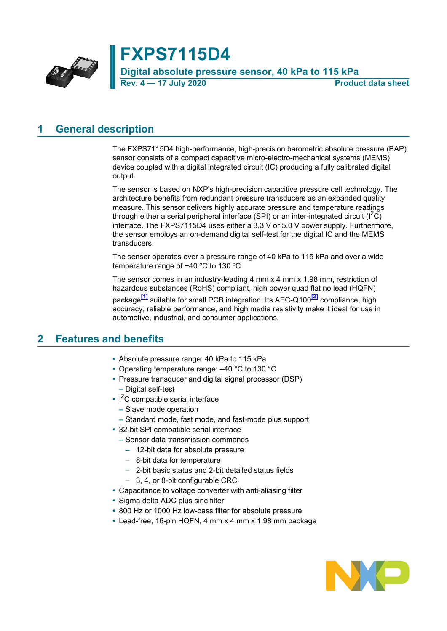

**FXPS7115D4 Digital absolute pressure sensor, 40 kPa to 115 kPa Rev. 4 — 17 July 2020 Product data sheet**

### **1 General description**

The FXPS7115D4 high-performance, high-precision barometric absolute pressure (BAP) sensor consists of a compact capacitive micro-electro-mechanical systems (MEMS) device coupled with a digital integrated circuit (IC) producing a fully calibrated digital output.

The sensor is based on NXP's high-precision capacitive pressure cell technology. The architecture benefits from redundant pressure transducers as an expanded quality measure. This sensor delivers highly accurate pressure and temperature readings through either a serial peripheral interface (SPI) or an inter-integrated circuit ( $\binom{1^2}{1}$ ) interface. The FXPS7115D4 uses either a 3.3 V or 5.0 V power supply. Furthermore, the sensor employs an on-demand digital self-test for the digital IC and the MEMS transducers.

The sensor operates over a pressure range of 40 kPa to 115 kPa and over a wide temperature range of −40 ºC to 130 ºC.

The sensor comes in an industry-leading 4 mm x 4 mm x 1.98 mm, restriction of hazardous substances (RoHS) compliant, high power quad flat no lead (HQFN) package**[\[1\]](#page-64-0)** suitable for small PCB integration. Its AEC-Q100**[\[2\]](#page-64-1)** compliance, high accuracy, reliable performance, and high media resistivity make it ideal for use in automotive, industrial, and consumer applications.

### **2 Features and benefits**

- **•** Absolute pressure range: 40 kPa to 115 kPa
- **•** Operating temperature range: –40 °C to 130 °C
- **•** Pressure transducer and digital signal processor (DSP) **–** Digital self-test
- **•** I <sup>2</sup>C compatible serial interface
	- **–** Slave mode operation
- **–** Standard mode, fast mode, and fast-mode plus support
- **•** 32-bit SPI compatible serial interface
	- **–** Sensor data transmission commands
		- 12-bit data for absolute pressure
		- 8-bit data for temperature
		- 2-bit basic status and 2-bit detailed status fields
		- 3, 4, or 8-bit configurable CRC
- **•** Capacitance to voltage converter with anti-aliasing filter
- **•** Sigma delta ADC plus sinc filter
- **•** 800 Hz or 1000 Hz low-pass filter for absolute pressure
- **•** Lead-free, 16-pin HQFN, 4 mm x 4 mm x 1.98 mm package

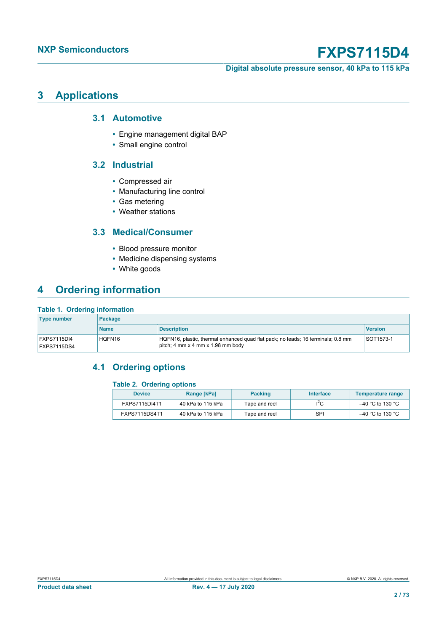**Digital absolute pressure sensor, 40 kPa to 115 kPa**

### **3 Applications**

### **3.1 Automotive**

- **•** Engine management digital BAP
- **•** Small engine control

### **3.2 Industrial**

- **•** Compressed air
- **•** Manufacturing line control
- **•** Gas metering
- **•** Weather stations

### **3.3 Medical/Consumer**

- **•** Blood pressure monitor
- **•** Medicine dispensing systems
- **•** White goods

## **4 Ordering information**

#### **Table 1. Ordering information**

| <b>Type number</b>         | Package     |                                                                                                                                     |                |  |  |  |  |  |  |
|----------------------------|-------------|-------------------------------------------------------------------------------------------------------------------------------------|----------------|--|--|--|--|--|--|
|                            | <b>Name</b> | <b>Description</b>                                                                                                                  | <b>Version</b> |  |  |  |  |  |  |
| FXPS7115DI4<br>FXPS7115DS4 | HQFN16      | HQFN16, plastic, thermal enhanced quad flat pack; no leads; 16 terminals; 0.8 mm<br>pitch; 4 mm $\times$ 4 mm $\times$ 1.98 mm body | SOT1573-1      |  |  |  |  |  |  |

### **4.1 Ordering options**

#### **Table 2. Ordering options**

| <b>Device</b> | Range [kPa]       | <b>Packing</b> | <b>Interface</b> | Temperature range |
|---------------|-------------------|----------------|------------------|-------------------|
| FXPS7115DI4T1 | 40 kPa to 115 kPa | Tape and reel  | ١ć               | –40 °C to 130 °C  |
| FXPS7115DS4T1 | 40 kPa to 115 kPa | Tape and reel  | SPI              | –40 °C to 130 °C  |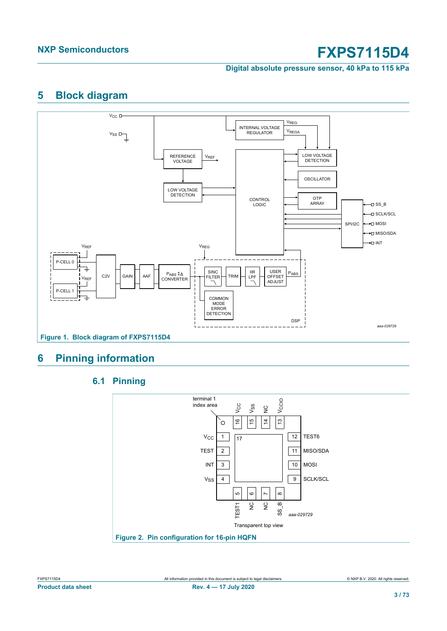**Digital absolute pressure sensor, 40 kPa to 115 kPa**

## **5 Block diagram**



## **6 Pinning information**



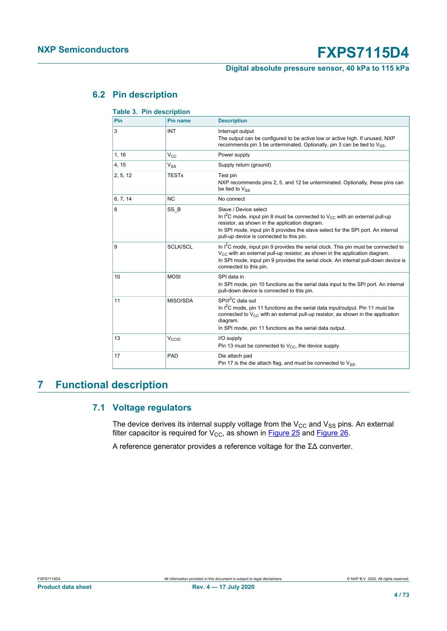### **Digital absolute pressure sensor, 40 kPa to 115 kPa**

### **6.2 Pin description**

| Pin      | Pin name        | <b>Description</b>                                                                                                                                                                                                                                                                            |
|----------|-----------------|-----------------------------------------------------------------------------------------------------------------------------------------------------------------------------------------------------------------------------------------------------------------------------------------------|
| 3        | INT             | Interrupt output<br>The output can be configured to be active low or active high. If unused, NXP<br>recommends pin 3 be unterminated. Optionally, pin 3 can be tied to $V_{SS}$ .                                                                                                             |
| 1, 16    | $V_{C}$         | Power supply                                                                                                                                                                                                                                                                                  |
| 4, 15    | $V_{SS}$        | Supply return (ground)                                                                                                                                                                                                                                                                        |
| 2, 5, 12 | <b>TESTx</b>    | Test pin<br>NXP recommends pins 2, 5, and 12 be unterminated. Optionally, these pins can<br>be tied to $V_{SS}$                                                                                                                                                                               |
| 6, 7, 14 | <b>NC</b>       | No connect                                                                                                                                                                                                                                                                                    |
| 8        | SS B            | Slave / Device select<br>In $I^2C$ mode, input pin 8 must be connected to $V_{CC}$ with an external pull-up<br>resistor, as shown in the application diagram.<br>In SPI mode, input pin 8 provides the slave select for the SPI port. An internal<br>pull-up device is connected to this pin. |
| 9        | <b>SCLK/SCL</b> | In $I^2C$ mode, input pin 9 provides the serial clock. This pin must be connected to<br>$V_{CC}$ with an external pull-up resistor, as shown in the application diagram.<br>In SPI mode, input pin 9 provides the serial clock. An internal pull-down device is<br>connected to this pin.     |
| 10       | <b>MOSI</b>     | SPI data in<br>In SPI mode, pin 10 functions as the serial data input to the SPI port. An internal<br>pull-down device is connected to this pin.                                                                                                                                              |
| 11       | MISO/SDA        | SPI/I <sup>2</sup> C data out<br>In I <sup>2</sup> C mode, pin 11 functions as the serial data input/output. Pin 11 must be<br>connected to $V_{CC}$ with an external pull-up resistor, as shown in the application<br>diagram.<br>In SPI mode, pin 11 functions as the serial data output.   |
| 13       | Vccio           | I/O supply<br>Pin 13 must be connected to $V_{CC}$ , the device supply.                                                                                                                                                                                                                       |
| 17       | PAD             | Die attach pad<br>Pin 17 is the die attach flag, and must be connected to $V_{SS}$ .                                                                                                                                                                                                          |

## **Table 3. Pin description**

## **7 Functional description**

### **7.1 Voltage regulators**

<span id="page-3-0"></span>The device derives its internal supply voltage from the  $V_{CC}$  and  $V_{SS}$  pins. An external filter capacitor is required for  $V_{CC}$ , as shown in [Figure 25](#page-59-0) and [Figure 26](#page-60-0).

A reference generator provides a reference voltage for the ΣΔ converter.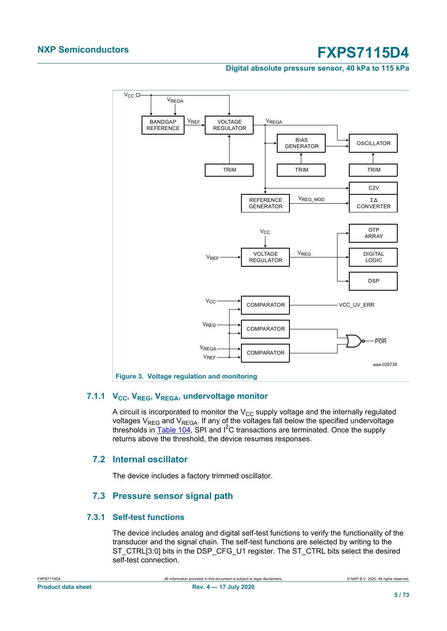#### **Digital absolute pressure sensor, 40 kPa to 115 kPa**



### **7.1.1 VCC, VREG, VREGA, undervoltage monitor**

A circuit is incorporated to monitor the  $V_{CC}$  supply voltage and the internally regulated voltages  $V_{REG}$  and  $V_{REGA}$ . If any of the voltages fall below the specified undervoltage thresholds in  $\overline{\text{Table 104}}$ , SPI and  $\overline{\text{1}^2}$ C transactions are terminated. Once the supply returns above the threshold, the device resumes responses.

### **7.2 Internal oscillator**

The device includes a factory trimmed oscillator.

### **7.3 Pressure sensor signal path**

### **7.3.1 Self-test functions**

The device includes analog and digital self-test functions to verify the functionality of the transducer and the signal chain. The self-test functions are selected by writing to the ST\_CTRL[3:0] bits in the DSP\_CFG\_U1 register. The ST\_CTRL bits select the desired self-test connection.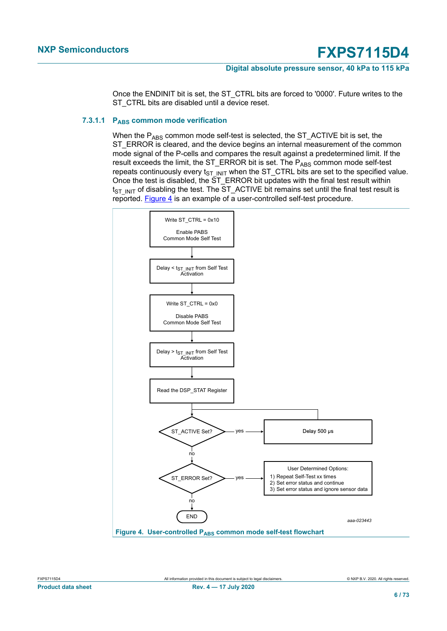#### **Digital absolute pressure sensor, 40 kPa to 115 kPa**

Once the ENDINIT bit is set, the ST\_CTRL bits are forced to '0000'. Future writes to the ST\_CTRL bits are disabled until a device reset.

#### **7.3.1.1 P**<sub>ABS</sub> common mode verification

When the  $P_{ARS}$  common mode self-test is selected, the ST\_ACTIVE bit is set, the ST\_ERROR is cleared, and the device begins an internal measurement of the common mode signal of the P-cells and compares the result against a predetermined limit. If the result exceeds the limit, the ST\_ERROR bit is set. The PABS common mode self-test repeats continuously every  $t_{ST}$  INIT when the ST\_CTRL bits are set to the specified value. Once the test is disabled, the ST\_ERROR bit updates with the final test result within  $t_{ST\;INIT}$  of disabling the test. The ST\_ACTIVE bit remains set until the final test result is reported. Figure  $\frac{4}{1}$  is an example of a user-controlled self-test procedure.

<span id="page-5-0"></span>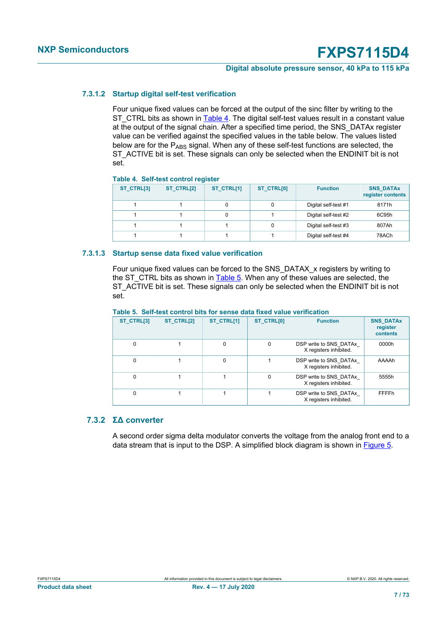#### **Digital absolute pressure sensor, 40 kPa to 115 kPa**

#### **7.3.1.2 Startup digital self-test verification**

Four unique fixed values can be forced at the output of the sinc filter by writing to the ST\_CTRL bits as shown in [Table 4](#page-6-0). The digital self-test values result in a constant value at the output of the signal chain. After a specified time period, the SNS\_DATAx register value can be verified against the specified values in the table below. The values listed below are for the  $P_{\text{ARS}}$  signal. When any of these self-test functions are selected, the ST\_ACTIVE bit is set. These signals can only be selected when the ENDINIT bit is not set.

#### <span id="page-6-0"></span>**Table 4. Self-test control register**

| ST_CTRL[3] | ST_CTRL[2] | ST_CTRL[1] | ST_CTRL[0] | <b>Function</b>      | <b>SNS_DATAx</b><br>register contents |
|------------|------------|------------|------------|----------------------|---------------------------------------|
|            |            |            |            | Digital self-test #1 | 8171h                                 |
|            |            |            |            | Digital self-test #2 | 6C95h                                 |
|            |            |            |            | Digital self-test #3 | 807Ah                                 |
|            |            |            |            | Digital self-test #4 | 78ACh                                 |

#### **7.3.1.3 Startup sense data fixed value verification**

Four unique fixed values can be forced to the SNS\_DATAX\_x registers by writing to the ST\_CTRL bits as shown in  $Table 5$ . When any of these values are selected, the ST\_ACTIVE bit is set. These signals can only be selected when the ENDINIT bit is not set.

#### <span id="page-6-1"></span>**Table 5. Self-test control bits for sense data fixed value verification**

| ST_CTRL[3] | ST_CTRL[2] | ST_CTRL[1]  | <b>ST CTRL[0]</b>                                            | <b>Function</b>                                  | <b>SNS DATAX</b><br>register<br>contents |
|------------|------------|-------------|--------------------------------------------------------------|--------------------------------------------------|------------------------------------------|
| $\Omega$   |            | $\mathbf 0$ | $\Omega$<br>DSP write to SNS DATAx<br>X registers inhibited. |                                                  | 0000h                                    |
| $\Omega$   |            | $\mathbf 0$ |                                                              | DSP write to SNS DATAx<br>X registers inhibited. | AAAAh                                    |
| $\Omega$   |            |             | $\Omega$                                                     | DSP write to SNS DATAx<br>X registers inhibited. | 5555h                                    |
| $\Omega$   |            |             |                                                              | DSP write to SNS DATAx<br>X registers inhibited. | FFFFh                                    |

### **7.3.2 ΣΔ converter**

A second order sigma delta modulator converts the voltage from the analog front end to a data stream that is input to the DSP. A simplified block diagram is shown in [Figure 5.](#page-7-0)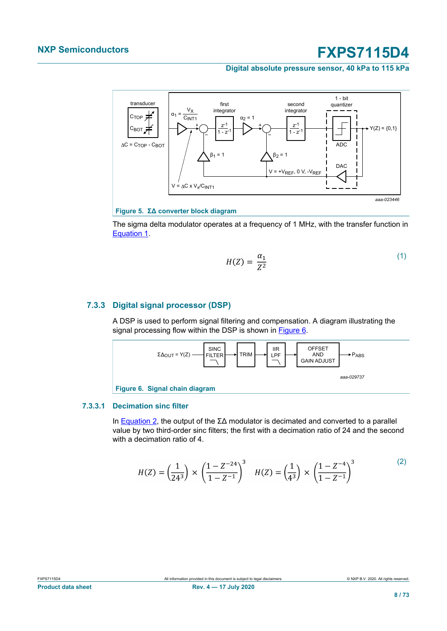#### **Digital absolute pressure sensor, 40 kPa to 115 kPa**

<span id="page-7-0"></span>

### **Figure 5. ΣΔ converter block diagram**

<span id="page-7-1"></span>The sigma delta modulator operates at a frequency of 1 MHz, with the transfer function in [Equation 1.](#page-7-1)

$$
H(Z) = \frac{\alpha_1}{Z^2} \tag{1}
$$

### **7.3.3 Digital signal processor (DSP)**

A DSP is used to perform signal filtering and compensation. A diagram illustrating the signal processing flow within the DSP is shown in [Figure 6.](#page-7-2)

<span id="page-7-2"></span>

#### **7.3.3.1 Decimation sinc filter**

In [Equation 2,](#page-7-3) the output of the  $\Sigma\Delta$  modulator is decimated and converted to a parallel value by two third-order sinc filters; the first with a decimation ratio of 24 and the second with a decimation ratio of 4.

<span id="page-7-3"></span>
$$
H(Z) = \left(\frac{1}{24^3}\right) \times \left(\frac{1 - Z^{-24}}{1 - Z^{-1}}\right)^3 \quad H(Z) = \left(\frac{1}{4^3}\right) \times \left(\frac{1 - Z^{-4}}{1 - Z^{-1}}\right)^3 \tag{2}
$$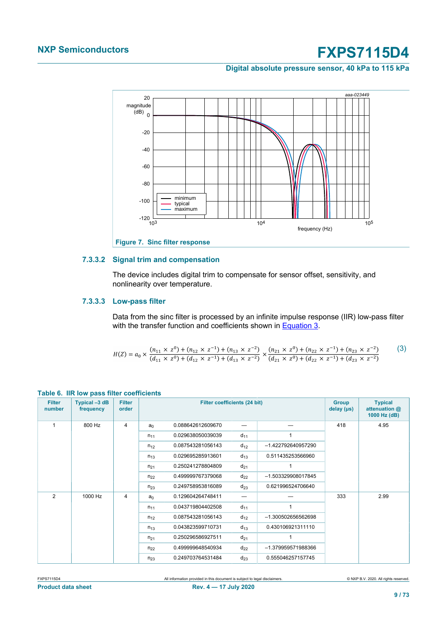#### **Digital absolute pressure sensor, 40 kPa to 115 kPa**



#### **7.3.3.2 Signal trim and compensation**

The device includes digital trim to compensate for sensor offset, sensitivity, and nonlinearity over temperature.

#### **7.3.3.3 Low-pass filter**

Data from the sinc filter is processed by an infinite impulse response (IIR) low-pass filter with the transfer function and coefficients shown in [Equation 3.](#page-8-0)

<span id="page-8-0"></span>
$$
H(Z) = a_0 \times \frac{(n_{11} \times z^0) + (n_{12} \times z^{-1}) + (n_{13} \times z^{-2})}{(d_{11} \times z^0) + (d_{12} \times z^{-1}) + (d_{13} \times z^{-2})} \times \frac{(n_{21} \times z^0) + (n_{22} \times z^{-1}) + (n_{23} \times z^{-2})}{(d_{21} \times z^0) + (d_{22} \times z^{-1}) + (d_{23} \times z^{-2})}
$$
(3)

| <b>Filter</b><br>number | Typical -3 dB<br>frequency | <b>Filter</b><br>order |          | <b>Filter coefficients (24 bit)</b> | <b>Group</b><br>delay (µs) | <b>Typical</b><br>attenuation @<br>1000 Hz (dB) |     |      |
|-------------------------|----------------------------|------------------------|----------|-------------------------------------|----------------------------|-------------------------------------------------|-----|------|
| 1                       | 800 Hz                     | $\overline{4}$         | $a_0$    | 0.088642612609670                   |                            |                                                 | 418 | 4.95 |
|                         |                            |                        | $n_{11}$ | 0.029638050039039                   | $d_{11}$                   |                                                 |     |      |
|                         |                            |                        | $n_{12}$ | 0.087543281056143                   | $d_{12}$                   | -1.422792640957290                              |     |      |
|                         |                            |                        | $n_{13}$ | 0.029695285913601                   | $d_{13}$                   | 0.511435253566960                               |     |      |
|                         |                            |                        | $n_{21}$ | 0.250241278804809                   | $d_{21}$                   |                                                 |     |      |
|                         |                            |                        | $n_{22}$ | 0.499999767379068                   | $d_{22}$                   | -1.503329908017845                              |     |      |
|                         |                            |                        | $n_{23}$ | 0.249758953816089                   | $d_{23}$                   | 0.621996524706640                               |     |      |
| $\overline{2}$          | 1000 Hz                    | $\overline{4}$         | $a_0$    | 0.129604264748411                   | —                          |                                                 | 333 | 2.99 |
|                         |                            |                        | $n_{11}$ | 0.043719804402508                   | $d_{11}$                   |                                                 |     |      |
|                         |                            |                        | $n_{12}$ | 0.087543281056143                   | $d_{12}$                   | -1.300502656562698                              |     |      |
|                         |                            |                        | $n_{13}$ | 0.043823599710731                   | $d_{13}$                   | 0.430106921311110                               |     |      |
|                         |                            |                        | $n_{21}$ | 0.250296586927511                   | $d_{21}$                   |                                                 |     |      |
|                         |                            |                        | $n_{22}$ | 0.499999648540934                   | $d_{22}$                   | -1.379959571988366                              |     |      |
|                         |                            |                        | $n_{23}$ | 0.249703764531484                   | $d_{23}$                   | 0.555046257157745                               |     |      |

#### **Table 6. IIR low pass filter coefficients**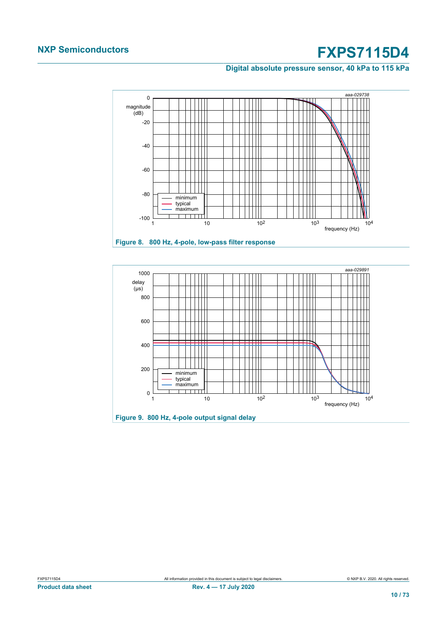**Digital absolute pressure sensor, 40 kPa to 115 kPa**



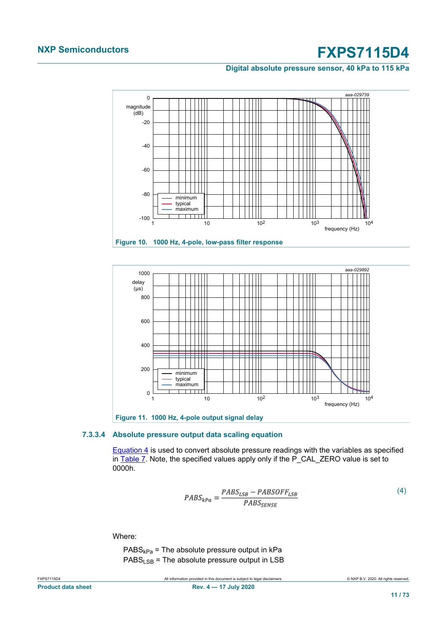**Digital absolute pressure sensor, 40 kPa to 115 kPa**





#### **7.3.3.4 Absolute pressure output data scaling equation**

<span id="page-10-0"></span>[Equation 4](#page-10-0) is used to convert absolute pressure readings with the variables as specified in [Table 7.](#page-11-0) Note, the specified values apply only if the P\_CAL\_ZERO value is set to 0000h.

$$
PABS_{kPa} = \frac{PABS_{LSB} - PABSOFF_{LSB}}{PABS_{SENSE}}\tag{4}
$$

Where:

 $PABS<sub>kPa</sub>$  = The absolute pressure output in kPa  $PABS_{LSB}$  = The absolute pressure output in LSB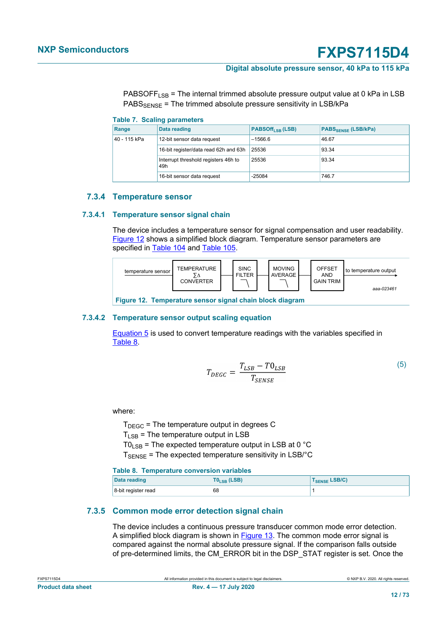#### **Digital absolute pressure sensor, 40 kPa to 115 kPa**

PABSOFF<sub>LSB</sub> = The internal trimmed absolute pressure output value at 0 kPa in LSB  $PABS_{SPNSF}$  = The trimmed absolute pressure sensitivity in LSB/kPa

<span id="page-11-0"></span>

| <b>Table 7. Scaling parameters</b> |  |  |  |  |  |  |  |
|------------------------------------|--|--|--|--|--|--|--|
|------------------------------------|--|--|--|--|--|--|--|

| Range        | Data reading                                | <b>PABSOff<sub>LSB</sub></b> (LSB) | <b>PABSSENSE (LSB/kPa)</b> |
|--------------|---------------------------------------------|------------------------------------|----------------------------|
| 40 - 115 kPa | 12-bit sensor data request                  | $-1566.6$                          | 46.67                      |
|              | 16-bit register/data read 62h and 63h       | 25536                              | 93.34                      |
|              | Interrupt threshold registers 46h to<br>49h | 25536                              | 93.34                      |
|              | 16-bit sensor data request                  | $-25084$                           | 746.7                      |

#### **7.3.4 Temperature sensor**

#### **7.3.4.1 Temperature sensor signal chain**

The device includes a temperature sensor for signal compensation and user readability. [Figure 12](#page-11-1) shows a simplified block diagram. Temperature sensor parameters are specified in [Table 104](#page-54-0) and [Table 105.](#page-55-0)

<span id="page-11-1"></span>

| temperature sensor | <b>TEMPERATURE</b><br><b>CONVERTER</b> |  | <b>SINC</b><br><b>FILTER</b> |  | <b>MOVING</b><br><b>AVERAGE</b> |  | OFFSET<br>AND<br><b>GAIN TRIM</b> | to temperature output<br>aaa-023461 |
|--------------------|----------------------------------------|--|------------------------------|--|---------------------------------|--|-----------------------------------|-------------------------------------|
|--------------------|----------------------------------------|--|------------------------------|--|---------------------------------|--|-----------------------------------|-------------------------------------|

**Figure 12. Temperature sensor signal chain block diagram**

#### **7.3.4.2 Temperature sensor output scaling equation**

<span id="page-11-2"></span>[Equation 5](#page-11-2) is used to convert temperature readings with the variables specified in [Table 8](#page-11-3).

$$
T_{DEGC} = \frac{T_{LSB} - T0_{LSB}}{T_{SENSE}}\tag{5}
$$

where:

 $T_{DEGC}$  = The temperature output in degrees C

 $T_{LSB}$  = The temperature output in LSB

 $TO<sub>LSB</sub>$  = The expected temperature output in LSB at 0 °C

 $T_{\text{SENSE}}$  = The expected temperature sensitivity in LSB/°C

#### <span id="page-11-3"></span>**Table 8. Temperature conversion variables**

| Data reading        | $TOLSB$ (LSB) | <b>TSENSE LSB/C)</b> |
|---------------------|---------------|----------------------|
| 8-bit register read | 68            |                      |

#### **7.3.5 Common mode error detection signal chain**

The device includes a continuous pressure transducer common mode error detection. A simplified block diagram is shown in  $Figure 13$ . The common mode error signal is compared against the normal absolute pressure signal. If the comparison falls outside of pre-determined limits, the CM\_ERROR bit in the DSP\_STAT register is set. Once the

| <b>Product data sheet</b> |  |  |
|---------------------------|--|--|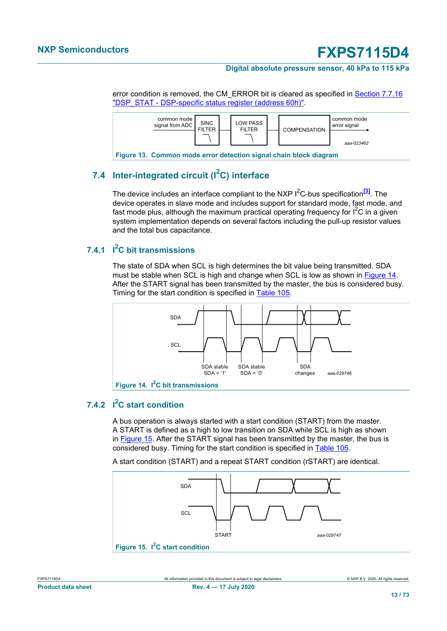#### **Digital absolute pressure sensor, 40 kPa to 115 kPa**

error condition is removed, the CM\_ERROR bit is cleared as specified in **[Section 7.7.16](#page-45-0)** ["DSP\\_STAT - DSP-specific status register \(address 60h\)".](#page-45-0)

<span id="page-12-0"></span>

## **7.4 Inter-integrated circuit (I2C) interface**

The device includes an interface compliant to the NXP I<sup>2</sup>C-bus specification<sup>[\[3\]](#page-64-2)</sup>. The device operates in slave mode and includes support for standard mode, fast mode, and fast mode plus, although the maximum practical operating frequency for  $I^2C$  in a given system implementation depends on several factors including the pull-up resistor values and the total bus capacitance.

### **7.4.1 I <sup>2</sup>C bit transmissions**

The state of SDA when SCL is high determines the bit value being transmitted. SDA must be stable when SCL is high and change when SCL is low as shown in [Figure 14.](#page-12-1) After the START signal has been transmitted by the master, the bus is considered busy. Timing for the start condition is specified in [Table 105](#page-55-0).

<span id="page-12-1"></span>

### **7.4.2 I <sup>2</sup>C start condition**

A bus operation is always started with a start condition (START) from the master. A START is defined as a high to low transition on SDA while SCL is high as shown in [Figure 15.](#page-12-2) After the START signal has been transmitted by the master, the bus is considered busy. Timing for the start condition is specified in [Table 105](#page-55-0).

A start condition (START) and a repeat START condition (rSTART) are identical.

<span id="page-12-2"></span>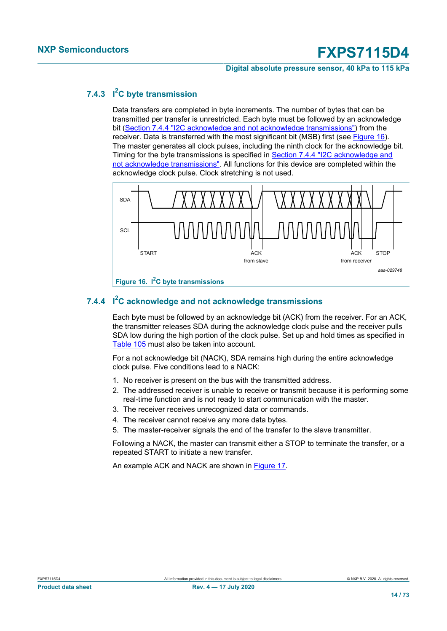#### **Digital absolute pressure sensor, 40 kPa to 115 kPa**

### **7.4.3 I <sup>2</sup>C byte transmission**

Data transfers are completed in byte increments. The number of bytes that can be transmitted per transfer is unrestricted. Each byte must be followed by an acknowledge bit ([Section 7.4.4 "I2C acknowledge and not acknowledge transmissions"\)](#page-13-0) from the receiver. Data is transferred with the most significant bit (MSB) first (see [Figure 16\)](#page-13-1). The master generates all clock pulses, including the ninth clock for the acknowledge bit. Timing for the byte transmissions is specified in [Section 7.4.4 "I2C acknowledge and](#page-13-0) [not acknowledge transmissions"](#page-13-0). All functions for this device are completed within the acknowledge clock pulse. Clock stretching is not used.

<span id="page-13-1"></span>

### **7.4.4 I <sup>2</sup>C acknowledge and not acknowledge transmissions**

<span id="page-13-0"></span>Each byte must be followed by an acknowledge bit (ACK) from the receiver. For an ACK, the transmitter releases SDA during the acknowledge clock pulse and the receiver pulls SDA low during the high portion of the clock pulse. Set up and hold times as specified in [Table 105](#page-55-0) must also be taken into account.

For a not acknowledge bit (NACK), SDA remains high during the entire acknowledge clock pulse. Five conditions lead to a NACK:

- 1. No receiver is present on the bus with the transmitted address.
- 2. The addressed receiver is unable to receive or transmit because it is performing some real-time function and is not ready to start communication with the master.
- 3. The receiver receives unrecognized data or commands.
- 4. The receiver cannot receive any more data bytes.
- 5. The master-receiver signals the end of the transfer to the slave transmitter.

Following a NACK, the master can transmit either a STOP to terminate the transfer, or a repeated START to initiate a new transfer.

An example ACK and NACK are shown in [Figure 17](#page-14-0).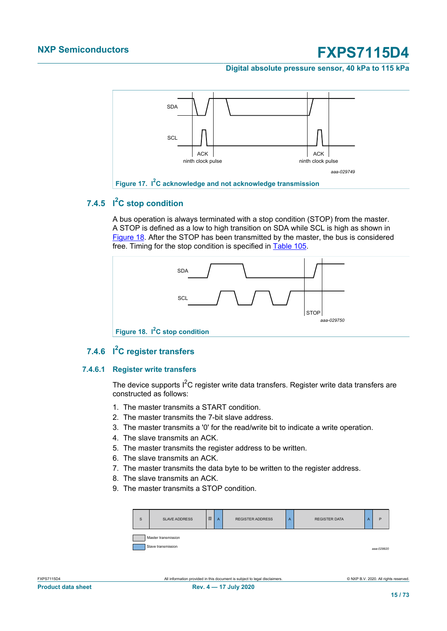**Digital absolute pressure sensor, 40 kPa to 115 kPa**

<span id="page-14-0"></span>

### **7.4.5 I <sup>2</sup>C stop condition**

A bus operation is always terminated with a stop condition (STOP) from the master. A STOP is defined as a low to high transition on SDA while SCL is high as shown in [Figure 18](#page-14-1). After the STOP has been transmitted by the master, the bus is considered free. Timing for the stop condition is specified in [Table 105](#page-55-0).

<span id="page-14-1"></span>

### **7.4.6 I <sup>2</sup>C register transfers**

### **7.4.6.1 Register write transfers**

The device supports  $I^2C$  register write data transfers. Register write data transfers are constructed as follows:

- 1. The master transmits a START condition.
- 2. The master transmits the 7-bit slave address.
- 3. The master transmits a '0' for the read/write bit to indicate a write operation.
- 4. The slave transmits an ACK.
- 5. The master transmits the register address to be written.
- 6. The slave transmits an ACK.
- 7. The master transmits the data byte to be written to the register address.
- 8. The slave transmits an ACK.
- 9. The master transmits a STOP condition.

| S | <b>SLAVE ADDRESS</b> | $\overline{W}$ | A | <b>REGISTER ADDRESS</b> | A | <b>REGISTER DATA</b> | A | P          |  |  |  |
|---|----------------------|----------------|---|-------------------------|---|----------------------|---|------------|--|--|--|
|   | Master transmission  |                |   |                         |   |                      |   |            |  |  |  |
|   | Slave transmission   |                |   |                         |   |                      |   | ааа-029920 |  |  |  |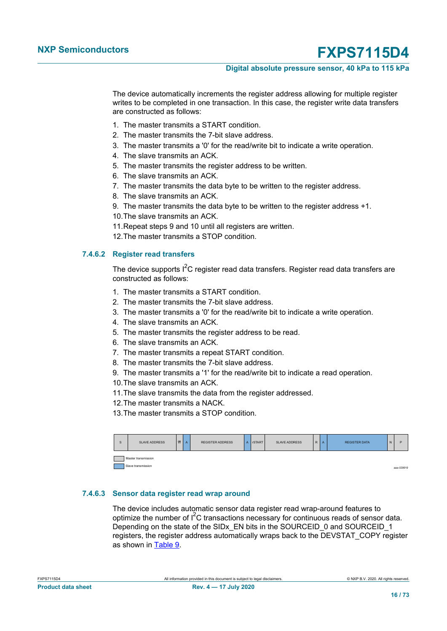#### **Digital absolute pressure sensor, 40 kPa to 115 kPa**

The device automatically increments the register address allowing for multiple register writes to be completed in one transaction. In this case, the register write data transfers are constructed as follows:

- 1. The master transmits a START condition.
- 2. The master transmits the 7-bit slave address.
- 3. The master transmits a '0' for the read/write bit to indicate a write operation.
- 4. The slave transmits an ACK.
- 5. The master transmits the register address to be written.
- 6. The slave transmits an ACK.
- 7. The master transmits the data byte to be written to the register address.
- 8. The slave transmits an ACK.
- 9. The master transmits the data byte to be written to the register address +1.
- 10.The slave transmits an ACK.
- 11.Repeat steps 9 and 10 until all registers are written.
- 12.The master transmits a STOP condition.

#### **7.4.6.2 Register read transfers**

The device supports I<sup>2</sup>C register read data transfers. Register read data transfers are constructed as follows:

- 1. The master transmits a START condition.
- 2. The master transmits the 7-bit slave address.
- 3. The master transmits a '0' for the read/write bit to indicate a write operation.
- 4. The slave transmits an ACK.
- 5. The master transmits the register address to be read.
- 6. The slave transmits an ACK.
- 7. The master transmits a repeat START condition.
- 8. The master transmits the 7-bit slave address.
- 9. The master transmits a '1' for the read/write bit to indicate a read operation.
- 10.The slave transmits an ACK.
- 11.The slave transmits the data from the register addressed.
- 12.The master transmits a NACK.
- 13.The master transmits a STOP condition.

| s | <b>SLAVE ADDRESS</b> | $\overline{w}$ | l A | <b>REGISTER ADDRESS</b> | A | <b>I</b> rSTART | <b>SLAVE ADDRESS</b> | R A | <b>REGISTER DATA</b> | N | P          |
|---|----------------------|----------------|-----|-------------------------|---|-----------------|----------------------|-----|----------------------|---|------------|
|   | Master transmission  |                |     |                         |   |                 |                      |     |                      |   |            |
|   | Slave transmission   |                |     |                         |   |                 |                      |     |                      |   | aaa-029919 |

#### **7.4.6.3 Sensor data register read wrap around**

The device includes automatic sensor data register read wrap-around features to optimize the number of  $I^2C$  transactions necessary for continuous reads of sensor data. Depending on the state of the SIDx EN bits in the SOURCEID 0 and SOURCEID 1 registers, the register address automatically wraps back to the DEVSTAT\_COPY register as shown in [Table 9.](#page-16-0)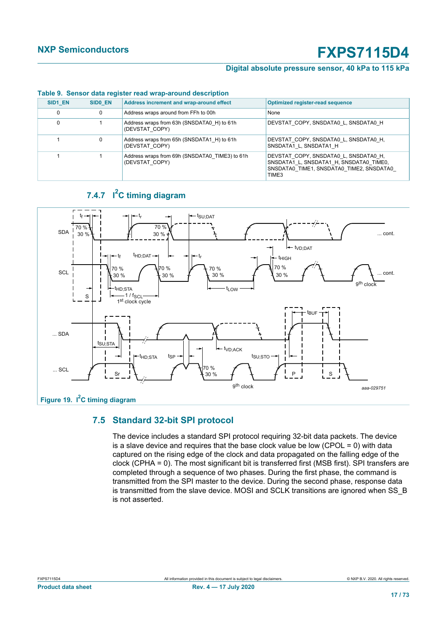#### **Digital absolute pressure sensor, 40 kPa to 115 kPa**

<span id="page-16-0"></span>

| SID1 EN | SIDO EN | Address increment and wrap-around effect                         | <b>Optimized register-read sequence</b>                                                                                               |
|---------|---------|------------------------------------------------------------------|---------------------------------------------------------------------------------------------------------------------------------------|
|         | 0       | Address wraps around from FFh to 00h                             | None                                                                                                                                  |
|         |         | Address wraps from 63h (SNSDATA0 H) to 61h<br>(DEVSTAT COPY)     | DEVSTAT COPY, SNSDATA0 L, SNSDATA0 H                                                                                                  |
|         | 0       | Address wraps from 65h (SNSDATA1 H) to 61h<br>(DEVSTAT COPY)     | DEVSTAT COPY, SNSDATA0 L, SNSDATA0 H,<br>SNSDATA1 L, SNSDATA1 H                                                                       |
|         |         | Address wraps from 69h (SNSDATA0 TIME3) to 61h<br>(DEVSTAT COPY) | DEVSTAT COPY, SNSDATA0 L, SNSDATA0 H,<br>SNSDATA1 L, SNSDATA1 H, SNSDATA0 TIME0,<br>SNSDATA0 TIME1, SNSDATA0 TIME2, SNSDATA0<br>TIME3 |

#### **Table 9. Sensor data register read wrap-around description**

### **7.4.7 I <sup>2</sup>C timing diagram**



### **7.5 Standard 32-bit SPI protocol**

The device includes a standard SPI protocol requiring 32-bit data packets. The device is a slave device and requires that the base clock value be low (CPOL = 0) with data captured on the rising edge of the clock and data propagated on the falling edge of the clock (CPHA = 0). The most significant bit is transferred first (MSB first). SPI transfers are completed through a sequence of two phases. During the first phase, the command is transmitted from the SPI master to the device. During the second phase, response data is transmitted from the slave device. MOSI and SCLK transitions are ignored when SS\_B is not asserted.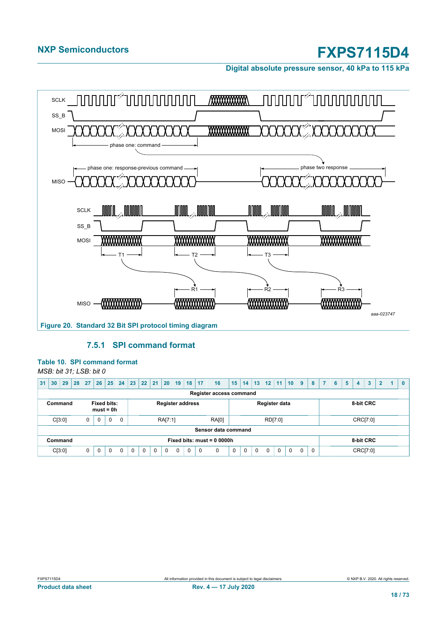**Digital absolute pressure sensor, 40 kPa to 115 kPa**



### **7.5.1 SPI command format**

#### **Table 10. SPI command format**

*MSB: bit 31; LSB: bit 0*

| 31 | 30      | 29 | 28 | 27          | 26                                | 25       | 24       | 23                                       | 22                                                    | 21       | $ 20\rangle$ | 19       | 18       | 17       | 16                             | 15 | 14       | 13 <sup>°</sup> | 12          | 11       | 10 <sup>1</sup> | $9^{\circ}$ | 8 | $\overline{7}$ | 6 | 5 | 4        | 3 | $\overline{2}$ | 1. | $\mathbf{0}$ |
|----|---------|----|----|-------------|-----------------------------------|----------|----------|------------------------------------------|-------------------------------------------------------|----------|--------------|----------|----------|----------|--------------------------------|----|----------|-----------------|-------------|----------|-----------------|-------------|---|----------------|---|---|----------|---|----------------|----|--------------|
|    |         |    |    |             |                                   |          |          |                                          |                                                       |          |              |          |          |          | <b>Register access command</b> |    |          |                 |             |          |                 |             |   |                |   |   |          |   |                |    |              |
|    | Command |    |    |             | <b>Fixed bits:</b><br>$must = 0h$ |          |          |                                          | Register data<br>8-bit CRC<br><b>Register address</b> |          |              |          |          |          |                                |    |          |                 |             |          |                 |             |   |                |   |   |          |   |                |    |              |
|    | C[3:0]  |    |    | $\mathbf 0$ | 0                                 | $\Omega$ | $\Omega$ |                                          | <b>RA[0]</b><br>RA[7:1]                               |          |              |          |          |          |                                |    |          |                 |             | RD[7:0]  |                 |             |   |                |   |   | CRC[7:0] |   |                |    |              |
|    |         |    |    |             |                                   |          |          |                                          |                                                       |          |              |          |          |          | Sensor data command            |    |          |                 |             |          |                 |             |   |                |   |   |          |   |                |    |              |
|    | Command |    |    |             |                                   |          |          | Fixed bits: $must = 00000h$<br>8-bit CRC |                                                       |          |              |          |          |          |                                |    |          |                 |             |          |                 |             |   |                |   |   |          |   |                |    |              |
|    | C[3:0]  |    |    | $\mathbf 0$ | $\Omega$                          | $\Omega$ | $\Omega$ | $\Omega$                                 | $\Omega$                                              | $\Omega$ | $\Omega$     | $\Omega$ | $\Omega$ | $\Omega$ | 0                              | 0  | $\Omega$ | $\Omega$        | $\mathbf 0$ | $\Omega$ | $\Omega$        | $\Omega$    | 0 |                |   |   | CRC[7:0] |   |                |    |              |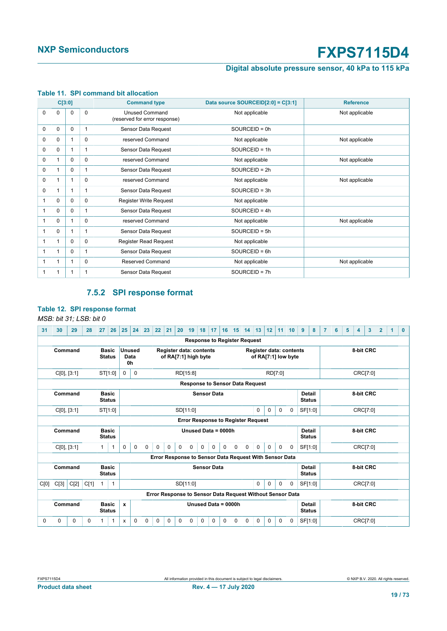### **Digital absolute pressure sensor, 40 kPa to 115 kPa**

|              | C[3:0]   |          |          | <b>Command type</b>                                    | Data source SOURCEID[2:0] = C[3:1] | <b>Reference</b> |
|--------------|----------|----------|----------|--------------------------------------------------------|------------------------------------|------------------|
| $\Omega$     | 0        | 0        | $\Omega$ | <b>Unused Command</b><br>(reserved for error response) | Not applicable                     | Not applicable   |
| $\Omega$     | $\Omega$ | $\Omega$ | 1        | Sensor Data Request                                    | $SOURCEID = 0h$                    |                  |
| $\Omega$     | 0        |          | $\Omega$ | reserved Command                                       | Not applicable                     | Not applicable   |
| $\Omega$     | 0        |          |          | Sensor Data Request                                    | $SOURCEID = 1h$                    |                  |
| $\Omega$     | 1        | 0        | $\Omega$ | reserved Command                                       | Not applicable                     | Not applicable   |
| 0            | 1        | 0        |          | Sensor Data Request                                    | $SOURCEID = 2h$                    |                  |
| $\Omega$     | 1        |          | $\Omega$ | reserved Command                                       | Not applicable                     | Not applicable   |
| $\Omega$     | 1        |          |          | Sensor Data Request                                    | $SOURCEID = 3h$                    |                  |
| 1            | 0        | 0        | $\Omega$ | Register Write Request                                 | Not applicable                     |                  |
| 1            | 0        | 0        |          | Sensor Data Request                                    | $SOURCEID = 4h$                    |                  |
| $\mathbf{1}$ | 0        |          | $\Omega$ | reserved Command                                       | Not applicable                     | Not applicable   |
| 1            | 0        |          | 1        | Sensor Data Request                                    | $SOURCEID = 5h$                    |                  |
| $\mathbf 1$  | 1        | $\Omega$ | $\Omega$ | <b>Register Read Request</b>                           | Not applicable                     |                  |
| $\mathbf 1$  | 1        | 0        |          | Sensor Data Request                                    | $SOURCEID = 6h$                    |                  |
| $\mathbf 1$  | 1        |          | $\Omega$ | <b>Reserved Command</b>                                | Not applicable                     | Not applicable   |
| 1            | 1        |          |          | Sensor Data Request                                    | SOURCEID = 7h                      |                  |

#### **Table 11. SPI command bit allocation**

### <span id="page-18-0"></span>**7.5.2 SPI response format**

### **Table 12. SPI response format**

#### *MSB: bit 31; LSB: bit 0*

| 31       | 30          | 29   | 28   | 27           | 26                            | 25           | 24                    | 23                                                                 | 22                                                                                                                                       | 21<br>20                                                  | 19       | 18       | 17                                     | 16       | 15       | 13<br>14                       | 12                  |         | 11       | 10 <sup>°</sup> | $\mathbf{9}$                   | 8       | 6 | 5 | 4 | 3         | $\overline{2}$ | 1 | $\mathbf{0}$ |
|----------|-------------|------|------|--------------|-------------------------------|--------------|-----------------------|--------------------------------------------------------------------|------------------------------------------------------------------------------------------------------------------------------------------|-----------------------------------------------------------|----------|----------|----------------------------------------|----------|----------|--------------------------------|---------------------|---------|----------|-----------------|--------------------------------|---------|---|---|---|-----------|----------------|---|--------------|
|          |             |      |      |              |                               |              |                       |                                                                    |                                                                                                                                          |                                                           |          |          | <b>Response to Register Request</b>    |          |          |                                |                     |         |          |                 |                                |         |   |   |   |           |                |   |              |
|          | Command     |      |      |              | <b>Basic</b><br><b>Status</b> | 0h           | <b>Unused</b><br>Data |                                                                    |                                                                                                                                          | <b>Register data: contents</b><br>of RA[7:1] high byte    |          |          |                                        |          |          | <b>Register data: contents</b> | of RA[7:1] low byte |         |          |                 |                                |         |   |   |   | 8-bit CRC |                |   |              |
|          | C[0], [3:1] |      |      |              | ST[1:0]                       | 0            | $\Omega$              |                                                                    |                                                                                                                                          |                                                           | RD[15:8] |          |                                        |          |          |                                |                     | RD[7:0] |          |                 |                                |         |   |   |   | CRC[7:0]  |                |   |              |
|          |             |      |      |              |                               |              |                       |                                                                    |                                                                                                                                          |                                                           |          |          | <b>Response to Sensor Data Request</b> |          |          |                                |                     |         |          |                 |                                |         |   |   |   |           |                |   |              |
|          | Command     |      |      |              | <b>Basic</b><br><b>Status</b> |              |                       |                                                                    |                                                                                                                                          |                                                           |          |          | <b>Sensor Data</b>                     |          |          |                                |                     |         |          |                 | <b>Detail</b><br><b>Status</b> |         |   |   |   | 8-bit CRC |                |   |              |
|          | C[0], [3:1] |      |      |              | ST[1:0]                       |              |                       | SF[1:0]<br>SD[11:0]<br>0<br>0<br>$\Omega$<br>0                     |                                                                                                                                          |                                                           |          |          |                                        |          |          |                                |                     |         |          |                 | CRC[7:0]                       |         |   |   |   |           |                |   |              |
|          |             |      |      |              |                               |              |                       | <b>Error Response to Register Request</b>                          |                                                                                                                                          |                                                           |          |          |                                        |          |          |                                |                     |         |          |                 |                                |         |   |   |   |           |                |   |              |
|          | Command     |      |      |              | <b>Basic</b><br><b>Status</b> |              |                       |                                                                    |                                                                                                                                          |                                                           |          |          | Unused Data = 0000h                    |          |          |                                |                     |         |          |                 | Detail<br><b>Status</b>        |         |   |   |   | 8-bit CRC |                |   |              |
|          | C[0], [3:1] |      |      | 1            | 1                             | $\mathbf 0$  | 0                     | $\mathbf 0$                                                        | $\mathbf 0$                                                                                                                              | $\Omega$<br>$\Omega$                                      | $\Omega$ | $\Omega$ | $\Omega$                               | $\Omega$ | $\Omega$ | $\Omega$<br>$\Omega$           | $\Omega$            |         | $\Omega$ | $\Omega$        |                                | SF[1:0] |   |   |   | CRC[7:0]  |                |   |              |
|          |             |      |      |              |                               |              |                       |                                                                    |                                                                                                                                          | Error Response to Sensor Data Request With Sensor Data    |          |          |                                        |          |          |                                |                     |         |          |                 |                                |         |   |   |   |           |                |   |              |
|          | Command     |      |      |              | <b>Basic</b><br><b>Status</b> |              |                       | <b>Sensor Data</b><br>Detail<br>8-bit CRC<br><b>Status</b>         |                                                                                                                                          |                                                           |          |          |                                        |          |          |                                |                     |         |          |                 |                                |         |   |   |   |           |                |   |              |
| C[0]     | C[3]        | C[2] | C[1] | $\mathbf{1}$ | $\mathbf{1}$                  |              |                       |                                                                    |                                                                                                                                          |                                                           | SD[11:0] |          |                                        |          |          | 0                              | $\Omega$            |         | $\Omega$ | $\Omega$        |                                | SF[1:0] |   |   |   | CRC[7:0]  |                |   |              |
|          |             |      |      |              |                               |              |                       |                                                                    |                                                                                                                                          | Error Response to Sensor Data Request Without Sensor Data |          |          |                                        |          |          |                                |                     |         |          |                 |                                |         |   |   |   |           |                |   |              |
|          | Command     |      |      |              | <b>Basic</b><br><b>Status</b> | $\mathbf{x}$ |                       | Unused Data = 0000h<br><b>Detail</b><br>8-bit CRC<br><b>Status</b> |                                                                                                                                          |                                                           |          |          |                                        |          |          |                                |                     |         |          |                 |                                |         |   |   |   |           |                |   |              |
| $\Omega$ | 0           | 0    | 0    | 1            | 1                             | X            | $\Omega$              | 0                                                                  | $\mathbf 0$<br>$\Omega$<br>$\Omega$<br>$\Omega$<br>0<br>SF[1:0]<br>CRC[7:0]<br>0<br>0<br>0<br>0<br>0<br>$\Omega$<br>$\Omega$<br>$\Omega$ |                                                           |          |          |                                        |          |          |                                |                     |         |          |                 |                                |         |   |   |   |           |                |   |              |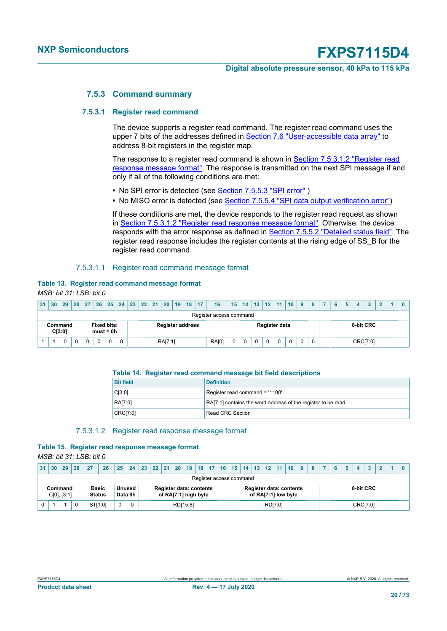#### **Digital absolute pressure sensor, 40 kPa to 115 kPa**

#### **7.5.3 Command summary**

#### **7.5.3.1 Register read command**

The device supports a register read command. The register read command uses the upper 7 bits of the addresses defined in [Section 7.6 "User-accessible data array"](#page-26-0) to address 8-bit registers in the register map.

The response to a register read command is shown in **Section 7.5.3.1.2 "Register read** [response message format"](#page-19-0). The response is transmitted on the next SPI message if and only if all of the following conditions are met:

- No SPI error is detected (see **Section 7.5.5.3 "SPI error"**)
- No MISO error is detected (see [Section 7.5.5.4 "SPI data output verification error"](#page-25-0))

If these conditions are met, the device responds to the register read request as shown in [Section 7.5.3.1.2 "Register read response message format".](#page-19-0) Otherwise, the device responds with the error response as defined in **Section 7.5.5.2 "Detailed status field"**. The register read response includes the register contents at the rising edge of SS\_B for the register read command.

#### 7.5.3.1.1 Register read command message format

#### **Table 13. Register read command message format** *MSB: bit 31; LSB: bit 0*

| 31 <sup>2</sup> | 30                | 29 | 28 <sup>1</sup> | 27 | 26 | 25                                | 24 | 23 | 22 21                                              |  | 20 19   |  | 18 | 17 | 16           | $15$   14   13   12   11 |   |  |   |               | 10 <sup>°</sup> | 9 | 8 |  | 5 | 4         | $\bullet$ |  |  |
|-----------------|-------------------|----|-----------------|----|----|-----------------------------------|----|----|----------------------------------------------------|--|---------|--|----|----|--------------|--------------------------|---|--|---|---------------|-----------------|---|---|--|---|-----------|-----------|--|--|
|                 |                   |    |                 |    |    |                                   |    |    | Register access command<br><b>Register address</b> |  |         |  |    |    |              |                          |   |  |   |               |                 |   |   |  |   |           |           |  |  |
|                 | Command<br>C[3:0] |    |                 |    |    | <b>Fixed bits:</b><br>$must = 0h$ |    |    |                                                    |  |         |  |    |    |              |                          |   |  |   | Register data |                 |   |   |  |   | 8-bit CRC |           |  |  |
|                 |                   |    |                 | 0  |    |                                   |    |    |                                                    |  | RA[7:1] |  |    |    | <b>RA[0]</b> | 0                        | 0 |  | 0 | 0             |                 | 0 | 0 |  |   | CRC[7:0]  |           |  |  |

#### **Table 14. Register read command message bit field descriptions**

| <b>Bit field</b> | <b>Definition</b>                                             |
|------------------|---------------------------------------------------------------|
| C[3:0]           | Register read command = '1100'                                |
| RA[7:0]          | RA[7:1] contains the word address of the register to be read. |
| CRC[7:0]         | Read CRC Section                                              |

#### <span id="page-19-0"></span>7.5.3.1.2 Register read response message format

## **Table 15. Register read response message format**

*MSB: bit 31; LSB: bit 0*

| 31 | 30      | 29          | 28 | 27           | 26      | 25       | 24                | 23 |                                                        |  |  | 22   21   20   19   18   17   16   15   14   13   12   11   10 |  |  |  |                         |  |         |                                                       | 9 | 8 |  |           |  |  |
|----|---------|-------------|----|--------------|---------|----------|-------------------|----|--------------------------------------------------------|--|--|----------------------------------------------------------------|--|--|--|-------------------------|--|---------|-------------------------------------------------------|---|---|--|-----------|--|--|
|    |         |             |    |              |         |          |                   |    |                                                        |  |  |                                                                |  |  |  | Register access command |  |         |                                                       |   |   |  |           |  |  |
|    | Command | C[0], [3:1] |    | <b>Basic</b> | Status  |          | Unused<br>Data 0h |    | <b>Register data: contents</b><br>of RA[7:1] high byte |  |  |                                                                |  |  |  |                         |  |         | <b>Register data: contents</b><br>of RA[7:1] low byte |   |   |  | 8-bit CRC |  |  |
|    |         |             |    |              | STI1:01 | $\Omega$ | $\Omega$          |    | RD[15:8]                                               |  |  |                                                                |  |  |  |                         |  | RD[7:0] |                                                       |   |   |  | CRC[7:0]  |  |  |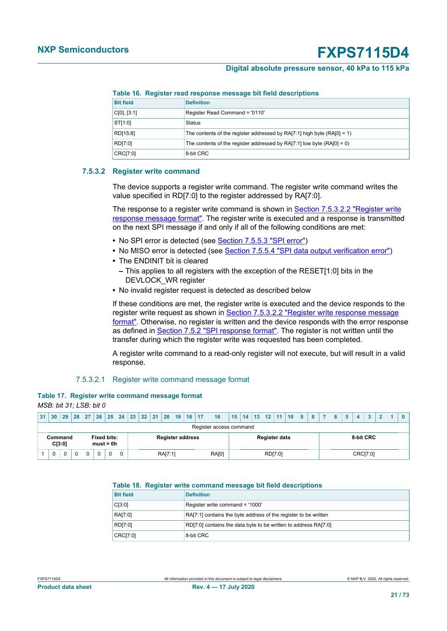#### **Digital absolute pressure sensor, 40 kPa to 115 kPa**

**Table 16. Register read response message bit field descriptions**

| <b>Bit field</b> | <b>Definition</b>                                                           |
|------------------|-----------------------------------------------------------------------------|
| C[0], [3:1]      | Register Read Command = '0110'                                              |
| ST[1:0]          | Status                                                                      |
| RD[15:8]         | The contents of the register addressed by $RA[7:1]$ high byte $(RA[0] = 1)$ |
| RD[7:0]          | The contents of the register addressed by RA $(7:1)$ low byte $(RA[0] = 0)$ |
| CRC[7:0]         | 8-bit CRC                                                                   |

#### **7.5.3.2 Register write command**

The device supports a register write command. The register write command writes the value specified in RDI7:01 to the register addressed by RAI7:01.

The response to a register write command is shown in [Section 7.5.3.2.2 "Register write](#page-21-0) [response message format"](#page-21-0). The register write is executed and a response is transmitted on the next SPI message if and only if all of the following conditions are met:

- **•** No SPI error is detected (see [Section 7.5.5.3 "SPI error"\)](#page-24-0)
- **•** No MISO error is detected (see [Section 7.5.5.4 "SPI data output verification error"](#page-25-0))
- **•** The ENDINIT bit is cleared
	- **–** This applies to all registers with the exception of the RESET[1:0] bits in the DEVLOCK\_WR register
- **•** No invalid register request is detected as described below

If these conditions are met, the register write is executed and the device responds to the register write request as shown in [Section 7.5.3.2.2 "Register write response message](#page-21-0) [format".](#page-21-0) Otherwise, no register is written and the device responds with the error response as defined in [Section 7.5.2 "SPI response format".](#page-18-0) The register is not written until the transfer during which the register write was requested has been completed.

A register write command to a read-only register will not execute, but will result in a valid response.

#### 7.5.3.2.1 Register write command message format

|                         |  | Table 17. Register write command message format |  |
|-------------------------|--|-------------------------------------------------|--|
| MSB: bit 31; LSB: bit 0 |  |                                                 |  |

| 31 | 30                | 29 |  |          |                                   | 28   27   26   25   24   23   22   21   20   19   18   17 |                                                       |  |         |  |  |  | 16           | $15$ 14 13 12 11 10 9 |  |  |         |  | 8 <sup>7</sup> | 6 | 5 | $\bullet$ | $\mathbf{\Omega}$ |  |  |
|----|-------------------|----|--|----------|-----------------------------------|-----------------------------------------------------------|-------------------------------------------------------|--|---------|--|--|--|--------------|-----------------------|--|--|---------|--|----------------|---|---|-----------|-------------------|--|--|
|    |                   |    |  |          |                                   |                                                           | Register access command                               |  |         |  |  |  |              |                       |  |  |         |  |                |   |   |           |                   |  |  |
|    | Command<br>C[3:0] |    |  |          | <b>Fixed bits:</b><br>$must = 0h$ |                                                           | 8-bit CRC<br>Register data<br><b>Register address</b> |  |         |  |  |  |              |                       |  |  |         |  |                |   |   |           |                   |  |  |
|    | $\mathbf 0$       | 0  |  | $\Omega$ |                                   |                                                           |                                                       |  | RA[7:1] |  |  |  | <b>RA[0]</b> |                       |  |  | RD[7:0] |  |                |   |   | CRC[7:0]  |                   |  |  |

#### **Table 18. Register write command message bit field descriptions**

| <b>Bit field</b> | <b>Definition</b>                                               |
|------------------|-----------------------------------------------------------------|
| C[3:0]           | Register write command = '1000'                                 |
| RA[7:0]          | RA[7:1] contains the byte address of the register to be written |
| RD[7:0]          | RD[7:0] contains the data byte to be written to address RA[7:0] |
| CRC[7:0]         | 8-bit CRC                                                       |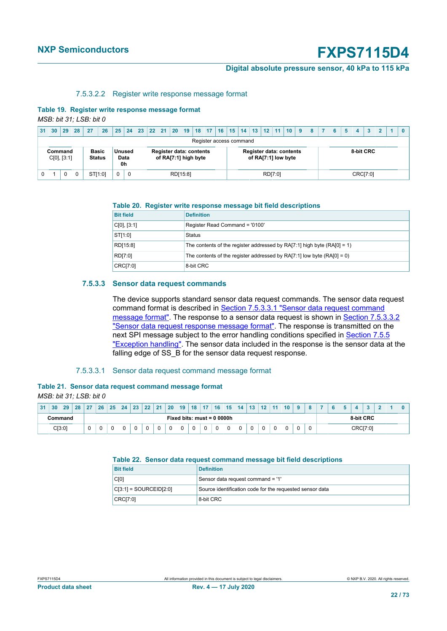#### **Digital absolute pressure sensor, 40 kPa to 115 kPa**

#### <span id="page-21-0"></span>7.5.3.2.2 Register write response message format

#### **Table 19. Register write response message format**

*MSB: bit 31; LSB: bit 0*

| 31 | 30                     | 29                                                                                                                    | 28       | 27            | 26 | 25          | 24          | 23 22 21 |  |                      |  |  |  |  |                     | │20 │19 │18 │17 │16 │15 │14 │13 │12 │11 │10 │ 9 | 8 | -6 | 5         | $\blacktriangle$ | 3 | $2^{\circ}$ |  |
|----|------------------------|-----------------------------------------------------------------------------------------------------------------------|----------|---------------|----|-------------|-------------|----------|--|----------------------|--|--|--|--|---------------------|-------------------------------------------------|---|----|-----------|------------------|---|-------------|--|
|    |                        | Register access command<br><b>Basic</b><br><b>Register data: contents</b><br><b>Register data: contents</b><br>Unused |          |               |    |             |             |          |  |                      |  |  |  |  |                     |                                                 |   |    |           |                  |   |             |  |
|    | Command<br>C[0], [3:1] |                                                                                                                       |          | <b>Status</b> | 0h | Data        |             |          |  | of RA[7:1] high byte |  |  |  |  | of RA[7:1] low byte |                                                 |   |    | 8-bit CRC |                  |   |             |  |
|    |                        |                                                                                                                       | $\Omega$ | STI1:01       |    | $\mathbf 0$ | $\mathbf 0$ |          |  | RD[15:8]             |  |  |  |  | RD[7:0]             |                                                 |   |    |           | CRC[7:0]         |   |             |  |

#### **Table 20. Register write response message bit field descriptions**

| <b>Bit field</b> | <b>Definition</b>                                                            |
|------------------|------------------------------------------------------------------------------|
| C[0], [3:1]      | Register Read Command = '0100'                                               |
| ST[1:0]          | <b>Status</b>                                                                |
| RD[15:8]         | The contents of the register addressed by RA $[7:1]$ high byte $(RA[0] = 1)$ |
| RD[7:0]          | The contents of the register addressed by RA $(7:1)$ low byte $(RA[0] = 0)$  |
| CRC[7:0]         | 8-bit CRC                                                                    |

#### **7.5.3.3 Sensor data request commands**

The device supports standard sensor data request commands. The sensor data request command format is described in [Section 7.5.3.3.1 "Sensor data request command](#page-21-1) [message format"](#page-21-1). The response to a sensor data request is shown in [Section 7.5.3.3.2](#page-22-0) ["Sensor data request response message format"](#page-22-0). The response is transmitted on the next SPI message subject to the error handling conditions specified in [Section 7.5.5](#page-24-2) ["Exception handling".](#page-24-2) The sensor data included in the response is the sensor data at the falling edge of SS B for the sensor data request response.

#### <span id="page-21-1"></span>7.5.3.3.1 Sensor data request command message format

|                         |  | Table 21. Sensor data request command message format |  |
|-------------------------|--|------------------------------------------------------|--|
| MSB: bit 31: LSB: bit 0 |  |                                                      |  |

| 31 | 30      | 29     | 28 | כפי | 26 | 25      | 24 | 23 | 22         | 21 | 20 | 19         | 18                           | 47 | 16              | 15 | 14 | 42 | 12 | 44 | 10 | o |  |  |           |  |  |
|----|---------|--------|----|-----|----|---------|----|----|------------|----|----|------------|------------------------------|----|-----------------|----|----|----|----|----|----|---|--|--|-----------|--|--|
|    | Command |        |    |     |    |         |    |    |            |    |    |            | Fixed bits: must = $0.0000h$ |    |                 |    |    |    |    |    |    |   |  |  | 8-bit CRC |  |  |
|    |         | CI3:0] |    |     |    | £<br>ι. |    |    | $\sqrt{2}$ | ັ  |    | $\epsilon$ | £<br>ັບ                      |    | $\epsilon$<br>v |    |    |    |    |    |    |   |  |  | CRC[7:0]  |  |  |

#### **Table 22. Sensor data request command message bit field descriptions**

| <b>Bit field</b>         | <b>Definition</b>                                        |
|--------------------------|----------------------------------------------------------|
| C[0]                     | Sensor data request command = '1'                        |
| $CI3:11 = SOLRCEID[2:0]$ | Source identification code for the requested sensor data |
| CRC[7:0]                 | 8-bit CRC                                                |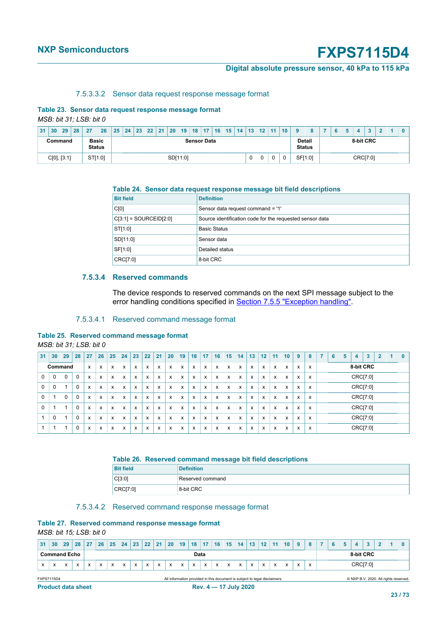#### **Digital absolute pressure sensor, 40 kPa to 115 kPa**

#### <span id="page-22-0"></span>7.5.3.3.2 Sensor data request response message format

## **Table 23. Sensor data request response message format**

*MSB: bit 31; LSB: bit 0*

| 31                                                             | 30 | 29 | 28 | 27      | 26 |  | $25 \mid 24$ | 23 | $\sqrt{22}$ | 21 <sub>1</sub> | 20            | 19       | $18$   17 | 16 | 15 | $14 \mid 13$ | 12 <sub>1</sub> | 11 | 10 <sup>1</sup> |  |         |  |          | $\sim$ |  |  |
|----------------------------------------------------------------|----|----|----|---------|----|--|--------------|----|-------------|-----------------|---------------|----------|-----------|----|----|--------------|-----------------|----|-----------------|--|---------|--|----------|--------|--|--|
| <b>Basic</b><br><b>Sensor Data</b><br>Command<br><b>Status</b> |    |    |    |         |    |  |              |    |             | <b>Status</b>   | <b>Detail</b> |          | 8-bit CRC |    |    |              |                 |    |                 |  |         |  |          |        |  |  |
| C[0], [3:1]                                                    |    |    |    | ST[1:0] |    |  |              |    |             |                 |               | SD[11:0] |           |    |    |              | 0               |    |                 |  | SF[1:0] |  | CRC[7:0] |        |  |  |

#### **Table 24. Sensor data request response message bit field descriptions**

| <b>Bit field</b>         | <b>Definition</b>                                        |
|--------------------------|----------------------------------------------------------|
| C[0]                     | Sensor data request command = '1'                        |
| $C[3:1] = SOLRCEID[2:0]$ | Source identification code for the requested sensor data |
| ST[1:0]                  | <b>Basic Status</b>                                      |
| SD[11:0]                 | Sensor data                                              |
| SF[1:0]                  | Detailed status                                          |
| CRC[7:0]                 | 8-bit CRC                                                |

#### **7.5.3.4 Reserved commands**

The device responds to reserved commands on the next SPI message subject to the error handling conditions specified in **Section 7.5.5 "Exception handling"**.

#### 7.5.3.4.1 Reserved command message format

#### **Table 25. Reserved command message format**

*MSB: bit 31; LSB: bit 0*

| 31          | 30      | 29       | 28          | 27           | 26 | 25              | 24 | 23 | 22 | 21 | 20 | 19 | 18 | 17 | 16 | 15 | 14 | 13 | 12 | 11 | 10 | 9 | 8 | ٠        | 6 | 5 | 4         | 3 | 2 | 0 |
|-------------|---------|----------|-------------|--------------|----|-----------------|----|----|----|----|----|----|----|----|----|----|----|----|----|----|----|---|---|----------|---|---|-----------|---|---|---|
|             | Command |          |             | $\mathsf{x}$ | x  | X               | X  | x  | x  | X  | x  | X  | X  | x  | X  | X  | x  | X  | X  | x  | X  | X | x |          |   |   | 8-bit CRC |   |   |   |
| $\mathbf 0$ | 0       | $\Omega$ | $\Omega$    | X            | x  | X               | X  | x  | x  | X  | X  | X  | X  | X  | x  | X  | x  | X  | X  | x  | X  | X | x |          |   |   | CRC[7:0]  |   |   |   |
| $\mathbf 0$ | 0       |          | 0           | X            | x  | X               | X  | x  | x  | X  | x  | X  | X  | x  | X  | X  | x  | X  | X  | x  | X  | X | x | CRC[7:0] |   |   |           |   |   |   |
| $\Omega$    |         |          | $\Omega$    | X            | x  | X               | X  | x  | x  | X  | X  | x  | X  | X  | x  | X  | x  | X  | X  | x  | X  | X | x |          |   |   | CRC[7:0]  |   |   |   |
| 0           |         |          | $\mathbf 0$ | X            | x  | X               | X  | x  | x  | X  | x  | X  | X  | x  | X  | x  | x  | X  | X  | x  | X  | X | x |          |   |   | CRC[7:0]  |   |   |   |
|             | 0       | и        | $\Omega$    | X            | x  | X               | X  | x  | x  | X  | X  | X  | X  | X  | X  | X  | x  | X  | X  | x  | X  | X | x | CRC[7:0] |   |   |           |   |   |   |
|             |         |          | $\Omega$    | X            | x  | $\check{}$<br>v | X  | x  | X  | X  | X  | x  | X  | X  | x  | X  | x  | x  | X  | x  | x  | X | x |          |   |   | CRC[7:0]  |   |   |   |

#### **Table 26. Reserved command message bit field descriptions**

| <b>Bit field</b> | <b>Definition</b> |
|------------------|-------------------|
| CI3:01           | Reserved command  |
| CRC[7:0]         | 8-bit CRC         |

#### 7.5.3.4.2 Reserved command response message format

#### **Table 27. Reserved command response message format**

*MSB: bit 15; LSB: bit 0*

| 31 | 30                                                                                                                                                                           | 29 | 28                          | 27 | 26 | 25 | 24 |  | 23 22 21 |  | $\vert$ 20   19   18   17   16   15   14   13   12   11   10               |  |   |                       |  |          |  |  |  | 9 | 8         | 6 | 5 | 4 | 3 |  |                                       |
|----|------------------------------------------------------------------------------------------------------------------------------------------------------------------------------|----|-----------------------------|----|----|----|----|--|----------|--|----------------------------------------------------------------------------|--|---|-----------------------|--|----------|--|--|--|---|-----------|---|---|---|---|--|---------------------------------------|
|    |                                                                                                                                                                              |    | <b>Command Echo</b><br>Data |    |    |    |    |  |          |  |                                                                            |  |   |                       |  |          |  |  |  |   | 8-bit CRC |   |   |   |   |  |                                       |
| x  | x<br>x<br>x<br>x<br>x<br>X<br>$\mathsf{x}$<br>X<br>X<br>$\mathsf{x}$<br>$\mathsf{x}$<br>x<br>$\mathsf{x}$<br>$\mathsf{x}$<br>$\mathsf{x}$<br>x<br>X<br>x<br>x<br>X<br>x<br>x |    |                             |    |    |    |    |  |          |  |                                                                            |  | X |                       |  | CRC[7:0] |  |  |  |   |           |   |   |   |   |  |                                       |
|    | <b>FXPS7115D4</b>                                                                                                                                                            |    |                             |    |    |    |    |  |          |  | All information provided in this document is subject to legal disclaimers. |  |   |                       |  |          |  |  |  |   |           |   |   |   |   |  | © NXP B.V. 2020. All rights reserved. |
|    | <b>Product data sheet</b>                                                                                                                                                    |    |                             |    |    |    |    |  |          |  |                                                                            |  |   | Rev. 4 - 17 July 2020 |  |          |  |  |  |   |           |   |   |   |   |  |                                       |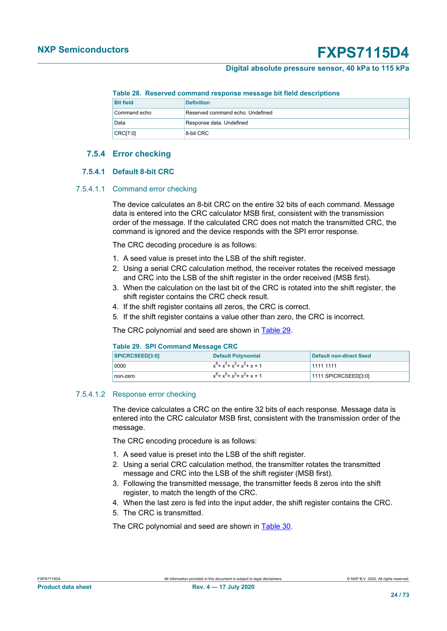#### **Digital absolute pressure sensor, 40 kPa to 115 kPa**

#### **Table 28. Reserved command response message bit field descriptions**

| <b>Bit field</b> | <b>Definition</b>                |
|------------------|----------------------------------|
| Command echo     | Reserved command echo. Undefined |
| Data             | Response data. Undefined         |
| CRCI7:01         | 8-bit CRC                        |

### **7.5.4 Error checking**

#### **7.5.4.1 Default 8-bit CRC**

#### 7.5.4.1.1 Command error checking

The device calculates an 8-bit CRC on the entire 32 bits of each command. Message data is entered into the CRC calculator MSB first, consistent with the transmission order of the message. If the calculated CRC does not match the transmitted CRC, the command is ignored and the device responds with the SPI error response.

The CRC decoding procedure is as follows:

- 1. A seed value is preset into the LSB of the shift register.
- 2. Using a serial CRC calculation method, the receiver rotates the received message and CRC into the LSB of the shift register in the order received (MSB first).
- 3. When the calculation on the last bit of the CRC is rotated into the shift register, the shift register contains the CRC check result.
- 4. If the shift register contains all zeros, the CRC is correct.
- 5. If the shift register contains a value other than zero, the CRC is incorrect.

The CRC polynomial and seed are shown in [Table 29](#page-23-0).

#### <span id="page-23-0"></span>**Table 29. SPI Command Message CRC**

| SPICRCSEED[3:0] | Default Polynomial              | Default non-direct Seed |
|-----------------|---------------------------------|-------------------------|
| 0000            | $x^8 + x^5 + x^3 + x^2 + x + 1$ | 1111 1111               |
| non-zero        | $x^8 + x^5 + x^3 + x^2 + x + 1$ | $1111$ SPICRCSEED[3:0]  |

#### 7.5.4.1.2 Response error checking

The device calculates a CRC on the entire 32 bits of each response. Message data is entered into the CRC calculator MSB first, consistent with the transmission order of the message.

The CRC encoding procedure is as follows:

- 1. A seed value is preset into the LSB of the shift register.
- 2. Using a serial CRC calculation method, the transmitter rotates the transmitted message and CRC into the LSB of the shift register (MSB first).
- 3. Following the transmitted message, the transmitter feeds 8 zeros into the shift register, to match the length of the CRC.
- 4. When the last zero is fed into the input adder, the shift register contains the CRC.
- 5. The CRC is transmitted.

The CRC polynomial and seed are shown in [Table 30](#page-24-3).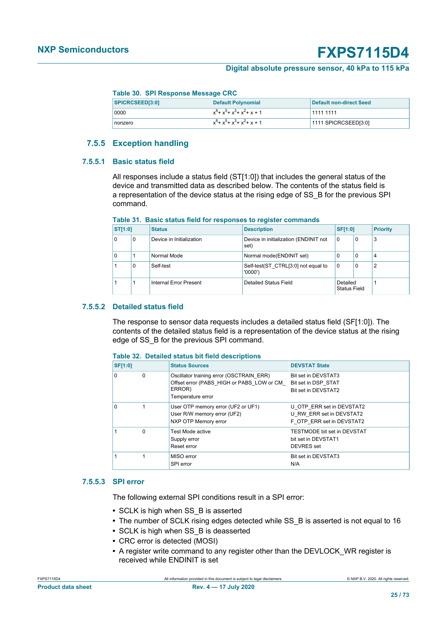#### **Digital absolute pressure sensor, 40 kPa to 115 kPa**

#### <span id="page-24-3"></span>**Table 30. SPI Response Message CRC**

| SPICRCSEED[3:0] | Default Polynomial              | Default non-direct Seed |
|-----------------|---------------------------------|-------------------------|
| 0000            | $x^8 + x^5 + x^3 + x^2 + x + 1$ | 1111 1111               |
| nonzero         | $x^8 + x^5 + x^3 + x^2 + x + 1$ | 1111 SPICRCSEED[3:0]    |

### <span id="page-24-2"></span>**7.5.5 Exception handling**

#### **7.5.5.1 Basic status field**

<span id="page-24-4"></span>All responses include a status field (ST[1:0]) that includes the general status of the device and transmitted data as described below. The contents of the status field is a representation of the device status at the rising edge of SS\_B for the previous SPI command.

| Table 31. Basic status field for responses to register commands |  |
|-----------------------------------------------------------------|--|
|-----------------------------------------------------------------|--|

| <b>ST[1:0]</b> | <b>Status</b> |                          | <b>Description</b>                            | <b>SF[1:0]</b>                  |   | <b>Priority</b> |
|----------------|---------------|--------------------------|-----------------------------------------------|---------------------------------|---|-----------------|
| $\Omega$       | 0             | Device in Initialization | Device in initialization (ENDINIT not<br>set) | $\Omega$                        | 0 | 3               |
| $\Omega$       |               | Normal Mode              | Normal mode(ENDINIT set)                      | 0                               | 0 | 4               |
|                | 0             | Self-test                | Self-test(ST CTRL[3:0] not equal to<br>'0000' | $\Omega$                        | 0 | $\overline{2}$  |
|                |               | Internal Error Present   | Detailed Status Field                         | Detailed<br><b>Status Field</b> |   |                 |

#### **7.5.5.2 Detailed status field**

<span id="page-24-1"></span>The response to sensor data requests includes a detailed status field (SF[1:0]). The contents of the detailed status field is a representation of the device status at the rising edge of SS\_B for the previous SPI command.

#### **Table 32. Detailed status bit field descriptions**

| <b>SF[1:0]</b> |          | <b>Status Sources</b>                                                                                                | <b>DEVSTAT State</b>                                                               |
|----------------|----------|----------------------------------------------------------------------------------------------------------------------|------------------------------------------------------------------------------------|
| $\Omega$       | $\Omega$ | Oscillator training error (OSCTRAIN ERR)<br>Offset error (PABS HIGH or PABS LOW or CM<br>ERROR)<br>Temperature error | Bit set in DEVSTAT3<br>Bit set in DSP STAT<br>Bit set in DEVSTAT2                  |
| $\Omega$       |          | User OTP memory error (UF2 or UF1)<br>User R/W memory error (UF2)<br>NXP OTP Memory error                            | U OTP ERR set in DEVSTAT2<br>U RW ERR set in DEVSTAT2<br>F OTP ERR set in DEVSTAT2 |
|                | $\Omega$ | Test Mode active<br>Supply error<br>Reset error                                                                      | TESTMODE bit set in DEVSTAT<br>bit set in DEVSTAT1<br>DEVRES set                   |
|                |          | MISO error<br>SPI error                                                                                              | Bit set in DEVSTAT3<br>N/A                                                         |

#### **7.5.5.3 SPI error**

<span id="page-24-0"></span>The following external SPI conditions result in a SPI error:

- **•** SCLK is high when SS\_B is asserted
- The number of SCLK rising edges detected while SS B is asserted is not equal to 16
- **•** SCLK is high when SS\_B is deasserted
- **•** CRC error is detected (MOSI)
- **•** A register write command to any register other than the DEVLOCK\_WR register is received while ENDINIT is set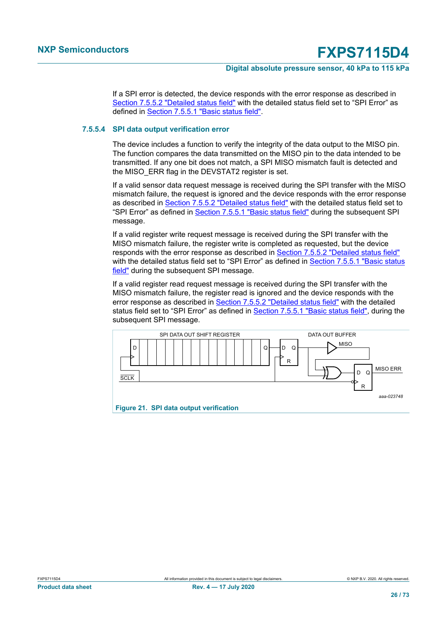#### **Digital absolute pressure sensor, 40 kPa to 115 kPa**

If a SPI error is detected, the device responds with the error response as described in [Section 7.5.5.2 "Detailed status field"](#page-24-1) with the detailed status field set to "SPI Error" as defined in [Section 7.5.5.1 "Basic status field".](#page-24-4)

### **7.5.5.4 SPI data output verification error**

<span id="page-25-0"></span>The device includes a function to verify the integrity of the data output to the MISO pin. The function compares the data transmitted on the MISO pin to the data intended to be transmitted. If any one bit does not match, a SPI MISO mismatch fault is detected and the MISO ERR flag in the DEVSTAT2 register is set.

If a valid sensor data request message is received during the SPI transfer with the MISO mismatch failure, the request is ignored and the device responds with the error response as described in [Section 7.5.5.2 "Detailed status field"](#page-24-1) with the detailed status field set to "SPI Error" as defined in [Section 7.5.5.1 "Basic status field"](#page-24-4) during the subsequent SPI message.

If a valid register write request message is received during the SPI transfer with the MISO mismatch failure, the register write is completed as requested, but the device responds with the error response as described in [Section 7.5.5.2 "Detailed status field"](#page-24-1) with the detailed status field set to "SPI Error" as defined in [Section 7.5.5.1 "Basic status](#page-24-4) [field"](#page-24-4) during the subsequent SPI message.

If a valid register read request message is received during the SPI transfer with the MISO mismatch failure, the register read is ignored and the device responds with the error response as described in [Section 7.5.5.2 "Detailed status field"](#page-24-1) with the detailed status field set to "SPI Error" as defined in [Section 7.5.5.1 "Basic status field"](#page-24-4), during the subsequent SPI message.

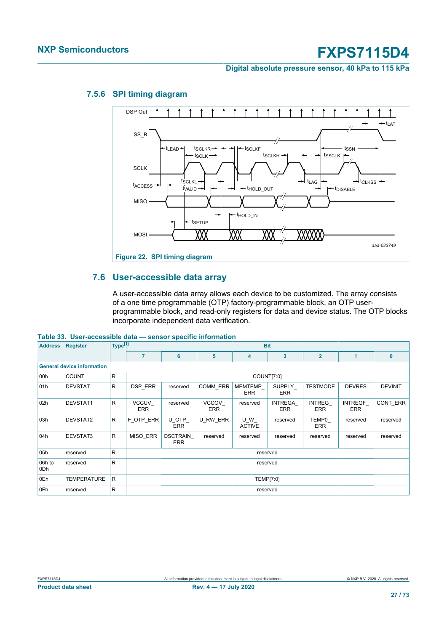**Digital absolute pressure sensor, 40 kPa to 115 kPa**



### **7.5.6 SPI timing diagram**

### **7.6 User-accessible data array**

<span id="page-26-0"></span>A user-accessible data array allows each device to be customized. The array consists of a one time programmable (OTP) factory-programmable block, an OTP userprogrammable block, and read-only registers for data and device status. The OTP blocks incorporate independent data verification.

#### **Table 33. User-accessible data — sensor specific information**

| <b>Address</b> | <b>Register</b>                   | Type <sup>[1]</sup> | <b>Bit</b>           |                               |                     |                       |                       |                             |                              |                |
|----------------|-----------------------------------|---------------------|----------------------|-------------------------------|---------------------|-----------------------|-----------------------|-----------------------------|------------------------------|----------------|
|                |                                   |                     | $\overline{7}$       | $6\phantom{1}6$               | 5                   | 4                     | 3                     | $\overline{2}$              | 1                            | $\bf{0}$       |
|                | <b>General device information</b> |                     |                      |                               |                     |                       |                       |                             |                              |                |
| 00h            | <b>COUNT</b>                      | $\mathsf{R}$        |                      |                               |                     | COUNT[7:0]            |                       |                             |                              |                |
| 01h            | <b>DEVSTAT</b>                    | $\mathsf{R}$        | <b>DSP ERR</b>       | reserved                      | COMM ERR            | MEMTEMP<br><b>ERR</b> | SUPPLY<br><b>ERR</b>  | <b>TESTMODE</b>             | <b>DEVRES</b>                | <b>DEVINIT</b> |
| 02h            | DEVSTAT1                          | $\mathsf{R}$        | VCCUV_<br><b>ERR</b> | reserved                      | VCCOV<br><b>ERR</b> | reserved              | INTREGA<br><b>ERR</b> | <b>INTREG</b><br><b>ERR</b> | <b>INTREGF</b><br><b>ERR</b> | CONT ERR       |
| 03h            | DEVSTAT2                          | $\mathsf{R}$        | F OTP ERR            | U OTP<br><b>ERR</b>           | U RW ERR            | U W<br><b>ACTIVE</b>  | reserved              | TEMP0<br><b>ERR</b>         | reserved                     | reserved       |
| 04h            | DEVSTAT3                          | $\mathsf{R}$        | MISO ERR             | <b>OSCTRAIN</b><br><b>ERR</b> | reserved            | reserved              | reserved              | reserved                    | reserved                     | reserved       |
| 05h            | reserved                          | $\mathsf{R}$        |                      |                               |                     | reserved              |                       |                             |                              |                |
| 06h to<br>0Dh  | reserved                          | $\mathsf{R}$        |                      | reserved                      |                     |                       |                       |                             |                              |                |
| 0Eh            | <b>TEMPERATURE</b>                | R                   |                      | TEMP[7:0]                     |                     |                       |                       |                             |                              |                |
| 0Fh            | reserved                          | R                   |                      |                               |                     | reserved              |                       |                             |                              |                |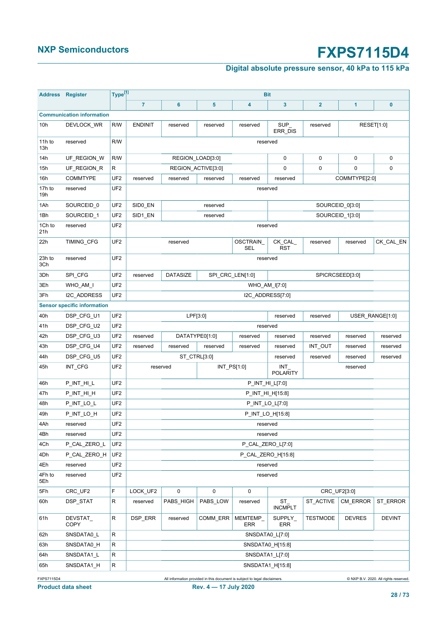## **Digital absolute pressure sensor, 40 kPa to 115 kPa**

| <b>Address</b> | <b>Register</b>                    | Type <sup>[1]</sup> |                     |                                                        |             | <b>Bit</b>         |                         |                         |                      |               |  |  |
|----------------|------------------------------------|---------------------|---------------------|--------------------------------------------------------|-------------|--------------------|-------------------------|-------------------------|----------------------|---------------|--|--|
|                |                                    |                     | $\overline{7}$      | $6\phantom{1}6$                                        | 5           | 4                  | 3                       | $\overline{\mathbf{2}}$ | 1                    | $\bf{0}$      |  |  |
|                | <b>Communication information</b>   |                     |                     |                                                        |             |                    |                         |                         |                      |               |  |  |
| 10h            | DEVLOCK_WR                         | R/W                 | <b>ENDINIT</b>      | reserved                                               | reserved    | reserved           | SUP<br>ERR_DIS          | reserved                | RESET[1:0]           |               |  |  |
| 11h to<br>13h  | reserved                           | R/W                 |                     |                                                        |             | reserved           |                         |                         |                      |               |  |  |
| 14h            | UF_REGION_W                        | R/W                 |                     | REGION_LOAD[3:0]                                       |             |                    |                         | 0                       | 0                    | $\mathbf 0$   |  |  |
| 15h            | UF_REGION_R                        | R                   |                     | REGION_ACTIVE[3:0]                                     |             |                    | 0                       | 0                       | 0                    | 0             |  |  |
| 16h            | <b>COMMTYPE</b>                    | UF <sub>2</sub>     | reserved            | reserved                                               | reserved    | reserved           | reserved                |                         | COMMTYPE[2:0]        |               |  |  |
| 17h to<br>19h  | reserved                           | UF <sub>2</sub>     |                     |                                                        |             | reserved           |                         |                         |                      |               |  |  |
| 1Ah            | SOURCEID_0                         | UF <sub>2</sub>     | SID <sub>0_EN</sub> |                                                        | reserved    |                    |                         |                         | SOURCEID_0[3:0]      |               |  |  |
| 1Bh            | SOURCEID_1                         | UF <sub>2</sub>     | SID1_EN             |                                                        | reserved    |                    |                         | SOURCEID_1[3:0]         |                      |               |  |  |
| 1Ch to<br>21h  | reserved                           | UF <sub>2</sub>     |                     |                                                        |             | reserved           |                         |                         |                      |               |  |  |
| 22h            | TIMING_CFG                         | UF <sub>2</sub>     |                     | reserved                                               |             | OSCTRAIN<br>SEL    | CK_CAL_<br><b>RST</b>   | reserved                | reserved             | CK_CAL_EN     |  |  |
| 23h to<br>3Ch  | reserved                           | UF <sub>2</sub>     |                     |                                                        |             | reserved           |                         |                         |                      |               |  |  |
| 3Dh            | SPI CFG                            | UF <sub>2</sub>     | reserved            | <b>DATASIZE</b><br>SPI CRC LEN[1:0]<br>SPICRCSEED[3:0] |             |                    |                         |                         |                      |               |  |  |
| 3Eh            | WHO_AM_I                           | UF <sub>2</sub>     |                     |                                                        |             | WHO_AM_I[7:0]      |                         |                         |                      |               |  |  |
| 3Fh            | I2C_ADDRESS                        | UF <sub>2</sub>     |                     |                                                        |             | I2C_ADDRESS[7:0]   |                         |                         |                      |               |  |  |
|                | <b>Sensor specific information</b> |                     |                     |                                                        |             |                    |                         |                         |                      |               |  |  |
| 40h            | DSP_CFG_U1                         | UF <sub>2</sub>     |                     | LPF[3:0]                                               |             |                    | reserved                | reserved                | USER_RANGE[1:0]      |               |  |  |
| 41h            | DSP_CFG_U2                         | UF <sub>2</sub>     |                     |                                                        |             | reserved           |                         |                         |                      |               |  |  |
| 42h            | DSP_CFG_U3                         | UF <sub>2</sub>     | reserved            | DATATYPE0[1:0]                                         |             | reserved           | reserved                | reserved                | reserved             | reserved      |  |  |
| 43h            | DSP_CFG_U4                         | UF <sub>2</sub>     | reserved            | reserved                                               | reserved    | reserved           | reserved                | INT_OUT                 | reserved             | reserved      |  |  |
| 44h            | DSP_CFG_U5                         | UF <sub>2</sub>     |                     | ST_CTRL[3:0]                                           |             |                    | reserved                | reserved                | reserved             | reserved      |  |  |
| 45h            | INT_CFG                            | UF <sub>2</sub>     |                     | reserved                                               | INT_PS[1:0] |                    | INT<br><b>POLARITY</b>  |                         | reserved             |               |  |  |
| 46h            | P_INT_HI_L                         | UF <sub>2</sub>     |                     |                                                        |             | P_INT_HI_L[7:0]    |                         |                         |                      |               |  |  |
| 47h            | P_INT_HI_H                         | UF <sub>2</sub>     |                     |                                                        |             | P_INT_HI_H[15:8]   |                         |                         |                      |               |  |  |
| 48h            | P_INT_LO_L                         | UF <sub>2</sub>     |                     |                                                        |             | P_INT_LO_L[7:0]    |                         |                         |                      |               |  |  |
| 49h            | P_INT_LO_H                         | UF <sub>2</sub>     |                     |                                                        |             | P_INT_LO_H[15:8]   |                         |                         |                      |               |  |  |
| 4Ah            | reserved                           | UF <sub>2</sub>     |                     |                                                        |             | reserved           |                         |                         |                      |               |  |  |
| 4Bh            | reserved                           | UF <sub>2</sub>     |                     |                                                        |             | reserved           |                         |                         |                      |               |  |  |
| 4Ch            | P_CAL_ZERO_L                       | UF <sub>2</sub>     |                     |                                                        |             | P_CAL_ZERO_L[7:0]  |                         |                         |                      |               |  |  |
| 4Dh            | P_CAL_ZERO_H                       | UF <sub>2</sub>     |                     |                                                        |             | P_CAL_ZERO_H[15:8] |                         |                         |                      |               |  |  |
| 4Eh            | reserved                           | UF <sub>2</sub>     |                     |                                                        |             | reserved           |                         |                         |                      |               |  |  |
| 4Fh to<br>5Eh  | reserved                           | UF <sub>2</sub>     |                     |                                                        |             | reserved           |                         |                         |                      |               |  |  |
| 5Fh            | CRC_UF2                            | F                   | LOCK_UF2            | 0                                                      | 0           | 0                  |                         | CRC_UF2[3:0]            |                      |               |  |  |
| 60h            | DSP_STAT                           | R                   | reserved            | PABS_HIGH                                              | PABS_LOW    | reserved           | $ST_$<br><b>INCMPLT</b> |                         | ST_ACTIVE   CM_ERROR | ST_ERROR      |  |  |
| 61h            | DEVSTAT_<br>COPY                   | R                   | DSP_ERR             | reserved                                               | COMM ERR    | MEMTEMP_<br>ERR    | SUPPLY_<br>ERR          | <b>TESTMODE</b>         | <b>DEVRES</b>        | <b>DEVINT</b> |  |  |
| 62h            | SNSDATA0_L                         | R                   |                     |                                                        |             | SNSDATA0_L[7:0]    |                         |                         |                      |               |  |  |
| 63h            | SNSDATA0_H                         | R                   |                     |                                                        |             | SNSDATA0_H[15:8]   |                         |                         |                      |               |  |  |
| 64h            | SNSDATA1_L                         | R                   |                     |                                                        |             | SNSDATA1_L[7:0]    |                         |                         |                      |               |  |  |
| 65h            | SNSDATA1_H                         | R                   |                     |                                                        |             | SNSDATA1_H[15:8]   |                         |                         |                      |               |  |  |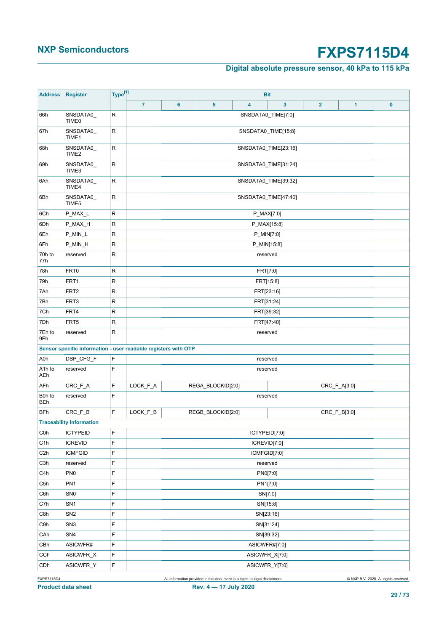## **Digital absolute pressure sensor, 40 kPa to 115 kPa**

| <b>Address</b>             | Register                                                       | Type <sup>[1]</sup> |                |                      |                   |   | <b>Bit</b>           |                |              |          |
|----------------------------|----------------------------------------------------------------|---------------------|----------------|----------------------|-------------------|---|----------------------|----------------|--------------|----------|
|                            |                                                                |                     | $\overline{7}$ | 6                    | $5\phantom{a}$    | 4 | 3                    | $\overline{2}$ | 1            | $\bf{0}$ |
| 66h                        | SNSDATA0<br>TIME <sub>0</sub>                                  | R                   |                |                      |                   |   | SNSDATA0_TIME[7:0]   |                |              |          |
| 67h                        | SNSDATA0<br>TIME1                                              | R                   |                |                      |                   |   | SNSDATA0_TIME[15:8]  |                |              |          |
| 68h                        | SNSDATA0<br>TIME <sub>2</sub>                                  | R                   |                |                      |                   |   | SNSDATA0_TIME[23:16] |                |              |          |
| 69h                        | SNSDATA0<br>TIME3                                              | R                   |                |                      |                   |   | SNSDATA0_TIME[31:24] |                |              |          |
| 6Ah                        | SNSDATA0<br>TIME4                                              | R                   |                |                      |                   |   | SNSDATA0_TIME[39:32] |                |              |          |
| 6Bh                        | SNSDATA0<br>TIME5                                              | R                   |                | SNSDATA0_TIME[47:40] |                   |   |                      |                |              |          |
| 6Ch                        | P_MAX_L                                                        | R                   |                |                      | P_MAX[7:0]        |   |                      |                |              |          |
| 6Dh                        | P_MAX_H                                                        | R                   |                |                      |                   |   | P_MAX[15:8]          |                |              |          |
| 6Eh                        | P_MIN_L                                                        | R                   |                |                      |                   |   | P_MIN[7:0]           |                |              |          |
| 6Fh                        | P_MIN_H                                                        | ${\sf R}$           |                |                      |                   |   | P_MIN[15:8]          |                |              |          |
| 70h to<br>77h              | reserved                                                       | R                   |                |                      |                   |   | reserved             |                |              |          |
| 78h                        | FRT <sub>0</sub>                                               | R                   |                |                      |                   |   | FRT[7:0]             |                |              |          |
| 79h                        | FRT1                                                           | R                   |                |                      |                   |   | FRT[15:8]            |                |              |          |
| 7Ah                        | FRT <sub>2</sub>                                               | R                   |                |                      |                   |   | FRT[23:16]           |                |              |          |
| 7Bh                        | FRT3                                                           | R                   |                |                      |                   |   | FRT[31:24]           |                |              |          |
| 7Ch                        | FRT4                                                           | ${\sf R}$           |                | FRT[39:32]           |                   |   |                      |                |              |          |
| 7Dh                        | FRT5                                                           | R                   |                | FRT[47:40]           |                   |   |                      |                |              |          |
| 7Eh to<br>9Fh              | reserved                                                       | R                   |                |                      |                   |   | reserved             |                |              |          |
|                            | Sensor specific information - user readable registers with OTP |                     |                |                      |                   |   |                      |                |              |          |
| A0h                        | DSP_CFG_F                                                      | F                   |                |                      |                   |   | reserved             |                |              |          |
| A <sub>1</sub> h to<br>AEh | reserved                                                       | F                   |                |                      |                   |   | reserved             |                |              |          |
| AFh                        | CRC_F_A                                                        | F                   | LOCK_F_A       |                      | REGA BLOCKID[2:0] |   |                      |                | CRC_F_A[3:0] |          |
| B0h to<br><b>BEh</b>       | reserved                                                       | F                   |                |                      |                   |   | reserved             |                |              |          |
| <b>BFh</b>                 | CRC F B                                                        | F                   | LOCK F_B       |                      | REGB BLOCKID[2:0] |   |                      |                | CRC_F_B[3:0] |          |
|                            | <b>Traceability Information</b>                                |                     |                |                      |                   |   |                      |                |              |          |
| C <sub>0</sub> h           | <b>ICTYPEID</b>                                                | F                   |                |                      |                   |   | ICTYPEID[7:0]        |                |              |          |
| C1h                        | <b>ICREVID</b>                                                 | F                   |                |                      |                   |   | ICREVID[7:0]         |                |              |          |
| C <sub>2</sub> h           | <b>ICMFGID</b>                                                 | F                   |                |                      |                   |   | ICMFGID[7:0]         |                |              |          |
| C3h                        | reserved                                                       | F                   |                |                      |                   |   | reserved             |                |              |          |
| C4h                        | PN <sub>0</sub>                                                | F                   |                |                      |                   |   | PN0[7:0]             |                |              |          |
| C5h                        | PN <sub>1</sub>                                                | F                   |                |                      |                   |   | PN1[7:0]             |                |              |          |
| C6h                        | SN <sub>0</sub>                                                | F                   |                |                      |                   |   | SN[7:0]              |                |              |          |
| C7h                        | SN <sub>1</sub>                                                | F                   |                |                      |                   |   | SN[15:8]             |                |              |          |
| C8h                        | SN <sub>2</sub>                                                | F                   |                |                      |                   |   | SN[23:16]            |                |              |          |
| C9h                        | SN <sub>3</sub>                                                | F                   |                |                      |                   |   | SN[31:24]            |                |              |          |
| CAh                        | SN4                                                            | F                   |                |                      |                   |   | SN[39:32]            |                |              |          |
| CBh                        | ASICWFR#                                                       | F                   |                |                      |                   |   | ASICWFR#[7:0]        |                |              |          |
| CCh                        | ASICWFR_X                                                      | F                   |                |                      |                   |   | ASICWFR_X[7:0]       |                |              |          |
| CDh                        | ASICWFR_Y                                                      | F                   |                |                      |                   |   | ASICWFR_Y[7:0]       |                |              |          |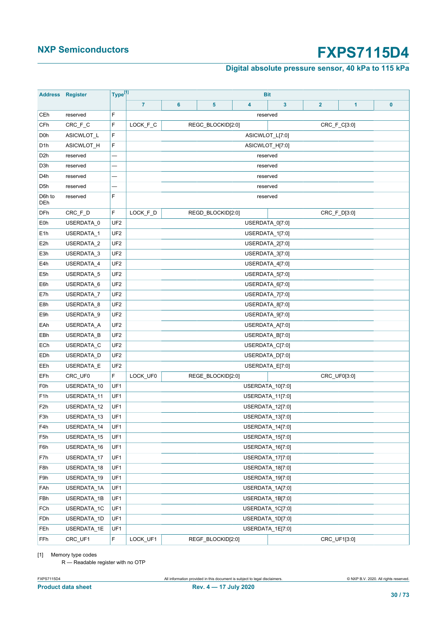### **Digital absolute pressure sensor, 40 kPa to 115 kPa**

<span id="page-29-0"></span>

| <b>Address</b>   | <b>Register</b> | Type <sup>[1]</sup> | <b>Bit</b>     |                 |                   |   |                  |                |              |   |
|------------------|-----------------|---------------------|----------------|-----------------|-------------------|---|------------------|----------------|--------------|---|
|                  |                 |                     | $\overline{7}$ | 6               | 5                 | 4 | $\mathbf{3}$     | $\overline{2}$ | 1            | 0 |
| CEh              | reserved        | F                   |                |                 |                   |   | reserved         |                |              |   |
| CFh              | CRC_F_C         | F                   | LOCK_F_C       |                 | REGC_BLOCKID[2:0] |   |                  |                | CRC_F_C[3:0] |   |
| D <sub>0</sub> h | ASICWLOT_L      | F                   |                |                 |                   |   | ASICWLOT_L[7:0]  |                |              |   |
| D <sub>1</sub> h | ASICWLOT_H      | F                   |                |                 |                   |   | ASICWLOT_H[7:0]  |                |              |   |
| D <sub>2</sub> h | reserved        |                     |                | reserved        |                   |   |                  |                |              |   |
| D3h              | reserved        |                     |                |                 |                   |   | reserved         |                |              |   |
| D <sub>4</sub> h | reserved        |                     |                |                 |                   |   | reserved         |                |              |   |
| D <sub>5</sub> h | reserved        |                     |                |                 |                   |   | reserved         |                |              |   |
| D6h to<br>DEh    | reserved        | F                   |                |                 |                   |   | reserved         |                |              |   |
| DFh              | CRC_F_D         | F.                  | LOCK_F_D       |                 | REGD_BLOCKID[2:0] |   |                  |                | CRC_F_D[3:0] |   |
| E0h              | USERDATA_0      | UF <sub>2</sub>     |                |                 |                   |   | USERDATA_0[7:0]  |                |              |   |
| E <sub>1</sub> h | USERDATA_1      | UF <sub>2</sub>     |                |                 |                   |   | USERDATA_1[7:0]  |                |              |   |
| E <sub>2</sub> h | USERDATA_2      | UF <sub>2</sub>     |                |                 |                   |   | USERDATA_2[7:0]  |                |              |   |
| E3h              | USERDATA_3      | UF <sub>2</sub>     |                |                 |                   |   | USERDATA 3[7:0]  |                |              |   |
| E4h              | USERDATA_4      | UF <sub>2</sub>     |                |                 |                   |   | USERDATA 4[7:0]  |                |              |   |
| E <sub>5</sub> h | USERDATA_5      | UF <sub>2</sub>     |                |                 |                   |   | USERDATA_5[7:0]  |                |              |   |
| E6h              | USERDATA 6      | UF <sub>2</sub>     |                |                 |                   |   | USERDATA_6[7:0]  |                |              |   |
| E7h              | USERDATA_7      | UF <sub>2</sub>     |                | USERDATA_7[7:0] |                   |   |                  |                |              |   |
| E8h              | USERDATA 8      | UF <sub>2</sub>     |                |                 |                   |   | USERDATA_8[7:0]  |                |              |   |
| E9h              | USERDATA_9      | UF <sub>2</sub>     |                |                 |                   |   | USERDATA_9[7:0]  |                |              |   |
| EAh              | USERDATA_A      | UF <sub>2</sub>     |                |                 |                   |   | USERDATA_A[7:0]  |                |              |   |
| EBh              | USERDATA_B      | UF <sub>2</sub>     |                |                 |                   |   | USERDATA_B[7:0]  |                |              |   |
| ECh              | USERDATA_C      | UF <sub>2</sub>     |                |                 |                   |   | USERDATA_C[7:0]  |                |              |   |
| EDh              | USERDATA_D      | UF <sub>2</sub>     |                |                 |                   |   | USERDATA_D[7:0]  |                |              |   |
| EEh              | USERDATA_E      | UF <sub>2</sub>     |                |                 |                   |   | USERDATA_E[7:0]  |                |              |   |
| EFh              | CRC_UF0         | F                   | LOCK_UF0       |                 | REGE_BLOCKID[2:0] |   |                  |                | CRC_UF0[3:0] |   |
| F <sub>0</sub> h | USERDATA_10     | UF1                 |                |                 |                   |   | USERDATA_10[7:0] |                |              |   |
| F <sub>1</sub> h | USERDATA_11     | UF1                 |                |                 |                   |   | USERDATA_11[7:0] |                |              |   |
| F <sub>2</sub> h | USERDATA_12     | UF1                 |                |                 |                   |   | USERDATA_12[7:0] |                |              |   |
| F3h              | USERDATA 13     | UF1                 |                |                 |                   |   | USERDATA_13[7:0] |                |              |   |
| F4h              | USERDATA_14     | UF1                 |                |                 |                   |   | USERDATA_14[7:0] |                |              |   |
| F5h              | USERDATA_15     | UF1                 |                |                 |                   |   | USERDATA_15[7:0] |                |              |   |
| F6h              | USERDATA_16     | UF1                 |                |                 |                   |   | USERDATA 16[7:0] |                |              |   |
| F7h              | USERDATA 17     | UF1                 |                |                 |                   |   | USERDATA_17[7:0] |                |              |   |
| F8h              | USERDATA_18     | UF1                 |                |                 |                   |   | USERDATA_18[7:0] |                |              |   |
| F9h              | USERDATA_19     | UF1                 |                |                 |                   |   | USERDATA_19[7:0] |                |              |   |
| FAh              | USERDATA_1A     | UF1                 |                |                 |                   |   | USERDATA_1A[7:0] |                |              |   |
| FBh              | USERDATA 1B     | UF1                 |                |                 |                   |   | USERDATA_1B[7:0] |                |              |   |
| FCh              | USERDATA_1C     | UF1                 |                |                 |                   |   | USERDATA_1C[7:0] |                |              |   |
| FDh              | USERDATA_1D     | UF1                 |                |                 |                   |   | USERDATA_1D[7:0] |                |              |   |
| FEh              | USERDATA_1E     | UF1                 |                |                 |                   |   | USERDATA_1E[7:0] |                |              |   |
| FFh              | CRC_UF1         | F                   | LOCK_UF1       |                 | REGF_BLOCKID[2:0] |   |                  |                | CRC_UF1[3:0] |   |

[1] Memory type codes

R — Readable register with no OTP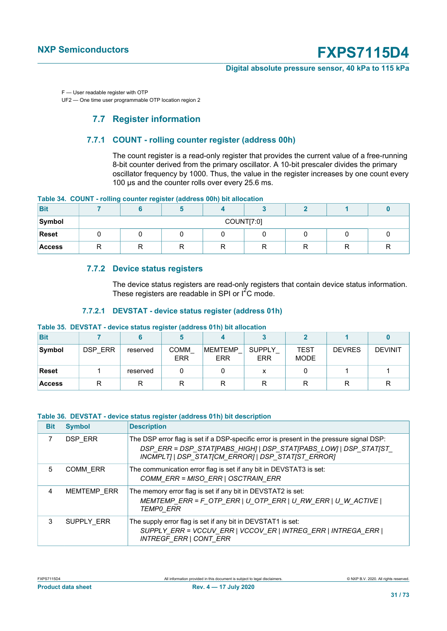#### **Digital absolute pressure sensor, 40 kPa to 115 kPa**

F — User readable register with OTP

UF2 — One time user programmable OTP location region 2

### **7.7 Register information**

### **7.7.1 COUNT - rolling counter register (address 00h)**

The count register is a read-only register that provides the current value of a free-running 8-bit counter derived from the primary oscillator. A 10-bit prescaler divides the primary oscillator frequency by 1000. Thus, the value in the register increases by one count every 100 μs and the counter rolls over every 25.6 ms.

|  |  |  |  |  |  |  | Table 34. COUNT - rolling counter register (address 00h) bit allocation |
|--|--|--|--|--|--|--|-------------------------------------------------------------------------|
|--|--|--|--|--|--|--|-------------------------------------------------------------------------|

| <b>Bit</b>    |            |  |  |  |   |   |         |     |
|---------------|------------|--|--|--|---|---|---------|-----|
| Symbol        | COUNT[7:0] |  |  |  |   |   |         |     |
| <b>Reset</b>  |            |  |  |  |   |   |         |     |
| <b>Access</b> | רז<br>''   |  |  |  | ∍ | ∍ | −<br>יי | . . |

#### **7.7.2 Device status registers**

The device status registers are read-only registers that contain device status information. These registers are readable in SPI or  $1^2C$  mode.

#### **7.7.2.1 DEVSTAT - device status register (address 01h)**

#### **Table 35. DEVSTAT - device status register (address 01h) bit allocation**

| <b>Bit</b>    |         |          |                           |                       |                             |                     |               |                |
|---------------|---------|----------|---------------------------|-----------------------|-----------------------------|---------------------|---------------|----------------|
| Symbol        | DSP ERR | reserved | <b>COMM</b><br><b>ERR</b> | <b>MEMTEMP</b><br>ERR | <b>SUPPLY</b><br><b>ERR</b> | TEST<br><b>MODE</b> | <b>DEVRES</b> | <b>DEVINIT</b> |
| <b>Reset</b>  |         | reserved |                           |                       |                             |                     |               |                |
| <b>Access</b> |         | R        |                           |                       |                             |                     | R             |                |

#### **Table 36. DEVSTAT - device status register (address 01h) bit description**

| <b>Bit</b> | <b>Symbol</b>      | <b>Description</b>                                                                                                                                                                                                  |
|------------|--------------------|---------------------------------------------------------------------------------------------------------------------------------------------------------------------------------------------------------------------|
| 7          | DSP ERR            | The DSP error flag is set if a DSP-specific error is present in the pressure signal DSP:<br>DSP_ERR = DSP_STAT[PABS_HIGH]   DSP_STAT[PABS_LOW]   DSP_STAT[ST_<br>INCMPLT]   DSP_STAT[CM_ERROR]   DSP_STAT[ST_ERROR] |
| 5          | <b>COMM ERR</b>    | The communication error flag is set if any bit in DEVSTAT3 is set:<br>COMM_ERR = MISO_ERR   OSCTRAIN_ERR                                                                                                            |
| 4          | <b>MEMTEMP ERR</b> | The memory error flag is set if any bit in DEVSTAT2 is set:<br>MEMTEMP_ERR = F_OTP_ERR   U_OTP_ERR   U_RW_ERR   U_W_ACTIVE  <br><b>TEMPO ERR</b>                                                                    |
| 3          | SUPPLY ERR         | The supply error flag is set if any bit in DEVSTAT1 is set:<br>SUPPLY_ERR = VCCUV_ERR   VCCOV_ER   INTREG_ERR   INTREGA_ERR  <br>INTREGF_ERR   CONT_ERR                                                             |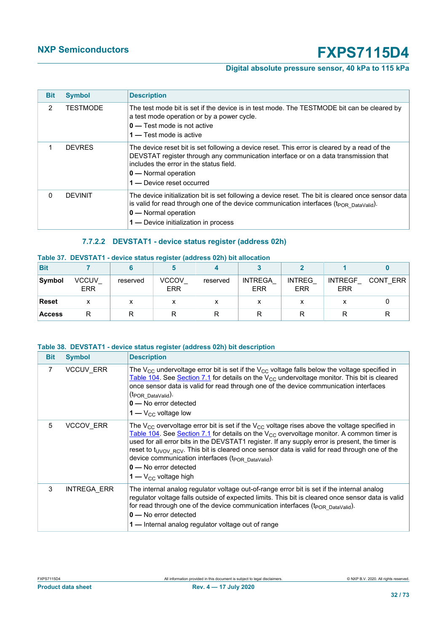### **Digital absolute pressure sensor, 40 kPa to 115 kPa**

| <b>Bit</b> | <b>Symbol</b>   | <b>Description</b>                                                                                                                                                                                                                                                                            |
|------------|-----------------|-----------------------------------------------------------------------------------------------------------------------------------------------------------------------------------------------------------------------------------------------------------------------------------------------|
| 2          | <b>TESTMODE</b> | The test mode bit is set if the device is in test mode. The TESTMODE bit can be cleared by<br>a test mode operation or by a power cycle.<br>$0 -$ Test mode is not active<br>1 — Test mode is active                                                                                          |
| 1          | <b>DEVRES</b>   | The device reset bit is set following a device reset. This error is cleared by a read of the<br>DEVSTAT register through any communication interface or on a data transmission that<br>includes the error in the status field.<br>$\mathbf{0}$ — Normal operation<br>1- Device reset occurred |
| 0          | <b>DEVINIT</b>  | The device initialization bit is set following a device reset. The bit is cleared once sensor data<br>is valid for read through one of the device communication interfaces (t <sub>POR DataValid</sub> ).<br>0 - Normal operation<br>1 - Device initialization in process                     |

### **7.7.2.2 DEVSTAT1 - device status register (address 02h)**

#### **Table 37. DEVSTAT1 - device status register (address 02h) bit allocation**

| <b>Bit</b>    |                     |          |                            |          |                              |                      |                              |          |
|---------------|---------------------|----------|----------------------------|----------|------------------------------|----------------------|------------------------------|----------|
| Symbol        | VCCUV<br><b>ERR</b> | reserved | <b>VCCOV</b><br><b>ERR</b> | reserved | <b>INTREGA</b><br><b>ERR</b> | <b>INTREG</b><br>ERR | <b>INTREGF</b><br><b>ERR</b> | CONT ERR |
| <b>Reset</b>  | x                   |          |                            | x        | $\checkmark$                 |                      |                              |          |
| <b>Access</b> |                     |          |                            |          |                              |                      |                              |          |

#### **Table 38. DEVSTAT1 - device status register (address 02h) bit description**

| <b>Bit</b> | <b>Symbol</b>      | <b>Description</b>                                                                                                                                                                                                                                                                                                                                                                                                                                                                                                                                             |
|------------|--------------------|----------------------------------------------------------------------------------------------------------------------------------------------------------------------------------------------------------------------------------------------------------------------------------------------------------------------------------------------------------------------------------------------------------------------------------------------------------------------------------------------------------------------------------------------------------------|
| 7          | <b>VCCUV ERR</b>   | The V <sub>CC</sub> undervoltage error bit is set if the V <sub>CC</sub> voltage falls below the voltage specified in<br>Table 104. See Section 7.1 for details on the $V_{CC}$ undervoltage monitor. This bit is cleared<br>once sensor data is valid for read through one of the device communication interfaces<br>(t <sub>POR DataValid</sub> ).<br>$0 -$ No error detected<br>$1 - V_{CC}$ voltage low                                                                                                                                                    |
| 5          | <b>VCCOV ERR</b>   | The V <sub>CC</sub> overvoltage error bit is set if the V <sub>CC</sub> voltage rises above the voltage specified in<br>Table 104. See Section 7.1 for details on the $V_{CC}$ overvoltage monitor. A common timer is<br>used for all error bits in the DEVSTAT1 register. If any supply error is present, the timer is<br>reset to t <sub>UVOV</sub> RCV. This bit is cleared once sensor data is valid for read through one of the<br>device communication interfaces (t <sub>POR DataValid</sub> ).<br>$0 -$ No error detected<br>$1 - V_{CC}$ voltage high |
| 3          | <b>INTREGA ERR</b> | The internal analog regulator voltage out-of-range error bit is set if the internal analog<br>regulator voltage falls outside of expected limits. This bit is cleared once sensor data is valid<br>for read through one of the device communication interfaces (t <sub>POR DataValid</sub> ).<br>$0 -$ No error detected<br>1 — Internal analog regulator voltage out of range                                                                                                                                                                                 |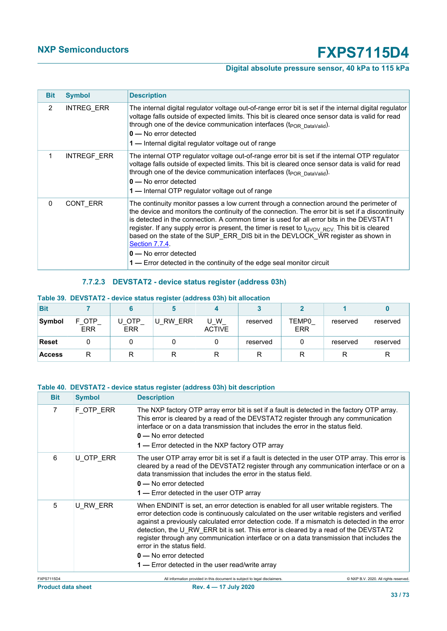### **Digital absolute pressure sensor, 40 kPa to 115 kPa**

| <b>Bit</b>    | <b>Symbol</b>      | <b>Description</b>                                                                                                                                                                                                                                                                                                                                                                                                                                                                                                                                                                                                 |
|---------------|--------------------|--------------------------------------------------------------------------------------------------------------------------------------------------------------------------------------------------------------------------------------------------------------------------------------------------------------------------------------------------------------------------------------------------------------------------------------------------------------------------------------------------------------------------------------------------------------------------------------------------------------------|
| $\mathcal{P}$ | <b>INTREG ERR</b>  | The internal digital regulator voltage out-of-range error bit is set if the internal digital regulator<br>voltage falls outside of expected limits. This bit is cleared once sensor data is valid for read<br>through one of the device communication interfaces (t <sub>POR DataValid</sub> ).<br>$0 -$ No error detected<br>1 — Internal digital regulator voltage out of range                                                                                                                                                                                                                                  |
|               | <b>INTREGF ERR</b> | The internal OTP regulator voltage out-of-range error bit is set if the internal OTP regulator<br>voltage falls outside of expected limits. This bit is cleared once sensor data is valid for read<br>through one of the device communication interfaces (t <sub>POR DataValid</sub> ).<br>$0 -$ No error detected<br>1-Internal OTP regulator voltage out of range                                                                                                                                                                                                                                                |
| $\Omega$      | CONT ERR           | The continuity monitor passes a low current through a connection around the perimeter of<br>the device and monitors the continuity of the connection. The error bit is set if a discontinuity<br>is detected in the connection. A common timer is used for all error bits in the DEVSTAT1<br>register. If any supply error is present, the timer is reset to t <sub>UVOV RCV</sub> . This bit is cleared<br>based on the state of the SUP ERR DIS bit in the DEVLOCK WR register as shown in<br>Section 7.7.4.<br>$0 -$ No error detected<br>1 — Error detected in the continuity of the edge seal monitor circuit |

#### **7.7.2.3 DEVSTAT2 - device status register (address 03h)**

| <b>Bit</b>    |                   |                     |             |                    |          |                     |          |          |
|---------------|-------------------|---------------------|-------------|--------------------|----------|---------------------|----------|----------|
| Symbol        | OTP<br><b>ERR</b> | u otp<br><b>ERR</b> | RW ERR<br>U | W<br><b>ACTIVE</b> | reserved | TEMP0<br><b>ERR</b> | reserved | reserved |
| <b>Reset</b>  |                   |                     |             |                    | reserved |                     | reserved | reserved |
| <b>Access</b> | R                 |                     |             |                    | R        |                     | R        | R        |

#### **Table 39. DEVSTAT2 - device status register (address 03h) bit allocation**

#### **Table 40. DEVSTAT2 - device status register (address 03h) bit description**

| <b>Bit</b>        | <b>Symbol</b> | <b>Description</b>                                                                                                                                                                                                                                                                                                                                                                                                                                                                                                                                                                           |
|-------------------|---------------|----------------------------------------------------------------------------------------------------------------------------------------------------------------------------------------------------------------------------------------------------------------------------------------------------------------------------------------------------------------------------------------------------------------------------------------------------------------------------------------------------------------------------------------------------------------------------------------------|
| $\overline{7}$    | F OTP_ERR     | The NXP factory OTP array error bit is set if a fault is detected in the factory OTP array.<br>This error is cleared by a read of the DEVSTAT2 register through any communication<br>interface or on a data transmission that includes the error in the status field.<br>$0 -$ No error detected<br><b>1</b> — Error detected in the NXP factory OTP array                                                                                                                                                                                                                                   |
| 6                 | U OTP ERR     | The user OTP array error bit is set if a fault is detected in the user OTP array. This error is<br>cleared by a read of the DEVSTAT2 register through any communication interface or on a<br>data transmission that includes the error in the status field.<br>$0 -$ No error detected<br>1 - Error detected in the user OTP array                                                                                                                                                                                                                                                           |
| 5                 | U RW ERR      | When ENDINIT is set, an error detection is enabled for all user writable registers. The<br>error detection code is continuously calculated on the user writable registers and verified<br>against a previously calculated error detection code. If a mismatch is detected in the error<br>detection, the U RW ERR bit is set. This error is cleared by a read of the DEVSTAT2<br>register through any communication interface or on a data transmission that includes the<br>error in the status field.<br>$0 -$ No error detected<br><b>1</b> — Error detected in the user read/write array |
| <b>FXPS7115D4</b> |               | All information provided in this document is subject to legal disclaimers.<br>© NXP B.V. 2020. All rights reserved                                                                                                                                                                                                                                                                                                                                                                                                                                                                           |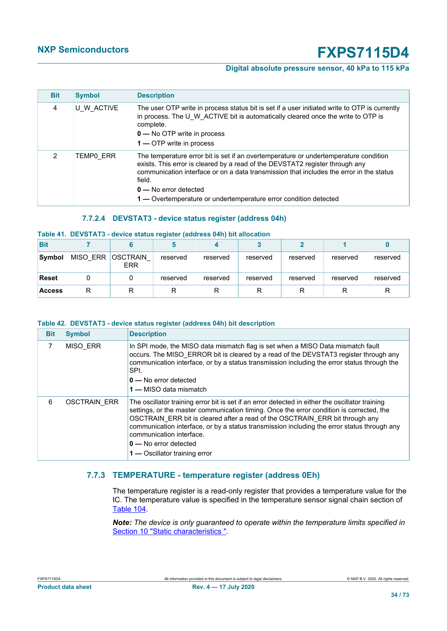#### **Digital absolute pressure sensor, 40 kPa to 115 kPa**

| <b>Bit</b> | <b>Symbol</b> | <b>Description</b>                                                                                                                                                                                                                                                                                                                                                       |
|------------|---------------|--------------------------------------------------------------------------------------------------------------------------------------------------------------------------------------------------------------------------------------------------------------------------------------------------------------------------------------------------------------------------|
| 4          | U W ACTIVE    | The user OTP write in process status bit is set if a user initiated write to OTP is currently<br>in process. The U W ACTIVE bit is automatically cleared once the write to OTP is<br>complete.<br>$\mathbf{0}$ – No OTP write in process<br>1 — OTP write in process                                                                                                     |
| 2          | TEMPO ERR     | The temperature error bit is set if an overtemperature or undertemperature condition<br>exists. This error is cleared by a read of the DEVSTAT2 register through any<br>communication interface or on a data transmission that includes the error in the status<br>field.<br>$0 -$ No error detected<br>1 — Overtemperature or undertemperature error condition detected |

#### **7.7.2.4 DEVSTAT3 - device status register (address 04h)**

#### **Table 41. DEVSTAT3 - device status register (address 04h) bit allocation**

| <b>Bit</b>    |                 |                               |          |          |          |          |          |          |
|---------------|-----------------|-------------------------------|----------|----------|----------|----------|----------|----------|
| Symbol        | <b>MISO ERR</b> | <b>OSCTRAIN</b><br><b>ERR</b> | reserved | reserved | reserved | reserved | reserved | reserved |
| Reset         |                 |                               | reserved | reserved | reserved | reserved | reserved | reserved |
| <b>Access</b> | R               |                               |          | R        |          |          |          |          |

#### **Table 42. DEVSTAT3 - device status register (address 04h) bit description**

| <b>Bit</b> | <b>Symbol</b>       | <b>Description</b>                                                                                                                                                                                                                                                                                                                                                                                                                                                        |
|------------|---------------------|---------------------------------------------------------------------------------------------------------------------------------------------------------------------------------------------------------------------------------------------------------------------------------------------------------------------------------------------------------------------------------------------------------------------------------------------------------------------------|
| 7          | <b>MISO ERR</b>     | In SPI mode, the MISO data mismatch flag is set when a MISO Data mismatch fault<br>occurs. The MISO ERROR bit is cleared by a read of the DEVSTAT3 register through any<br>communication interface, or by a status transmission including the error status through the<br>SPI.<br>$0 -$ No error detected<br>1 — MISO data mismatch                                                                                                                                       |
| 6          | <b>OSCTRAIN ERR</b> | The oscillator training error bit is set if an error detected in either the oscillator training<br>settings, or the master communication timing. Once the error condition is corrected, the<br>OSCTRAIN ERR bit is cleared after a read of the OSCTRAIN ERR bit through any<br>communication interface, or by a status transmission including the error status through any<br>communication interface.<br>$0 -$ No error detected<br><b>1 —</b> Oscillator training error |

#### **7.7.3 TEMPERATURE - temperature register (address 0Eh)**

The temperature register is a read-only register that provides a temperature value for the IC. The temperature value is specified in the temperature sensor signal chain section of [Table 104](#page-54-0).

*Note: The device is only guaranteed to operate within the temperature limits specified in* [Section 10 "Static characteristics "](#page-54-1)*.*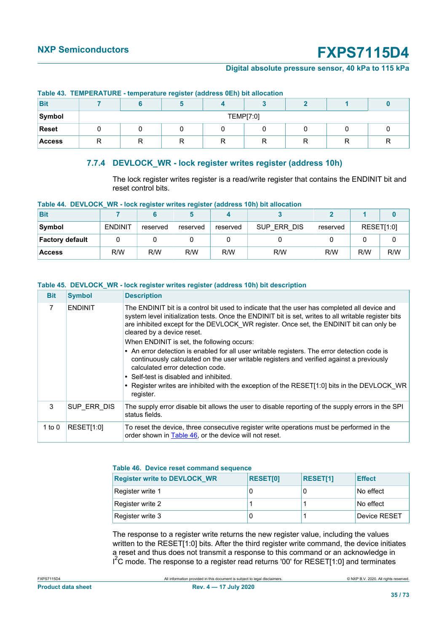#### **Digital absolute pressure sensor, 40 kPa to 115 kPa**

| TWEE TO TEMP ETCH OTHER WILL DESIGNED TO SECT TO MULTISS AND MILLOUGHED. |           |  |  |  |  |  |  |  |
|--------------------------------------------------------------------------|-----------|--|--|--|--|--|--|--|
| <b>Bit</b>                                                               |           |  |  |  |  |  |  |  |
| Symbol                                                                   | TEMP[7:0] |  |  |  |  |  |  |  |
| <b>Reset</b>                                                             |           |  |  |  |  |  |  |  |
| <b>Access</b>                                                            | ▭         |  |  |  |  |  |  |  |

#### **Table 43. TEMPERATURE - temperature register (address 0Eh) bit allocation**

### **7.7.4 DEVLOCK\_WR - lock register writes register (address 10h)**

<span id="page-34-0"></span>The lock register writes register is a read/write register that contains the ENDINIT bit and reset control bits.

| <b>Bit</b>             |                |          |          |          |             |          |            |     |
|------------------------|----------------|----------|----------|----------|-------------|----------|------------|-----|
| Symbol                 | <b>ENDINIT</b> | reserved | reserved | reserved | SUP ERR DIS | reserved | RESET[1:0] |     |
| <b>Factory default</b> |                |          |          |          |             |          |            |     |
| <b>Access</b>          | R/W            | R/W      | R/W      | R/W      | R/W         | R/W      | R/W        | R/W |

#### **Table 44. DEVLOCK\_WR - lock register writes register (address 10h) bit allocation**

**Table 45. DEVLOCK\_WR - lock register writes register (address 10h) bit description**

| <b>Bit</b> | <b>Symbol</b>  | <b>Description</b>                                                                                                                                                                                                                                                                                                                                                          |
|------------|----------------|-----------------------------------------------------------------------------------------------------------------------------------------------------------------------------------------------------------------------------------------------------------------------------------------------------------------------------------------------------------------------------|
|            | <b>FNDINIT</b> | The ENDINIT bit is a control bit used to indicate that the user has completed all device and<br>system level initialization tests. Once the ENDINIT bit is set, writes to all writable register bits<br>are inhibited except for the DEVLOCK WR register. Once set, the ENDINIT bit can only be<br>cleared by a device reset.<br>When FNDINIT is set, the following occurs: |

| $\bullet$ An error detection is enabled for all user writable registers. The error detection code is |
|------------------------------------------------------------------------------------------------------|
| continuously calculated on the user writable registers and verified against a previously             |
| calculated error detection code.                                                                     |

| . Register writes are inhibited with the exception of the RESET[1:0] bits in the DEVLOCK_WR |  |
|---------------------------------------------------------------------------------------------|--|
| register.                                                                                   |  |

| ISUP ERR DIS        | The supply error disable bit allows the user to disable reporting of the supply errors in the SPI<br>status fields. |
|---------------------|---------------------------------------------------------------------------------------------------------------------|
| 1 to $0$ RESET[1:0] | To reset the device, three consecutive register write operations must be performed in the                           |

#### <span id="page-34-1"></span>**Table 46. Device reset command sequence**

order shown in [Table 46,](#page-34-1) or the device will not reset.

| <b>Register write to DEVLOCK WR</b> | <b>RESET[0]</b> | <b>RESET[1]</b> | <b>Effect</b> |
|-------------------------------------|-----------------|-----------------|---------------|
| Register write 1                    |                 |                 | No effect     |
| Register write 2                    |                 |                 | No effect     |
| Register write 3                    |                 |                 | Device RESET  |

The response to a register write returns the new register value, including the values written to the RESET[1:0] bits. After the third register write command, the device initiates a reset and thus does not transmit a response to this command or an acknowledge in I<sup>2</sup>C mode. The response to a register read returns '00' for RESET[1:0] and terminates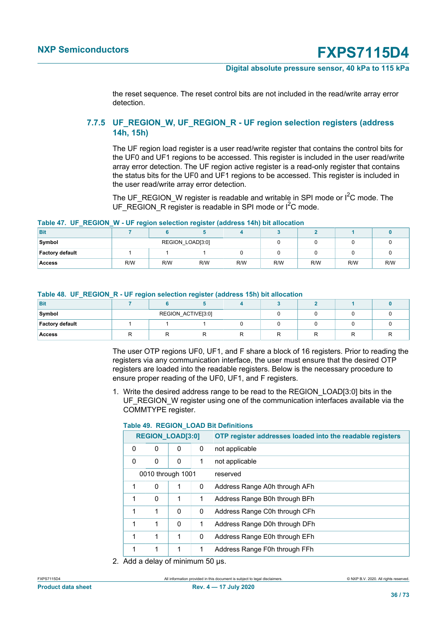#### **Digital absolute pressure sensor, 40 kPa to 115 kPa**

the reset sequence. The reset control bits are not included in the read/write array error detection.

#### **7.7.5 UF\_REGION\_W, UF\_REGION\_R - UF region selection registers (address 14h, 15h)**

The UF region load register is a user read/write register that contains the control bits for the UF0 and UF1 regions to be accessed. This register is included in the user read/write array error detection. The UF region active register is a read-only register that contains the status bits for the UF0 and UF1 regions to be accessed. This register is included in the user read/write array error detection.

The UF\_REGION\_W register is readable and writable in SPI mode or  $I^2C$  mode. The UF\_REGION\_R register is readable in SPI mode or  $I^2C$  mode.

#### **Table 47. UF\_REGION\_W - UF region selection register (address 14h) bit allocation**

| <b>Bit</b>             |     |                  |     |     |     |     |     |     |
|------------------------|-----|------------------|-----|-----|-----|-----|-----|-----|
| Symbol                 |     | REGION_LOAD[3:0] |     |     |     |     |     |     |
| <b>Factory default</b> |     |                  |     |     |     |     |     |     |
| <b>Access</b>          | R/W | R/W              | R/W | R/W | R/W | R/W | R/W | R/W |

|  |  |  |  |  | Table 48. UF_REGION_R - UF region selection register (address 15h) bit allocation |  |  |  |  |  |
|--|--|--|--|--|-----------------------------------------------------------------------------------|--|--|--|--|--|
|--|--|--|--|--|-----------------------------------------------------------------------------------|--|--|--|--|--|

| <b>Bit</b>      |                    |  |  |  |
|-----------------|--------------------|--|--|--|
| Symbol          | REGION_ACTIVE[3:0] |  |  |  |
| Factory default |                    |  |  |  |
| <b>Access</b>   |                    |  |  |  |

The user OTP regions UF0, UF1, and F share a block of 16 registers. Prior to reading the registers via any communication interface, the user must ensure that the desired OTP registers are loaded into the readable registers. Below is the necessary procedure to ensure proper reading of the UF0, UF1, and F registers.

1. Write the desired address range to be read to the REGION\_LOAD[3:0] bits in the UF\_REGION\_W register using one of the communication interfaces available via the COMMTYPE register.

| <b>REGION_LOAD[3:0]</b> |   |                   |              | OTP register addresses loaded into the readable registers |  |  |  |  |  |
|-------------------------|---|-------------------|--------------|-----------------------------------------------------------|--|--|--|--|--|
| 0                       | 0 | 0                 | 0            | not applicable                                            |  |  |  |  |  |
| 0<br>0<br>0<br>1        |   |                   |              | not applicable                                            |  |  |  |  |  |
|                         |   | 0010 through 1001 |              | reserved                                                  |  |  |  |  |  |
| 1                       | 0 | 1                 | 0            | Address Range A0h through AFh                             |  |  |  |  |  |
| 1                       | 0 | 1                 | 1            | Address Range B0h through BFh                             |  |  |  |  |  |
| 1                       | 1 | $\Omega$          | 0            | Address Range C0h through CFh                             |  |  |  |  |  |
| 1                       | 1 | $\Omega$          | 1            | Address Range D0h through DFh                             |  |  |  |  |  |
| 1                       | 1 | 1                 | 0            | Address Range E0h through EFh                             |  |  |  |  |  |
| 1                       | 1 | 1                 | $\mathbf{1}$ | Address Range F0h through FFh                             |  |  |  |  |  |
| $\cdots$                |   |                   |              |                                                           |  |  |  |  |  |

#### **Table 49. REGION\_LOAD Bit Definitions**

2. Add a delay of minimum 50 µs.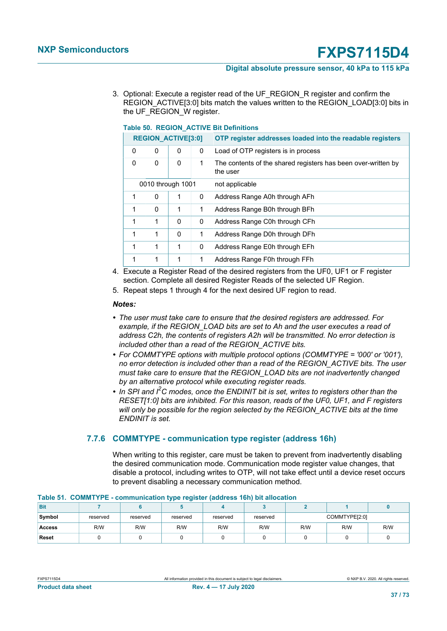#### **Digital absolute pressure sensor, 40 kPa to 115 kPa**

3. Optional: Execute a register read of the UF\_REGION\_R register and confirm the REGION\_ACTIVE[3:0] bits match the values written to the REGION\_LOAD[3:0] bits in the UF\_REGION\_W register.

<span id="page-36-1"></span>

| <u>TADIE 30. NEGIUN AUTIVE DIL DEIIIIIIUIIS</u> |                           |          |                |                                                                           |  |  |  |  |  |
|-------------------------------------------------|---------------------------|----------|----------------|---------------------------------------------------------------------------|--|--|--|--|--|
|                                                 | <b>REGION_ACTIVE[3:0]</b> |          |                | OTP register addresses loaded into the readable registers                 |  |  |  |  |  |
| 0                                               | 0                         | 0        | 0              | Load of OTP registers is in process                                       |  |  |  |  |  |
| 0                                               | 0                         | 0        | 1              | The contents of the shared registers has been over-written by<br>the user |  |  |  |  |  |
| 0010 through 1001                               |                           |          | not applicable |                                                                           |  |  |  |  |  |
| 1                                               | $\Omega$                  | 1        | 0              | Address Range A0h through AFh                                             |  |  |  |  |  |
| 1                                               | $\Omega$                  | 1        | 1              | Address Range B0h through BFh                                             |  |  |  |  |  |
| 1                                               | 1                         | $\Omega$ | 0              | Address Range C0h through CFh                                             |  |  |  |  |  |
| 1                                               | 1                         | 0        | 1              | Address Range D0h through DFh                                             |  |  |  |  |  |
| 1                                               | 1                         | 1        | 0              | Address Range E0h through EFh                                             |  |  |  |  |  |
| 1                                               | 1                         | 1        | 1              | Address Range F0h through FFh                                             |  |  |  |  |  |

#### **Table 50. REGION\_ACTIVE Bit Definitions**

- 4. Execute a Register Read of the desired registers from the UF0, UF1 or F register section. Complete all desired Register Reads of the selected UF Region.
- 5. Repeat steps 1 through 4 for the next desired UF region to read.

#### *Notes:*

- *• The user must take care to ensure that the desired registers are addressed. For example, if the REGION\_LOAD bits are set to Ah and the user executes a read of address C2h, the contents of registers A2h will be transmitted. No error detection is included other than a read of the REGION\_ACTIVE bits.*
- *• For COMMTYPE options with multiple protocol options (COMMTYPE = '000' or '001'), no error detection is included other than a read of the REGION\_ACTIVE bits. The user must take care to ensure that the REGION\_LOAD bits are not inadvertently changed by an alternative protocol while executing register reads.*
- *• In SPI and I2C modes, once the ENDINIT bit is set, writes to registers other than the RESET[1:0] bits are inhibited. For this reason, reads of the UF0, UF1, and F registers will only be possible for the region selected by the REGION\_ACTIVE bits at the time ENDINIT is set.*

#### **7.7.6 COMMTYPE - communication type register (address 16h)**

<span id="page-36-2"></span><span id="page-36-0"></span>When writing to this register, care must be taken to prevent from inadvertently disabling the desired communication mode. Communication mode register value changes, that disable a protocol, including writes to OTP, will not take effect until a device reset occurs to prevent disabling a necessary communication method.

|               |          |          | --<br>. . |          |          |     |               |     |
|---------------|----------|----------|-----------|----------|----------|-----|---------------|-----|
| <b>Bit</b>    |          |          |           |          |          |     |               |     |
| Symbol        | reserved | reserved | reserved  | reserved | reserved |     | COMMTYPE[2:0] |     |
| <b>Access</b> | R/W      | R/W      | R/W       | R/W      | R/W      | R/W | R/W           | R/W |
| <b>Reset</b>  |          |          |           |          |          |     |               |     |

#### **Table 51. COMMTYPE - communication type register (address 16h) bit allocation**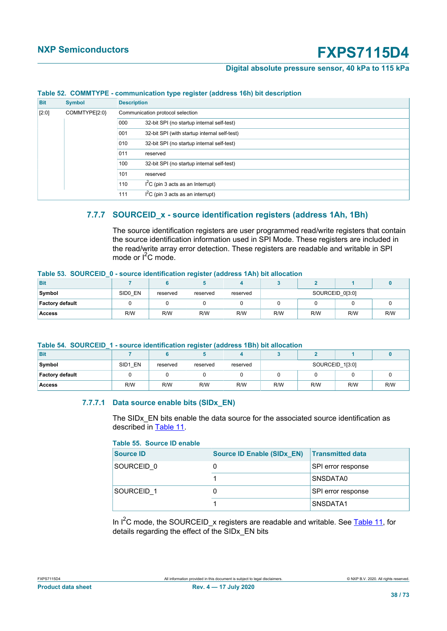#### **Digital absolute pressure sensor, 40 kPa to 115 kPa**

<span id="page-37-0"></span>

| <b>Bit</b> | <b>Symbol</b> | <b>Description</b>                                  |  |  |  |  |  |
|------------|---------------|-----------------------------------------------------|--|--|--|--|--|
| $[2:0]$    | COMMTYPE[2:0} | Communication protocol selection                    |  |  |  |  |  |
|            |               | 32-bit SPI (no startup internal self-test)<br>000   |  |  |  |  |  |
|            |               | 001<br>32-bit SPI (with startup internal self-test) |  |  |  |  |  |
|            |               | 010<br>32-bit SPI (no startup internal self-test)   |  |  |  |  |  |
|            |               | 011<br>reserved                                     |  |  |  |  |  |
|            |               | 100<br>32-bit SPI (no startup internal self-test)   |  |  |  |  |  |
|            |               | 101<br>reserved                                     |  |  |  |  |  |
|            |               | $I2C$ (pin 3 acts as an Interrupt)<br>110           |  |  |  |  |  |
|            |               | $I2C$ (pin 3 acts as an interrupt)<br>111           |  |  |  |  |  |

#### **Table 52. COMMTYPE - communication type register (address 16h) bit description**

### **7.7.7 SOURCEID\_x - source identification registers (address 1Ah, 1Bh)**

<span id="page-37-5"></span><span id="page-37-3"></span>The source identification registers are user programmed read/write registers that contain the source identification information used in SPI Mode. These registers are included in the read/write array error detection. These registers are readable and writable in SPI mode or  $I^2C$  mode.

#### **Table 53. SOURCEID\_0 - source identification register (address 1Ah) bit allocation**

| <b>Bit</b>             |         |          |          |          |                 |     |     |     |
|------------------------|---------|----------|----------|----------|-----------------|-----|-----|-----|
| Symbol                 | SIDO EN | reserved | reserved | reserved | SOURCEID 0[3:0] |     |     |     |
| <b>Factory default</b> |         |          |          |          |                 |     |     |     |
| <b>Access</b>          | R/W     | R/W      | R/W      | R/W      | R/W             | R/W | R/W | R/W |

#### **Table 54. SOURCEID\_1 - source identification register (address 1Bh) bit allocation**

| <b>Bit</b>             |         |          |          |          |                 |     |     |     |
|------------------------|---------|----------|----------|----------|-----------------|-----|-----|-----|
| Symbol                 | SID1 EN | reserved | reserved | reserved | SOURCEID_1[3:0] |     |     |     |
| <b>Factory default</b> |         |          |          |          |                 |     |     |     |
| <b>Access</b>          | R/W     | R/W      | R/W      | R/W      | R/W             | R/W | R/W | R/W |

#### <span id="page-37-4"></span>**7.7.7.1 Data source enable bits (SIDx\_EN)**

<span id="page-37-1"></span>The SIDx\_EN bits enable the data source for the associated source identification as described in [Table 11.](#page-18-0)

#### <span id="page-37-2"></span>**Table 55. Source ID enable**

| <b>Source ID</b> | <b>Source ID Enable (SIDx EN)</b> | <b>Transmitted data</b> |
|------------------|-----------------------------------|-------------------------|
| SOURCEID 0       | U                                 | SPI error response      |
|                  |                                   | SNSDATA0                |
| SOURCEID 1       | O                                 | SPI error response      |
|                  |                                   | SNSDATA1                |

In  $I^2C$  mode, the SOURCEID x registers are readable and writable. See [Table 11](#page-18-0), for details regarding the effect of the SIDx\_EN bits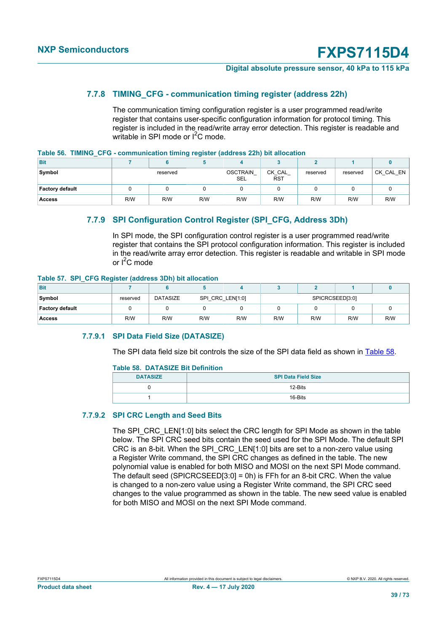#### **Digital absolute pressure sensor, 40 kPa to 115 kPa**

#### **7.7.8 TIMING\_CFG - communication timing register (address 22h)**

<span id="page-38-3"></span><span id="page-38-1"></span>The communication timing configuration register is a user programmed read/write register that contains user-specific configuration information for protocol timing. This register is included in the read/write array error detection. This register is readable and writable in SPI mode or  $I^2C$  mode.

|  |  |  | Table 56. TIMING_CFG - communication timing register (address 22h) bit allocation |  |  |  |  |
|--|--|--|-----------------------------------------------------------------------------------|--|--|--|--|
|--|--|--|-----------------------------------------------------------------------------------|--|--|--|--|

| <b>Bit</b>             |     |          |     |                               |                      |          |          |           |
|------------------------|-----|----------|-----|-------------------------------|----------------------|----------|----------|-----------|
| Symbol                 |     | reserved |     | <b>OSCTRAIN</b><br><b>SEL</b> | CK_CAL<br><b>RST</b> | reserved | reserved | CK_CAL_EN |
| <b>Factory default</b> |     |          |     |                               |                      |          |          |           |
| <b>Access</b>          | R/W | R/W      | R/W | R/W                           | R/W                  | R/W      | R/W      | R/W       |

### **7.7.9 SPI Configuration Control Register (SPI\_CFG, Address 3Dh)**

<span id="page-38-4"></span><span id="page-38-2"></span>In SPI mode, the SPI configuration control register is a user programmed read/write register that contains the SPI protocol configuration information. This register is included in the read/write array error detection. This register is readable and writable in SPI mode or  $I^2C$  mode

#### **Table 57. SPI\_CFG Register (address 3Dh) bit allocation**

| <b>Bit</b>             |          |                 |                  |     |     |                               |  |     |
|------------------------|----------|-----------------|------------------|-----|-----|-------------------------------|--|-----|
| Symbol                 | reserved | <b>DATASIZE</b> | SPI_CRC_LEN[1:0] |     |     | SPICRCSEED[3:0]<br>R/W<br>R/W |  |     |
| <b>Factory default</b> |          |                 |                  |     |     |                               |  |     |
| <b>Access</b>          | R/W      | R/W             | R/W              | R/W | R/W |                               |  | R/W |

#### **7.7.9.1 SPI Data Field Size (DATASIZE)**

<span id="page-38-5"></span>The SPI data field size bit controls the size of the SPI data field as shown in [Table 58](#page-38-0).

#### <span id="page-38-0"></span>**Table 58. DATASIZE Bit Definition**

| <b>DATASIZE</b> | <b>SPI Data Field Size</b> |
|-----------------|----------------------------|
|                 | 12-Bits                    |
|                 | 16-Bits                    |

#### **7.7.9.2 SPI CRC Length and Seed Bits**

<span id="page-38-6"></span>The SPI\_CRC\_LEN[1:0] bits select the CRC length for SPI Mode as shown in the table below. The SPI CRC seed bits contain the seed used for the SPI Mode. The default SPI CRC is an 8-bit. When the SPI\_CRC\_LEN[1:0] bits are set to a non-zero value using a Register Write command, the SPI CRC changes as defined in the table. The new polynomial value is enabled for both MISO and MOSI on the next SPI Mode command. The default seed (SPICRCSEED[3:0] = 0h) is FFh for an 8-bit CRC. When the value is changed to a non-zero value using a Register Write command, the SPI CRC seed changes to the value programmed as shown in the table. The new seed value is enabled for both MISO and MOSI on the next SPI Mode command.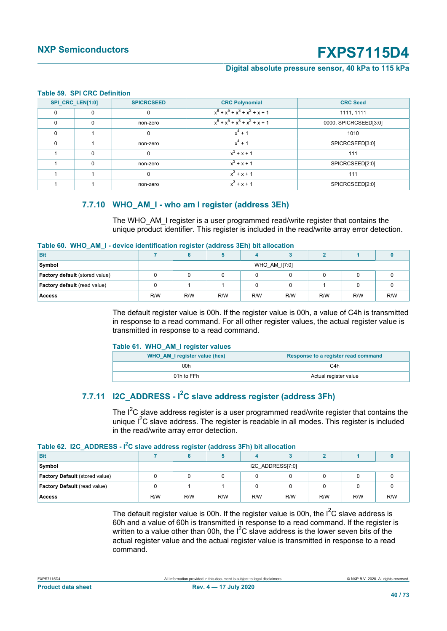#### **Digital absolute pressure sensor, 40 kPa to 115 kPa**

#### <span id="page-39-0"></span>**Table 59. SPI CRC Definition**

| SPI_CRC_LEN[1:0] |          | <b>SPICRCSEED</b> | <b>CRC Polynomial</b>           | <b>CRC Seed</b>       |
|------------------|----------|-------------------|---------------------------------|-----------------------|
| $\Omega$         | $\Omega$ | 0                 | $x^8 + x^5 + x^3 + x^2 + x + 1$ | 1111, 1111            |
| $\Omega$         | $\Omega$ | non-zero          | $x^8 + x^5 + x^3 + x^2 + x + 1$ | 0000, SPICRCSEED[3:0] |
| $\Omega$         |          | 0                 | $x^4$ + 1                       | 1010                  |
| $\Omega$         |          | non-zero          | $x^4$ + 1                       | SPICRCSEED[3:0]       |
|                  | $\Omega$ | $\Omega$          | $x^3 + x + 1$                   | 111                   |
|                  | $\Omega$ | non-zero          | $x^3 + x + 1$                   | SPICRCSEED[2:0]       |
|                  |          | $\mathbf 0$       | $x^3 + x + 1$                   | 111                   |
|                  |          | non-zero          | $x^3 + x + 1$                   | SPICRCSEED[2:0]       |

#### **7.7.10 WHO\_AM\_I - who am I register (address 3Eh)**

<span id="page-39-4"></span><span id="page-39-1"></span>The WHO\_AM\_I register is a user programmed read/write register that contains the unique product identifier. This register is included in the read/write array error detection.

#### **Table 60. WHO\_AM\_I - device identification register (address 3Eh) bit allocation**

|                                |     | . .           |     |     |     |     |     |     |  |
|--------------------------------|-----|---------------|-----|-----|-----|-----|-----|-----|--|
| <b>Bit</b>                     |     |               |     |     |     |     |     |     |  |
| Symbol                         |     | WHO AM I[7:0] |     |     |     |     |     |     |  |
| Factory default (stored value) |     |               |     |     |     |     |     |     |  |
| Factory default (read value)   |     |               |     |     |     |     |     |     |  |
| <b>Access</b>                  | R/W | R/W           | R/W | R/W | R/W | R/W | R/W | R/W |  |

The default register value is 00h. If the register value is 00h, a value of C4h is transmitted in response to a read command. For all other register values, the actual register value is transmitted in response to a read command.

#### <span id="page-39-2"></span>**Table 61. WHO\_AM\_I register values**

| WHO AM I register value (hex) | Response to a register read command |
|-------------------------------|-------------------------------------|
| 00h                           | C4h                                 |
| 01h to FFh                    | Actual register value               |

### **7.7.11 I2C\_ADDRESS - I2C slave address register (address 3Fh)**

<span id="page-39-5"></span><span id="page-39-3"></span>The  $I^2C$  slave address register is a user programmed read/write register that contains the unique  $I^2C$  slave address. The register is readable in all modes. This register is included in the read/write array error detection.

#### **Table 62. I2C\_ADDRESS - I2C slave address register (address 3Fh) bit allocation**

| Bit                                   |                  |     |     |     |     |     |     |     |
|---------------------------------------|------------------|-----|-----|-----|-----|-----|-----|-----|
| Symbol                                | I2C ADDRESS[7:0] |     |     |     |     |     |     |     |
| <b>Factory Default</b> (stored value) |                  |     |     |     |     |     |     |     |
| Factory Default (read value)          |                  |     |     |     |     |     |     |     |
| <b>Access</b>                         | R/W              | R/W | R/W | R/W | R/W | R/W | R/W | R/W |

The default register value is 00h. If the register value is 00h, the  $I^2C$  slave address is 60h and a value of 60h is transmitted in response to a read command. If the register is written to a value other than 00h, the  $I^2C$  slave address is the lower seven bits of the actual register value and the actual register value is transmitted in response to a read command.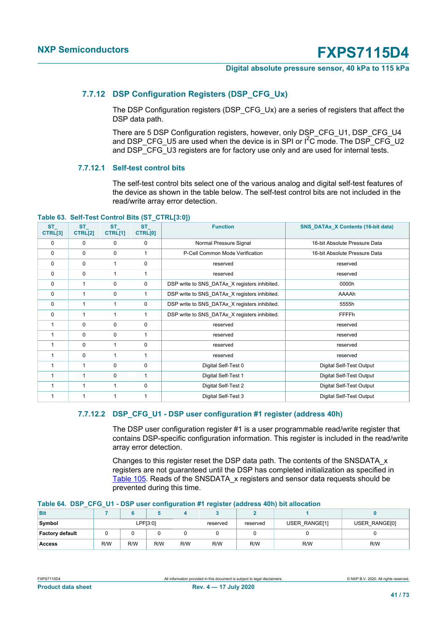#### **Digital absolute pressure sensor, 40 kPa to 115 kPa**

#### **7.7.12 DSP Configuration Registers (DSP\_CFG\_Ux)**

<span id="page-40-2"></span>The DSP Configuration registers (DSP\_CFG\_Ux) are a series of registers that affect the DSP data path.

There are 5 DSP Configuration registers, however, only DSP\_CFG\_U1, DSP\_CFG\_U4 and DSP\_CFG\_U5 are used when the device is in SPI or  $I^2C$  mode. The DSP\_CFG\_U2 and DSP\_CFG\_U3 registers are for factory use only and are used for internal tests.

#### **7.7.12.1 Self-test control bits**

<span id="page-40-3"></span><span id="page-40-0"></span>The self-test control bits select one of the various analog and digital self-test features of the device as shown in the table below. The self-test control bits are not included in the read/write array error detection.

**Table 63. Self-Test Control Bits (ST\_CTRL[3:0])**

| <b>ST</b><br>CTRL[3] | <b>ST</b><br>CTRL[2] | <b>ST</b><br>CTRL[1] | <b>ST</b><br>CTRL[0] | <b>Function</b>                               | <b>SNS_DATAx_X Contents (16-bit data)</b> |
|----------------------|----------------------|----------------------|----------------------|-----------------------------------------------|-------------------------------------------|
| 0                    | 0                    | 0                    | 0                    | Normal Pressure Signal                        | 16-bit Absolute Pressure Data             |
| $\mathbf 0$          | 0                    | 0                    | 1                    | P-Cell Common Mode Verification               | 16-bit Absolute Pressure Data             |
| $\mathbf 0$          | 0                    |                      | $\mathbf 0$          | reserved                                      | reserved                                  |
| 0                    | 0                    |                      | 1                    | reserved                                      | reserved                                  |
| $\mathbf 0$          | 1                    | 0                    | $\mathbf 0$          | DSP write to SNS DATAx X registers inhibited. | 0000h                                     |
| $\mathbf 0$          | 1                    | 0                    | 1                    | DSP write to SNS_DATAx_X registers inhibited. | AAAAh                                     |
| $\mathbf 0$          | 1                    | $\mathbf{1}$         | $\mathbf 0$          | DSP write to SNS_DATAx_X registers inhibited. | 5555h                                     |
| $\mathbf 0$          | 1                    | 1                    | 1                    | DSP write to SNS_DATAx_X registers inhibited. | FFFFh                                     |
| 1                    | 0                    | 0                    | $\mathbf 0$          | reserved                                      | reserved                                  |
|                      | 0                    | $\mathbf 0$          | 1                    | reserved                                      | reserved                                  |
|                      | 0                    | 1                    | $\mathbf 0$          | reserved                                      | reserved                                  |
|                      | 0                    | 1                    | 1                    | reserved                                      | reserved                                  |
|                      | $\mathbf{1}$         | $\mathbf 0$          | $\mathbf 0$          | Digital Self-Test 0                           | Digital Self-Test Output                  |
|                      | 1                    | 0                    | 1                    | Digital Self-Test 1                           | Digital Self-Test Output                  |
|                      | 1                    | 1                    | $\mathbf 0$          | Digital Self-Test 2                           | Digital Self-Test Output                  |
|                      | 1                    | 1                    | 1                    | Digital Self-Test 3                           | Digital Self-Test Output                  |

#### **7.7.12.2 DSP\_CFG\_U1 - DSP user configuration #1 register (address 40h)**

<span id="page-40-4"></span>The DSP user configuration register #1 is a user programmable read/write register that contains DSP-specific configuration information. This register is included in the read/write array error detection.

<span id="page-40-1"></span>Changes to this register reset the DSP data path. The contents of the SNSDATA\_x registers are not guaranteed until the DSP has completed initialization as specified in [Table 105](#page-55-0). Reads of the SNSDATA\_x registers and sensor data requests should be prevented during this time.

| <b>TADIC 04. DUE OF OF DUE USE COMPUTATIONS TO A CONTEXT AND CONTEXT</b> |     |     |     |          |          |                                |     |     |  |  |  |
|--------------------------------------------------------------------------|-----|-----|-----|----------|----------|--------------------------------|-----|-----|--|--|--|
| <b>Bit</b>                                                               |     |     |     |          |          |                                |     |     |  |  |  |
| Symbol<br>LPF[3:0]                                                       |     |     |     | reserved | reserved | USER RANGE[0]<br>USER RANGE[1] |     |     |  |  |  |
| <b>Factory default</b>                                                   |     |     |     |          |          |                                |     |     |  |  |  |
| <b>Access</b>                                                            | R/W | R/W | R/W | R/W      | R/W      | R/W                            | R/W | R/W |  |  |  |

#### **Table 64. DSP\_CFG\_U1 - DSP user configuration #1 register (address 40h) bit allocation**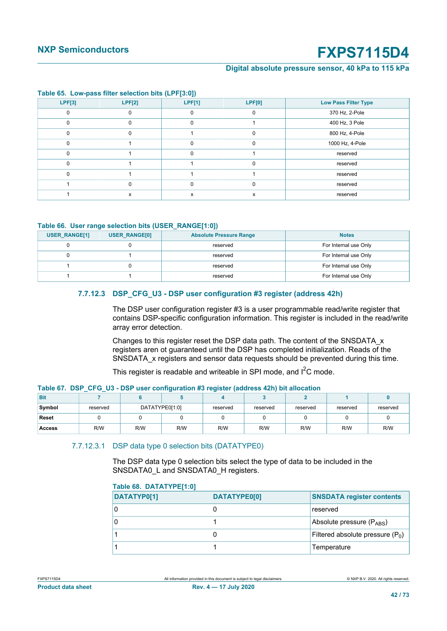#### **Digital absolute pressure sensor, 40 kPa to 115 kPa**

<span id="page-41-2"></span>

| Table co. Low page into coloction bits $\left  \begin{matrix} \ldots \\ \ldots \end{matrix} \right $ |          |               |        |                             |  |  |  |  |  |  |  |
|------------------------------------------------------------------------------------------------------|----------|---------------|--------|-----------------------------|--|--|--|--|--|--|--|
| LPF[3]                                                                                               | LPF[2]   | <b>LPF[1]</b> | LPF[0] | <b>Low Pass Filter Type</b> |  |  |  |  |  |  |  |
|                                                                                                      |          |               |        | 370 Hz, 2-Pole              |  |  |  |  |  |  |  |
| $\Omega$                                                                                             | $\Omega$ | 0             |        | 400 Hz, 3 Pole              |  |  |  |  |  |  |  |
|                                                                                                      | O        |               |        | 800 Hz, 4-Pole              |  |  |  |  |  |  |  |
|                                                                                                      |          |               | O      | 1000 Hz, 4-Pole             |  |  |  |  |  |  |  |
|                                                                                                      |          |               |        | reserved                    |  |  |  |  |  |  |  |
|                                                                                                      |          |               |        | reserved                    |  |  |  |  |  |  |  |
|                                                                                                      |          |               |        | reserved                    |  |  |  |  |  |  |  |
|                                                                                                      | $\Omega$ |               |        | reserved                    |  |  |  |  |  |  |  |
|                                                                                                      | X        |               | x      | reserved                    |  |  |  |  |  |  |  |

#### **Table 65. Low-pass filter selection bits (LPF[3:0])**

#### **Table 66. User range selection bits (USER\_RANGE[1:0])**

<span id="page-41-3"></span>

| <b>USER RANGE[1]</b> | <b>USER RANGE[0]</b> | <b>Absolute Pressure Range</b> | <b>Notes</b>          |
|----------------------|----------------------|--------------------------------|-----------------------|
|                      |                      | reserved                       | For Internal use Only |
|                      |                      | reserved                       | For Internal use Only |
|                      |                      | reserved                       | For Internal use Only |
|                      |                      | reserved                       | For Internal use Only |

#### **7.7.12.3 DSP\_CFG\_U3 - DSP user configuration #3 register (address 42h)**

<span id="page-41-0"></span>The DSP user configuration register #3 is a user programmable read/write register that contains DSP-specific configuration information. This register is included in the read/write array error detection.

Changes to this register reset the DSP data path. The content of the SNSDATA\_x registers aren ot guaranteed until the DSP has completed initialization. Reads of the SNSDATA x registers and sensor data requests should be prevented during this time.

<span id="page-41-4"></span>This register is readable and writeable in SPI mode, and  $I^2C$  mode.

| <u>ser weer comingwration he regioner passives ranged with an estimate</u> |          |                |  |          |          |          |          |          |  |  |  |
|----------------------------------------------------------------------------|----------|----------------|--|----------|----------|----------|----------|----------|--|--|--|
| <b>Bit</b>                                                                 |          |                |  |          |          |          |          |          |  |  |  |
| Symbol                                                                     | reserved | DATATYPE0[1:0] |  | reserved | reserved | reserved | reserved | reserved |  |  |  |
| Reset                                                                      |          |                |  |          |          |          |          |          |  |  |  |
| Access                                                                     | R/W      | R/W<br>R/W     |  | R/W      | R/W      | R/W      | R/W      | R/W      |  |  |  |

#### **Table 67. DSP\_CFG\_U3 - DSP user configuration #3 register (address 42h) bit allocation**

#### 7.7.12.3.1 DSP data type 0 selection bits (DATATYPE0)

<span id="page-41-1"></span>The DSP data type 0 selection bits select the type of data to be included in the SNSDATA0\_L and SNSDATA0\_H registers.

<span id="page-41-5"></span>

| Table 68.  DATATYPE[1:0] |  |  |
|--------------------------|--|--|
|--------------------------|--|--|

| __          |              |                                    |
|-------------|--------------|------------------------------------|
| DATATYP0[1] | DATATYPE0[0] | <b>SNSDATA register contents</b>   |
|             |              | reserved                           |
|             |              | Absolute pressure (PABS)           |
|             |              | Filtered absolute pressure $(P_0)$ |
|             |              | Temperature                        |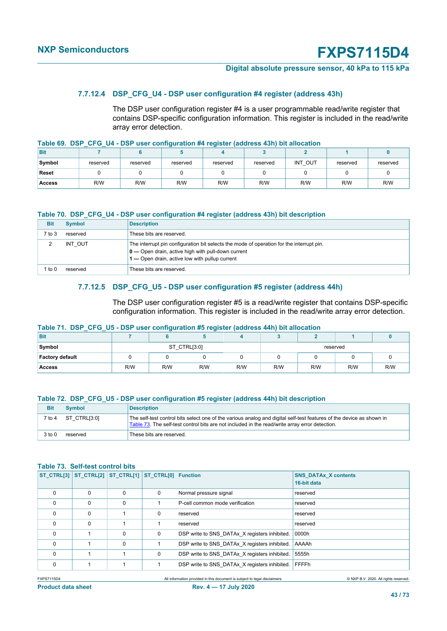#### **Digital absolute pressure sensor, 40 kPa to 115 kPa**

#### **7.7.12.4 DSP\_CFG\_U4 - DSP user configuration #4 register (address 43h)**

<span id="page-42-5"></span><span id="page-42-1"></span>The DSP user configuration register #4 is a user programmable read/write register that contains DSP-specific configuration information. This register is included in the read/write array error detection.

#### **Table 69. DSP\_CFG\_U4 - DSP user configuration #4 register (address 43h) bit allocation**

| <b>Bit</b>    |          |          |          |          |          |         |          |          |
|---------------|----------|----------|----------|----------|----------|---------|----------|----------|
| Symbol        | reserved | reserved | reserved | reserved | reserved | INT OUT | reserved | reserved |
| Reset         |          |          |          |          |          |         |          |          |
| <b>Access</b> | R/W      | R/W      | R/W      | R/W      | R/W      | R/W     | R/W      | R/W      |

#### <span id="page-42-2"></span>**Table 70. DSP\_CFG\_U4 - DSP user configuration #4 register (address 43h) bit description**

| <b>Bit</b> | <b>Symbol</b> | <b>Description</b>                                                                                                                                                                                          |
|------------|---------------|-------------------------------------------------------------------------------------------------------------------------------------------------------------------------------------------------------------|
| 7 to 3     | reserved      | These bits are reserved.                                                                                                                                                                                    |
| ົ          | INT OUT       | The interrupt pin configuration bit selects the mode of operation for the interrupt pin.<br>$\mathbf{0}$ – Open drain, active high with pull-down current<br>1 — Open drain, active low with pullup current |
| to 0       | reserved      | These bits are reserved.                                                                                                                                                                                    |

#### **7.7.12.5 DSP\_CFG\_U5 - DSP user configuration #5 register (address 44h)**

<span id="page-42-6"></span><span id="page-42-3"></span>The DSP user configuration register #5 is a read/write register that contains DSP-specific configuration information. This register is included in the read/write array error detection.

#### **Table 71. DSP\_CFG\_U5 - DSP user configuration #5 register (address 44h) bit allocation**

| <b>Bit</b>             |     |              |     |     |          |     |     |     |  |  |
|------------------------|-----|--------------|-----|-----|----------|-----|-----|-----|--|--|
| Symbol                 |     | ST CTRL[3:0] |     |     | reserved |     |     |     |  |  |
| <b>Factory default</b> |     |              |     |     |          |     |     |     |  |  |
| <b>Access</b>          | R/W | R/W          | R/W | R/W | R/W      | R/W | R/W | R/W |  |  |

#### **Table 72. DSP\_CFG\_U5 - DSP user configuration #5 register (address 44h) bit description**

<span id="page-42-4"></span>

| <b>Bit</b> | <b>Symbol</b>     | <b>Description</b>                                                                                                                                                                                                     |
|------------|-------------------|------------------------------------------------------------------------------------------------------------------------------------------------------------------------------------------------------------------------|
| 7 to 4     | $ST$ CTRL $[3:0]$ | The self-test control bits select one of the various analog and digital self-test features of the device as shown in<br>Table 73. The self-test control bits are not included in the read/write array error detection. |
| 3 to 0     | reserved          | These bits are reserved.                                                                                                                                                                                               |

#### **Table 73. Self-test control bits**

<span id="page-42-0"></span>

|          | ST_CTRL[3] ST_CTRL[2] ST_CTRL[1] ST_CTRL[0] Function |          |   |                                               | <b>SNS DATAX X contents</b><br>16-bit data |
|----------|------------------------------------------------------|----------|---|-----------------------------------------------|--------------------------------------------|
| $\Omega$ | $\Omega$                                             | $\Omega$ | 0 | Normal pressure signal                        | reserved                                   |
| $\Omega$ | $\Omega$                                             | $\Omega$ |   | P-cell common mode verification               | reserved                                   |
| $\Omega$ | $\Omega$                                             |          | 0 | reserved                                      | reserved                                   |
| $\Omega$ | $\Omega$                                             |          |   | reserved                                      | reserved                                   |
| $\Omega$ |                                                      | $\Omega$ | 0 | DSP write to SNS DATAx X registers inhibited. | 0000h                                      |
| $\Omega$ |                                                      | $\Omega$ |   | DSP write to SNS DATAx X registers inhibited. | AAAAh                                      |
| $\Omega$ |                                                      |          | 0 | DSP write to SNS DATAx X registers inhibited. | 5555h                                      |
| $\Omega$ |                                                      |          |   | DSP write to SNS DATAx X registers inhibited. | FFFFh                                      |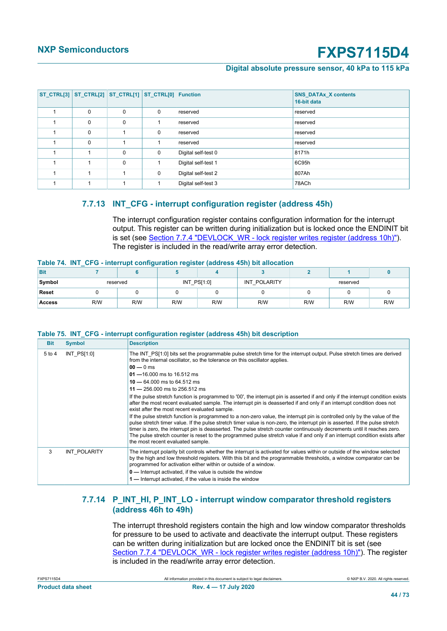#### **Digital absolute pressure sensor, 40 kPa to 115 kPa**

|             |          | ST_CTRL[3] ST_CTRL[2] ST_CTRL[1] ST_CTRL[0] Function |                     | <b>SNS DATAx X contents</b><br>16-bit data |
|-------------|----------|------------------------------------------------------|---------------------|--------------------------------------------|
| $\mathbf 0$ | 0        | 0                                                    | reserved            | reserved                                   |
| 0           | 0        |                                                      | reserved            | reserved                                   |
| $\mathbf 0$ |          | $\mathbf 0$                                          | reserved            | reserved                                   |
| $\Omega$    |          |                                                      | reserved            | reserved                                   |
|             | $\Omega$ | 0                                                    | Digital self-test 0 | 8171h                                      |
|             | $\Omega$ |                                                      | Digital self-test 1 | 6C95h                                      |
|             |          | $\mathbf 0$                                          | Digital self-test 2 | 807Ah                                      |
|             |          |                                                      | Digital self-test 3 | 78ACh                                      |

#### **7.7.13 INT\_CFG - interrupt configuration register (address 45h)**

<span id="page-43-2"></span><span id="page-43-0"></span>The interrupt configuration register contains configuration information for the interrupt output. This register can be written during initialization but is locked once the ENDINIT bit is set (see [Section 7.7.4 "DEVLOCK\\_WR - lock register writes register \(address 10h\)"\)](#page-34-0). The register is included in the read/write array error detection.

#### **Table 74. INT\_CFG - interrupt configuration register (address 45h) bit allocation**

| <b>Bit</b>    |          |     |               |     |              |          |     |     |
|---------------|----------|-----|---------------|-----|--------------|----------|-----|-----|
| Symbol        | reserved |     | $INT_PS[1:0]$ |     | INT POLARITY | reserved |     |     |
| <b>Reset</b>  |          |     |               |     |              |          |     |     |
| <b>Access</b> | R/W      | R/W | R/W           | R/W | R/W          | R/W      | R/W | R/W |

#### **Table 75. INT\_CFG - interrupt configuration register (address 45h) bit description**

<span id="page-43-1"></span>

| <b>Bit</b> | <b>Symbol</b>   | <b>Description</b>                                                                                                                                                                                                                                                                                                                                                                                                                                                                                                                                                                                                                                                                                                                                                                                                                                                                                                                                                                                                                                                                                                                                                                                   |
|------------|-----------------|------------------------------------------------------------------------------------------------------------------------------------------------------------------------------------------------------------------------------------------------------------------------------------------------------------------------------------------------------------------------------------------------------------------------------------------------------------------------------------------------------------------------------------------------------------------------------------------------------------------------------------------------------------------------------------------------------------------------------------------------------------------------------------------------------------------------------------------------------------------------------------------------------------------------------------------------------------------------------------------------------------------------------------------------------------------------------------------------------------------------------------------------------------------------------------------------------|
| 5 to 4     | $INT$ $PS[1:0]$ | The INT PS[1:0] bits set the programmable pulse stretch time for the interrupt output. Pulse stretch times are derived<br>from the internal oscillator, so the tolerance on this oscillator applies.<br>$00 - 0$ ms<br>$01 - 16.000$ ms to 16.512 ms<br>$10 - 64.000$ ms to 64.512 ms<br>$11 - 256.000$ ms to 256.512 ms<br>If the pulse stretch function is programmed to '00', the interrupt pin is asserted if and only if the interrupt condition exists<br>after the most recent evaluated sample. The interrupt pin is deasserted if and only if an interrupt condition does not<br>exist after the most recent evaluated sample.<br>If the pulse stretch function is programmed to a non-zero value, the interrupt pin is controlled only by the value of the<br>pulse stretch timer value. If the pulse stretch timer value is non-zero, the interrupt pin is asserted. If the pulse stretch<br>timer is zero, the interrupt pin is deasserted. The pulse stretch counter continuously decrements until it reaches zero.<br>The pulse stretch counter is reset to the programmed pulse stretch value if and only if an interrupt condition exists after<br>the most recent evaluated sample. |
| 3          |                 |                                                                                                                                                                                                                                                                                                                                                                                                                                                                                                                                                                                                                                                                                                                                                                                                                                                                                                                                                                                                                                                                                                                                                                                                      |
|            | INT POLARITY    | The interrupt polarity bit controls whether the interrupt is activated for values within or outside of the window selected<br>by the high and low threshold registers. With this bit and the programmable thresholds, a window comparator can be<br>programmed for activation either within or outside of a window.<br>0 — Interrupt activated, if the value is outside the window<br>1 — Interrupt activated, if the value is inside the window                                                                                                                                                                                                                                                                                                                                                                                                                                                                                                                                                                                                                                                                                                                                                     |

#### **7.7.14 P\_INT\_HI, P\_INT\_LO - interrupt window comparator threshold registers (address 46h to 49h)**

<span id="page-43-3"></span>The interrupt threshold registers contain the high and low window comparator thresholds for pressure to be used to activate and deactivate the interrupt output. These registers can be written during initialization but are locked once the ENDINIT bit is set (see [Section 7.7.4 "DEVLOCK\\_WR - lock register writes register \(address 10h\)"](#page-34-0)). The register is included in the read/write array error detection.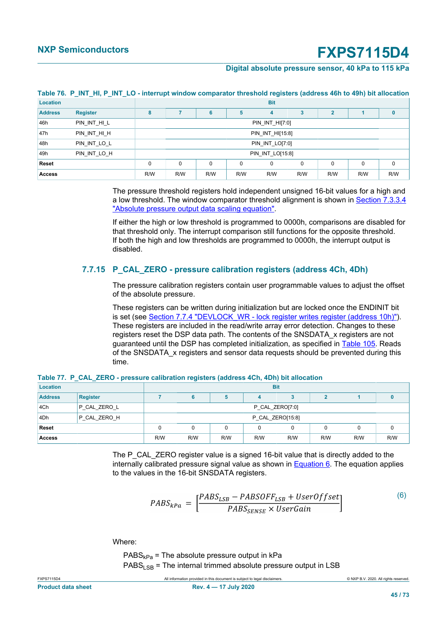#### **Digital absolute pressure sensor, 40 kPa to 115 kPa**

| Location       |                 | <b>Bit</b> |                  |          |          |                 |          |                |          |             |
|----------------|-----------------|------------|------------------|----------|----------|-----------------|----------|----------------|----------|-------------|
| <b>Address</b> | <b>Register</b> | 8          |                  | 6        | 5        | 4               |          | $\overline{2}$ |          | 0           |
| 46h            | PIN_INT_HI_L    |            | PIN_INT_HI[7:0]  |          |          |                 |          |                |          |             |
| 47h            | PIN INT HI H    |            | PIN_INT_HI[15:8] |          |          |                 |          |                |          |             |
| 48h            | PIN_INT_LO_L    |            |                  |          |          | PIN INT LO[7:0] |          |                |          |             |
| 49h            | PIN INT LO H    |            | PIN_INT_LO[15:8] |          |          |                 |          |                |          |             |
| Reset          |                 | 0          | 0                | $\Omega$ | $\Omega$ | 0               | $\Omega$ | $\Omega$       | $\Omega$ | $\mathbf 0$ |
| <b>Access</b>  |                 | R/W        | R/W              | R/W      | R/W      | R/W             | R/W      | R/W            | R/W      | R/W         |

### <span id="page-44-1"></span>**Table 76. P\_INT\_HI, P\_INT\_LO - interrupt window comparator threshold registers (address 46h to 49h) bit allocation**

The pressure threshold registers hold independent unsigned 16-bit values for a high and a low threshold. The window comparator threshold alignment is shown in [Section 7.3.3.4](#page-10-0) ["Absolute pressure output data scaling equation"](#page-10-0).

If either the high or low threshold is programmed to 0000h, comparisons are disabled for that threshold only. The interrupt comparison still functions for the opposite threshold. If both the high and low thresholds are programmed to 0000h, the interrupt output is disabled.

#### **7.7.15 P\_CAL\_ZERO - pressure calibration registers (address 4Ch, 4Dh)**

<span id="page-44-3"></span>The pressure calibration registers contain user programmable values to adjust the offset of the absolute pressure.

<span id="page-44-2"></span>These registers can be written during initialization but are locked once the ENDINIT bit is set (see [Section 7.7.4 "DEVLOCK\\_WR - lock register writes register \(address 10h\)"\)](#page-34-0). These registers are included in the read/write array error detection. Changes to these registers reset the DSP data path. The contents of the SNSDATA\_x registers are not guaranteed until the DSP has completed initialization, as specified in [Table 105.](#page-55-0) Reads of the SNSDATA\_x registers and sensor data requests should be prevented during this time.

| Location                    |                 |  |                  |     |     | <b>Bit</b> |     |     |     |
|-----------------------------|-----------------|--|------------------|-----|-----|------------|-----|-----|-----|
| <b>Address</b>              | <b>Register</b> |  |                  |     |     |            |     |     |     |
| 4 <sub>Ch</sub>             | P_CAL_ZERO_L    |  | P_CAL_ZERO[7:0]  |     |     |            |     |     |     |
| 4Dh                         | P_CAL_ZERO_H    |  | P_CAL_ZERO[15:8] |     |     |            |     |     |     |
| <b>Reset</b>                | 0<br>0          |  |                  |     |     |            |     |     |     |
| R/W<br>R/W<br><b>Access</b> |                 |  |                  | R/W | R/W | R/W        | R/W | R/W | R/W |

**Table 77. P\_CAL\_ZERO - pressure calibration registers (address 4Ch, 4Dh) bit allocation**

<span id="page-44-0"></span>The P\_CAL\_ZERO register value is a signed 16-bit value that is directly added to the internally calibrated pressure signal value as shown in [Equation 6](#page-44-0). The equation applies to the values in the 16-bit SNSDATA registers.

$$
PABS_{kPa} = \left[\frac{PABS_{LSB} - PABSOFF_{LSB} + UserOffset}{PABS_{SENSE} \times UserGain}\right]
$$
\n<sup>(6)</sup>

Where:

 $PABS_{kPa}$  = The absolute pressure output in kPa  $PABS_{LSB}$  = The internal trimmed absolute pressure output in LSB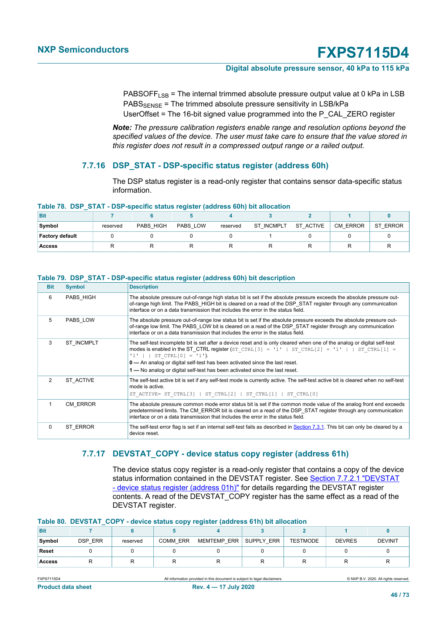#### **Digital absolute pressure sensor, 40 kPa to 115 kPa**

PABSOFF<sub>LSB</sub> = The internal trimmed absolute pressure output value at 0 kPa in LSB  $PABS_{SPNSF}$  = The trimmed absolute pressure sensitivity in LSB/kPa UserOffset = The 16-bit signed value programmed into the P\_CAL\_ZERO register

*Note: The pressure calibration registers enable range and resolution options beyond the specified values of the device. The user must take care to ensure that the value stored in this register does not result in a compressed output range or a railed output.*

#### **7.7.16 DSP\_STAT - DSP-specific status register (address 60h)**

<span id="page-45-0"></span>The DSP status register is a read-only register that contains sensor data-specific status information.

|  |  | Table 78. DSP_STAT - DSP-specific status register (address 60h) bit allocation |  |  |  |
|--|--|--------------------------------------------------------------------------------|--|--|--|
|--|--|--------------------------------------------------------------------------------|--|--|--|

| <b>Bit</b>             |          |           |          |          |                   |           |          |          |
|------------------------|----------|-----------|----------|----------|-------------------|-----------|----------|----------|
| Symbol                 | reserved | PABS HIGH | PABS LOW | reserved | <b>ST INCMPLT</b> | ST ACTIVE | CM ERROR | ST ERROR |
| <b>Factory default</b> |          |           |          |          |                   |           |          |          |
| Access                 |          |           |          |          |                   |           |          |          |

#### **Table 79. DSP\_STAT - DSP-specific status register (address 60h) bit description**

<span id="page-45-1"></span>

| <b>Bit</b> | <b>Symbol</b>     | <b>Description</b>                                                                                                                                                                                                                                                                                                                                                                                                         |
|------------|-------------------|----------------------------------------------------------------------------------------------------------------------------------------------------------------------------------------------------------------------------------------------------------------------------------------------------------------------------------------------------------------------------------------------------------------------------|
| 6          | PABS HIGH         | The absolute pressure out-of-range high status bit is set if the absolute pressure exceeds the absolute pressure out-<br>of-range high limit. The PABS HIGH bit is cleared on a read of the DSP STAT register through any communication<br>interface or on a data transmission that includes the error in the status field.                                                                                                |
| 5          | PABS LOW          | The absolute pressure out-of-range low status bit is set if the absolute pressure exceeds the absolute pressure out-<br>of-range low limit. The PABS LOW bit is cleared on a read of the DSP STAT register through any communication<br>interface or on a data transmission that includes the error in the status field.                                                                                                   |
| 3          | <b>ST INCMPLT</b> | The self-test incomplete bit is set after a device reset and is only cleared when one of the analog or digital self-test<br>modes is enabled in the ST CTRL register (ST CTRL[3] = '1'   ST CTRL[2] = '1'     ST CTRL[1] =<br>'1' $ $   ST CTRL[0] = '1').<br>$0$ — An analog or digital self-test has been activated since the last reset.<br>1 — No analog or digital self-test has been activated since the last reset. |
| 2          | ST ACTIVE         | The self-test active bit is set if any self-test mode is currently active. The self-test active bit is cleared when no self-test<br>mode is active.<br>ST ACTIVE= ST CTRL[3]   ST CTRL[2]   ST CTRL[1]   ST CTRL[0]                                                                                                                                                                                                        |
|            | CM ERROR          | The absolute pressure common mode error status bit is set if the common mode value of the analog front end exceeds<br>predetermined limits. The CM ERROR bit is cleared on a read of the DSP STAT register through any communication<br>interface or on a data transmission that includes the error in the status field.                                                                                                   |
| $\Omega$   | ST ERROR          | The self-test error flag is set if an internal self-test fails as described in Section 7.3.1. This bit can only be cleared by a<br>device reset.                                                                                                                                                                                                                                                                           |

#### **7.7.17 DEVSTAT\_COPY - device status copy register (address 61h)**

<span id="page-45-2"></span>The device status copy register is a read-only register that contains a copy of the device status information contained in the DEVSTAT register. See [Section 7.7.2.1 "DEVSTAT](#page-30-0) [- device status register \(address 01h\)"](#page-30-0) for details regarding the DEVSTAT register contents. A read of the DEVSTAT\_COPY register has the same effect as a read of the DEVSTAT register.

#### **Table 80. DEVSTAT\_COPY - device status copy register (address 61h) bit allocation**

| <b>Bit</b> |                |          |                 |             |            |                 |               |                |
|------------|----------------|----------|-----------------|-------------|------------|-----------------|---------------|----------------|
| Symbol     | <b>DSP ERR</b> | reserved | <b>COMM ERR</b> | MEMTEMP ERR | SUPPLY ERR | <b>TESTMODE</b> | <b>DEVRES</b> | <b>DEVINIT</b> |
| Reset      |                |          |                 |             |            |                 |               |                |
| Access     |                |          |                 |             |            |                 |               |                |

FXPS7115D4 All information provided in this document is subject to legal disclaimers. © NXP B.V. 2020. All rights reserved.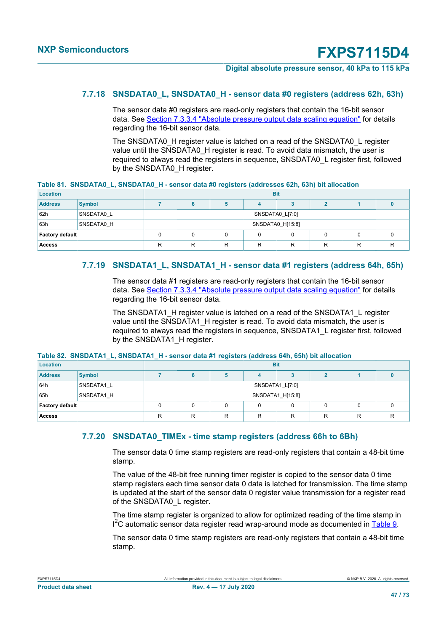#### **Digital absolute pressure sensor, 40 kPa to 115 kPa**

#### **7.7.18 SNSDATA0\_L, SNSDATA0\_H - sensor data #0 registers (address 62h, 63h)**

The sensor data #0 registers are read-only registers that contain the 16-bit sensor data. See [Section 7.3.3.4 "Absolute pressure output data scaling equation"](#page-10-0) for details regarding the 16-bit sensor data.

<span id="page-46-0"></span>The SNSDATA0\_H register value is latched on a read of the SNSDATA0\_L register value until the SNSDATA0\_H register is read. To avoid data mismatch, the user is required to always read the registers in sequence, SNSDATA0\_L register first, followed by the SNSDATA0\_H register.

| Table 81.  SNSDATA0_L, SNSDATA0_H - sensor data #0 registers (addresses 62h, 63h) bit allocation |  |  |  |
|--------------------------------------------------------------------------------------------------|--|--|--|
|                                                                                                  |  |  |  |

| Location        |               | <b>Bit</b>                      |                  |  |                 |  |  |  |  |  |  |
|-----------------|---------------|---------------------------------|------------------|--|-----------------|--|--|--|--|--|--|
| <b>Address</b>  | <b>Symbol</b> |                                 |                  |  |                 |  |  |  |  |  |  |
| 62h             | SNSDATA0 L    |                                 |                  |  | SNSDATA0 L[7:0] |  |  |  |  |  |  |
| 63h             | SNSDATA0 H    |                                 | SNSDATA0 H[15:8] |  |                 |  |  |  |  |  |  |
| Factory default |               |                                 | υ                |  |                 |  |  |  |  |  |  |
| <b>Access</b>   |               | R<br>R<br>R<br>R<br>R<br>R<br>R |                  |  |                 |  |  |  |  |  |  |

#### **7.7.19 SNSDATA1\_L, SNSDATA1\_H - sensor data #1 registers (address 64h, 65h)**

The sensor data #1 registers are read-only registers that contain the 16-bit sensor data. See [Section 7.3.3.4 "Absolute pressure output data scaling equation"](#page-10-0) for details regarding the 16-bit sensor data.

<span id="page-46-1"></span>The SNSDATA1\_H register value is latched on a read of the SNSDATA1\_L register value until the SNSDATA1\_H register is read. To avoid data mismatch, the user is required to always read the registers in sequence, SNSDATA1\_L register first, followed by the SNSDATA1\_H register.

#### **Table 82. SNSDATA1\_L, SNSDATA1\_H - sensor data #1 registers (address 64h, 65h) bit allocation**

| Location               |               | <b>Bit</b>                           |                 |  |  |  |  |  |  |  |  |
|------------------------|---------------|--------------------------------------|-----------------|--|--|--|--|--|--|--|--|
| <b>Address</b>         | <b>Symbol</b> |                                      |                 |  |  |  |  |  |  |  |  |
| 64h                    | SNSDATA1 L    |                                      | SNSDATA1 L[7:0] |  |  |  |  |  |  |  |  |
| 65h                    | SNSDATA1 H    | SNSDATA1_H[15:8]                     |                 |  |  |  |  |  |  |  |  |
| <b>Factory default</b> |               | τ.                                   |                 |  |  |  |  |  |  |  |  |
| <b>Access</b>          |               | R<br>R<br>R<br>R<br>R<br>R<br>R<br>R |                 |  |  |  |  |  |  |  |  |

#### **7.7.20 SNSDATA0\_TIMEx - time stamp registers (address 66h to 6Bh)**

The sensor data 0 time stamp registers are read-only registers that contain a 48-bit time stamp.

The value of the 48-bit free running timer register is copied to the sensor data 0 time stamp registers each time sensor data 0 data is latched for transmission. The time stamp is updated at the start of the sensor data 0 register value transmission for a register read of the SNSDATA0\_L register.

The time stamp register is organized to allow for optimized reading of the time stamp in I<sup>2</sup>C automatic sensor data register read wrap-around mode as documented in [Table 9.](#page-16-0)

The sensor data 0 time stamp registers are read-only registers that contain a 48-bit time stamp.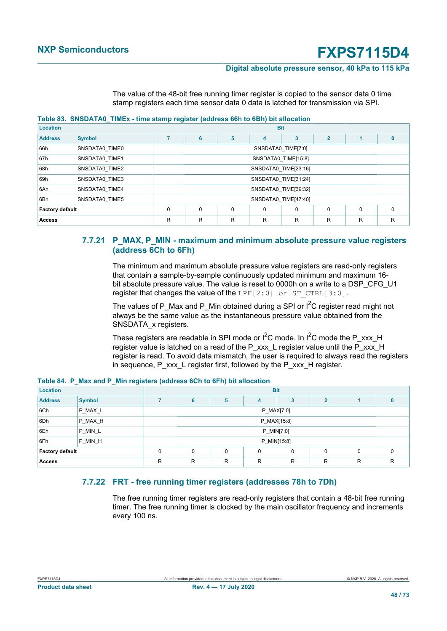#### **Digital absolute pressure sensor, 40 kPa to 115 kPa**

<span id="page-47-2"></span>The value of the 48-bit free running timer register is copied to the sensor data 0 time stamp registers each time sensor data 0 data is latched for transmission via SPI.

#### **Table 83. SNSDATA0\_TIMEx - time stamp register (address 66h to 6Bh) bit allocation**

| <b>Location</b>        |                                                     | <b>Bit</b>                      |                    |   |                |                      |                |          |              |  |  |
|------------------------|-----------------------------------------------------|---------------------------------|--------------------|---|----------------|----------------------|----------------|----------|--------------|--|--|
| <b>Address</b>         | <b>Symbol</b>                                       |                                 | 6                  | 5 | $\overline{4}$ | 3                    | $\overline{2}$ |          | $\mathbf{0}$ |  |  |
| 66h                    | SNSDATA0_TIME0                                      |                                 | SNSDATA0_TIME[7:0] |   |                |                      |                |          |              |  |  |
| 67h                    | SNSDATA0 TIME1                                      |                                 |                    |   |                | SNSDATA0_TIME[15:8]  |                |          |              |  |  |
| 68h                    | SNSDATA0_TIME2                                      | SNSDATA0 TIME[23:16]            |                    |   |                |                      |                |          |              |  |  |
| 69h                    | SNSDATA0_TIME3                                      |                                 |                    |   |                | SNSDATA0_TIME[31:24] |                |          |              |  |  |
| 6Ah                    | SNSDATA0 TIME4                                      |                                 |                    |   |                | SNSDATA0 TIME[39:32] |                |          |              |  |  |
| 6Bh                    | SNSDATA0 TIME5                                      |                                 |                    |   |                | SNSDATA0 TIME[47:40] |                |          |              |  |  |
| <b>Factory default</b> | 0<br>$\mathbf 0$<br>0<br>0<br>0<br>0<br>$\mathbf 0$ |                                 |                    |   |                |                      |                | $\Omega$ |              |  |  |
| <b>Access</b>          |                                                     | R<br>R<br>R<br>R<br>R<br>R<br>R |                    |   |                |                      |                | R        |              |  |  |

#### **7.7.21 P\_MAX, P\_MIN - maximum and minimum absolute pressure value registers (address 6Ch to 6Fh)**

<span id="page-47-0"></span>The minimum and maximum absolute pressure value registers are read-only registers that contain a sample-by-sample continuously updated minimum and maximum 16 bit absolute pressure value. The value is reset to 0000h on a write to a DSP\_CFG\_U1 register that changes the value of the LPF $[2:0]$  or ST CTRL $[3:0]$ .

The values of P\_Max and P\_Min obtained during a SPI or  $I^2C$  register read might not always be the same value as the instantaneous pressure value obtained from the SNSDATA\_x registers.

<span id="page-47-3"></span>These registers are readable in SPI mode or  $I^2C$  mode. In  $I^2C$  mode the P\_xxx\_H register value is latched on a read of the P\_xxx\_L register value until the P\_xxx\_H register is read. To avoid data mismatch, the user is required to always read the registers in sequence, P\_xxx\_L register first, followed by the P\_xxx\_H register.

| Location                                                            |                        |   |             |   |             | <b>Bit</b> |   |   |              |
|---------------------------------------------------------------------|------------------------|---|-------------|---|-------------|------------|---|---|--------------|
| <b>Address</b>                                                      | <b>Symbol</b>          |   | 6           | 5 | 4           | 3          | 2 |   | $\bf{0}$     |
| 6Ch                                                                 | P MAX L                |   | P_MAX[7:0]  |   |             |            |   |   |              |
| 6Dh                                                                 | P_MAX_H                |   | P_MAX[15:8] |   |             |            |   |   |              |
| 6Eh                                                                 | $P$ <sub>MIN</sub> $L$ |   |             |   | P_MIN[7:0]  |            |   |   |              |
| 6Fh                                                                 | P_MIN_H                |   |             |   | P_MIN[15:8] |            |   |   |              |
| <b>Factory default</b><br>0<br>0<br>$\mathbf 0$<br>0<br>0<br>0<br>0 |                        |   |             |   | $\Omega$    |            |   |   |              |
| <b>Access</b>                                                       |                        | R | R           | R | R           | R          | R | R | $\mathsf{R}$ |

**Table 84. P\_Max and P\_Min registers (address 6Ch to 6Fh) bit allocation**

### **7.7.22 FRT - free running timer registers (addresses 78h to 7Dh)**

<span id="page-47-1"></span>The free running timer registers are read-only registers that contain a 48-bit free running timer. The free running timer is clocked by the main oscillator frequency and increments every 100 ns.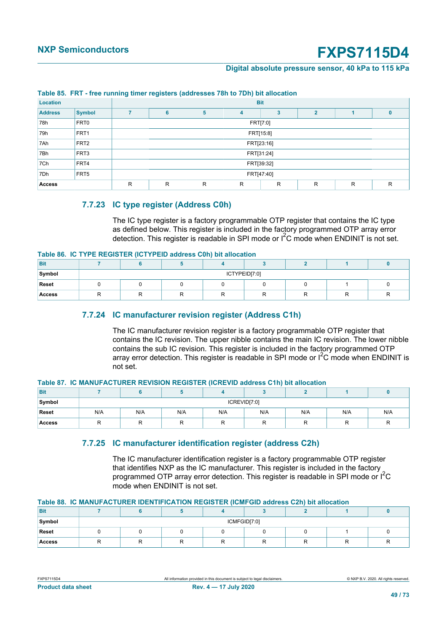#### **Digital absolute pressure sensor, 40 kPa to 115 kPa**

<span id="page-48-0"></span>

|                 | Table 00. TIME THee Turning three registers (addresses for to fbir) bit anotation |                                 |                                    |  |            |  |  |  |   |  |  |
|-----------------|-----------------------------------------------------------------------------------|---------------------------------|------------------------------------|--|------------|--|--|--|---|--|--|
| <b>Location</b> |                                                                                   |                                 |                                    |  | <b>Bit</b> |  |  |  |   |  |  |
| <b>Address</b>  | <b>Symbol</b>                                                                     |                                 | $\overline{2}$<br>6<br>5<br>3<br>4 |  |            |  |  |  |   |  |  |
| 78h             | FRT0                                                                              |                                 | FRT[7:0]                           |  |            |  |  |  |   |  |  |
| 79h             | FRT <sub>1</sub>                                                                  |                                 |                                    |  | FRT[15:8]  |  |  |  |   |  |  |
| 7Ah             | FRT <sub>2</sub>                                                                  |                                 | FRT[23:16]                         |  |            |  |  |  |   |  |  |
| 7Bh             | FRT <sub>3</sub>                                                                  |                                 |                                    |  | FRT[31:24] |  |  |  |   |  |  |
| 7Ch             | FRT4                                                                              |                                 |                                    |  | FRT[39:32] |  |  |  |   |  |  |
| 7Dh             | FRT <sub>5</sub>                                                                  |                                 | FRT[47:40]                         |  |            |  |  |  |   |  |  |
| <b>Access</b>   |                                                                                   | R<br>R<br>R<br>R<br>R<br>R<br>R |                                    |  |            |  |  |  | R |  |  |

#### **Table 85. FRT - free running timer registers (addresses 78h to 7Dh) bit allocation**

#### **7.7.23 IC type register (Address C0h)**

<span id="page-48-1"></span>The IC type register is a factory programmable OTP register that contains the IC type as defined below. This register is included in the factory programmed OTP array error detection. This register is readable in SPI mode or  $I^2C$  mode when ENDINIT is not set.

#### **Table 86. IC TYPE REGISTER (ICTYPEID address C0h) bit allocation**

| <b>Bit</b>    |  |               |  |  |
|---------------|--|---------------|--|--|
| Symbol        |  | ICTYPEID[7:0] |  |  |
| Reset         |  |               |  |  |
| <b>Access</b> |  |               |  |  |

#### **7.7.24 IC manufacturer revision register (Address C1h)**

<span id="page-48-2"></span>The IC manufacturer revision register is a factory programmable OTP register that contains the IC revision. The upper nibble contains the main IC revision. The lower nibble contains the sub IC revision. This register is included in the factory programmed OTP array error detection. This register is readable in SPI mode or  ${}^{12}C$  mode when ENDINIT is not set.

#### **Table 87. IC MANUFACTURER REVISION REGISTER (ICREVID address C1h) bit allocation**

| <b>Bit</b>    |     |     |     |              |     |        |     |     |
|---------------|-----|-----|-----|--------------|-----|--------|-----|-----|
| Symbol        |     |     |     | ICREVID[7:0] |     |        |     |     |
| Reset         | N/A | N/A | N/A | N/A          | N/A | N/A    | N/A | N/A |
| <b>Access</b> |     | . . |     | . .          | R   | □<br>ĸ | R   |     |

#### **7.7.25 IC manufacturer identification register (address C2h)**

<span id="page-48-3"></span>The IC manufacturer identification register is a factory programmable OTP register that identifies NXP as the IC manufacturer. This register is included in the factory programmed OTP array error detection. This register is readable in SPI mode or  $I^2C$ mode when ENDINIT is not set.

#### **Table 88. IC MANUFACTURER IDENTIFICATION REGISTER (ICMFGID address C2h) bit allocation**

| <b>Bit</b>    |  |              |  |   |
|---------------|--|--------------|--|---|
| Symbol        |  | ICMFGID[7:0] |  |   |
| Reset         |  |              |  |   |
| <b>Access</b> |  |              |  | ĸ |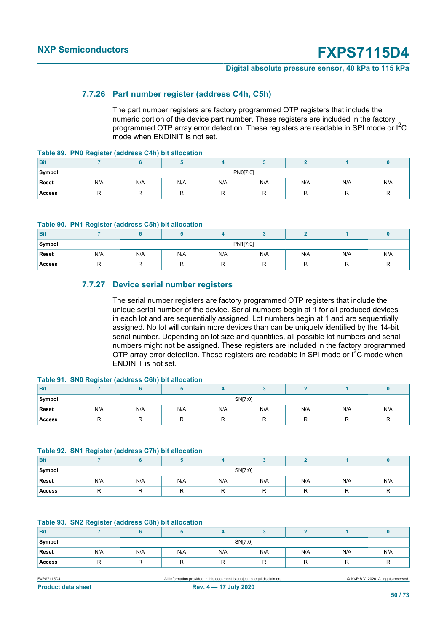#### **Digital absolute pressure sensor, 40 kPa to 115 kPa**

#### **7.7.26 Part number register (address C4h, C5h)**

<span id="page-49-0"></span>The part number registers are factory programmed OTP registers that include the numeric portion of the device part number. These registers are included in the factory programmed OTP array error detection. These registers are readable in SPI mode or I2C mode when ENDINIT is not set.

**Table 89. PN0 Register (address C4h) bit allocation**

| <b>Bit</b>    |     |     |     |     |          |     |     |     |
|---------------|-----|-----|-----|-----|----------|-----|-----|-----|
| Symbol        |     |     |     |     | PN0[7:0] |     |     |     |
| Reset         | N/A | N/A | N/A | N/A | N/A      | N/A | N/A | N/A |
| <b>Access</b> |     |     |     |     |          |     | n   |     |

#### **Table 90. PN1 Register (address C5h) bit allocation**

| <b>Bit</b>    |         |     |     |          |     |     |            |     |
|---------------|---------|-----|-----|----------|-----|-----|------------|-----|
| Symbol        |         |     |     | PN1[7:0] |     |     |            |     |
| Reset         | N/A     | N/A | N/A | N/A      | N/A | N/A | N/A        | N/A |
| <b>Access</b> | -<br>'' | R   |     | . .      | . . | . . | $\sqrt{ }$ |     |

#### <span id="page-49-1"></span>**7.7.27 Device serial number registers**

The serial number registers are factory programmed OTP registers that include the unique serial number of the device. Serial numbers begin at 1 for all produced devices in each lot and are sequentially assigned. Lot numbers begin at 1 and are sequentially assigned. No lot will contain more devices than can be uniquely identified by the 14-bit serial number. Depending on lot size and quantities, all possible lot numbers and serial numbers might not be assigned. These registers are included in the factory programmed OTP array error detection. These registers are readable in SPI mode or  $I^2C$  mode when ENDINIT is not set.

#### <span id="page-49-2"></span>**Table 91. SN0 Register (address C6h) bit allocation**

| <b>Bit</b>    |     |     |     |         |     |     |     |     |
|---------------|-----|-----|-----|---------|-----|-----|-----|-----|
| Symbol        |     |     |     | SN[7:0] |     |     |     |     |
| Reset         | N/A | N/A | N/A | N/A     | N/A | N/A | N/A | N/A |
| <b>Access</b> | R   | ĸ   |     | . .     | ĸ   | ''  | ĸ   | . . |

#### <span id="page-49-3"></span>**Table 92. SN1 Register (address C7h) bit allocation**

| <b>Bit</b>    | $\sim$  |     |          |         |     |          |         |     |
|---------------|---------|-----|----------|---------|-----|----------|---------|-----|
| Symbol        |         |     |          | SN[7:0] |     |          |         |     |
| Reset         | N/A     | N/A | N/A      | N/A     | N/A | N/A      | N/A     | N/A |
| <b>Access</b> | D<br>r. | R   | רו<br>., | .,      | .,  | $\cdots$ | D<br>r. | . . |

#### <span id="page-49-4"></span>**Table 93. SN2 Register (address C8h) bit allocation**

| <b>Bit</b>    |         |     |         |          |              |         |        |         |  |
|---------------|---------|-----|---------|----------|--------------|---------|--------|---------|--|
| Symbol        | SN[7:0] |     |         |          |              |         |        |         |  |
| Reset         | N/A     | N/A | N/A     | N/A      | N/A          | N/A     | N/A    | N/A     |  |
| <b>Access</b> | −<br>ш  | R   | $\cdot$ | $\cdots$ | $\mathbf{v}$ | $\cdot$ | ┍<br>ĸ | $\cdot$ |  |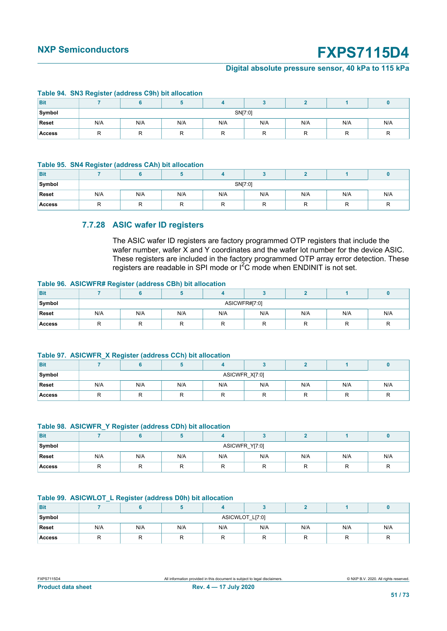#### **Digital absolute pressure sensor, 40 kPa to 115 kPa**

|               |     | Table 54. Ono neglater (address Obil) bit anotation |     |     |     |     |     |     |  |  |
|---------------|-----|-----------------------------------------------------|-----|-----|-----|-----|-----|-----|--|--|
| <b>Bit</b>    |     |                                                     |     |     |     |     |     |     |  |  |
| Symbol        |     | SN[7:0]                                             |     |     |     |     |     |     |  |  |
| Reset         | N/A | N/A                                                 | N/A | N/A | N/A | N/A | N/A | N/A |  |  |
| <b>Access</b> |     |                                                     |     |     |     |     |     | R   |  |  |

#### <span id="page-50-0"></span>**Table 94. SN3 Register (address C9h) bit allocation**

#### **Table 95. SN4 Register (address CAh) bit allocation**

| Bit           |     |         |     |     |     |     |     |     |  |  |
|---------------|-----|---------|-----|-----|-----|-----|-----|-----|--|--|
| Symbol        |     | SN[7:0] |     |     |     |     |     |     |  |  |
| Reset         | N/A | N/A     | N/A | N/A | N/A | N/A | N/A | N/A |  |  |
| <b>Access</b> |     | ⊏       |     |     | . . |     | . . |     |  |  |

### <span id="page-50-1"></span>**7.7.28 ASIC wafer ID registers**

<span id="page-50-2"></span>The ASIC wafer ID registers are factory programmed OTP registers that include the wafer number, wafer X and Y coordinates and the wafer lot number for the device ASIC. These registers are included in the factory programmed OTP array error detection. These registers are readable in SPI mode or I2C mode when ENDINIT is not set.

#### **Table 96. ASICWFR# Register (address CBh) bit allocation**

| <b>Bit</b>    |     |               |     |     |     |     |          |     |  |  |
|---------------|-----|---------------|-----|-----|-----|-----|----------|-----|--|--|
| Symbol        |     | ASICWFR#[7:0] |     |     |     |     |          |     |  |  |
| Reset         | N/A | N/A           | N/A | N/A | N/A | N/A | N/A      | N/A |  |  |
| <b>Access</b> | ' ' |               |     |     | . . | . . | ▭<br>. . | "   |  |  |

#### <span id="page-50-3"></span>**Table 97. ASICWFR\_X Register (address CCh) bit allocation**

| <b>Bit</b>    |     |                |     |     |     |          |     |     |  |  |
|---------------|-----|----------------|-----|-----|-----|----------|-----|-----|--|--|
| Symbol        |     | ASICWFR_X[7:0] |     |     |     |          |     |     |  |  |
| Reset         | N/A | N/A            | N/A | N/A | N/A | N/A      | N/A | N/A |  |  |
| <b>Access</b> | ΙА  |                |     |     | . . | ₽<br>. . | R   | "   |  |  |

#### <span id="page-50-4"></span>**Table 98. ASICWFR\_Y Register (address CDh) bit allocation**

| <b>Bit</b>    |     |                |     |     |     |     |     |     |  |  |
|---------------|-----|----------------|-----|-----|-----|-----|-----|-----|--|--|
| Symbol        |     | ASICWFR Y[7:0] |     |     |     |     |     |     |  |  |
| Reset         | N/A | N/A            | N/A | N/A | N/A | N/A | N/A | N/A |  |  |
| <b>Access</b> |     | −<br>.,        |     | ''  |     |     |     |     |  |  |

#### <span id="page-50-5"></span>**Table 99. ASICWLOT\_L Register (address D0h) bit allocation**

| <b>Bit</b>    |     |                 |     |     |     |     |     |     |  |  |
|---------------|-----|-----------------|-----|-----|-----|-----|-----|-----|--|--|
| Symbol        |     | ASICWLOT_L[7:0] |     |     |     |     |     |     |  |  |
| Reset         | N/A | N/A             | N/A | N/A | N/A | N/A | N/A | N/A |  |  |
| <b>Access</b> | R   | ĸ               |     |     | ''  | . . | R   | ĸ   |  |  |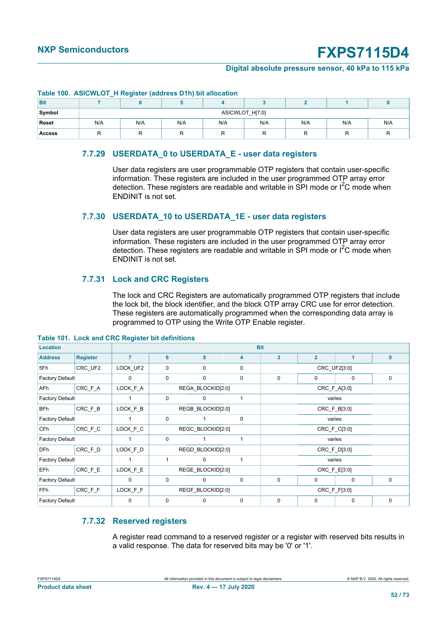#### **Digital absolute pressure sensor, 40 kPa to 115 kPa**

|               |     | <b>Table TWO.</b> AUTOTTED I_IT Register (addition D III) bit allocation |     |     |     |     |     |     |  |  |  |
|---------------|-----|--------------------------------------------------------------------------|-----|-----|-----|-----|-----|-----|--|--|--|
| <b>Bit</b>    |     |                                                                          |     |     |     |     |     |     |  |  |  |
| Symbol        |     | ASICWLOT H[7:0]                                                          |     |     |     |     |     |     |  |  |  |
| <b>Reset</b>  | N/A | N/A                                                                      | N/A | N/A | N/A | N/A | N/A | N/A |  |  |  |
| <b>Access</b> |     |                                                                          |     |     |     |     |     |     |  |  |  |

#### **Table 100. ASICWLOT\_H Register (address D1h) bit allocation**

### <span id="page-51-0"></span>**7.7.29 USERDATA\_0 to USERDATA\_E - user data registers**

User data registers are user programmable OTP registers that contain user-specific information. These registers are included in the user programmed OTP array error detection. These registers are readable and writable in SPI mode or  $I^2C$  mode when ENDINIT is not set.

#### **7.7.30 USERDATA\_10 to USERDATA\_1E - user data registers**

User data registers are user programmable OTP registers that contain user-specific information. These registers are included in the user programmed OTP array error detection. These registers are readable and writable in SPI mode or  $I^2C$  mode when ENDINIT is not set.

#### **7.7.31 Lock and CRC Registers**

<span id="page-51-1"></span>The lock and CRC Registers are automatically programmed OTP registers that include the lock bit, the block identifier, and the block OTP array CRC use for error detection. These registers are automatically programmed when the corresponding data array is programmed to OTP using the Write OTP Enable register.

| <b>Location</b>        |                 |                |             |                   | <b>Bit</b>  |                         |                |              |              |
|------------------------|-----------------|----------------|-------------|-------------------|-------------|-------------------------|----------------|--------------|--------------|
| <b>Address</b>         | <b>Register</b> | $\overline{7}$ | 6           | 5                 | 4           | $\overline{\mathbf{3}}$ | $\overline{2}$ | 1            | $\mathbf{0}$ |
| 5Fh                    | CRC UF2         | LOCK_UF2       | 0           | 0                 | 0           |                         |                | CRC_UF2[3:0] |              |
| <b>Factory Default</b> |                 | $\mathbf 0$    | $\mathbf 0$ | $\mathbf 0$       | 0           | $\mathbf 0$<br>0<br>0   |                |              | $\mathbf 0$  |
| AF <sub>h</sub>        | CRC_F_A         | LOCK_F_A       |             | REGA BLOCKID[2:0] |             |                         | CRC_F_A[3:0]   |              |              |
| <b>Factory Default</b> |                 |                | $\mathbf 0$ | $\mathbf 0$       |             |                         |                | varies       |              |
| <b>BFh</b>             | CRC_F_B         | LOCK_F_B       |             | REGB BLOCKID[2:0] |             |                         |                | CRC_F_B[3:0] |              |
| <b>Factory Default</b> |                 | 1              | $\mathbf 0$ |                   | 0           |                         |                | varies       |              |
| CF <sub>h</sub>        | CRC_F_C         | LOCK_F_C       |             | REGC BLOCKID[2:0] |             |                         |                | CRC_F_C[3:0] |              |
| <b>Factory Default</b> |                 | 1              | $\mathbf 0$ |                   |             |                         |                | varies       |              |
| DF <sub>h</sub>        | CRC_F_D         | LOCK_F_D       |             | REGD BLOCKID[2:0] |             |                         |                | CRC_F_D[3:0] |              |
| <b>Factory Default</b> |                 |                | 1           | $\Omega$          |             |                         |                | varies       |              |
| EFh                    | CRC_F_E         | LOCK_F_E       |             | REGE BLOCKID[2:0] |             |                         |                | CRC_F_E[3:0] |              |
| <b>Factory Default</b> |                 | $\Omega$       | $\mathbf 0$ | 0                 | $\mathbf 0$ | $\mathbf 0$             | 0              | $\Omega$     | $\mathbf 0$  |
| <b>FFh</b>             | CRC_F_F         | LOCK_F_F       |             | REGF BLOCKID[2:0] |             | CRC_F_F[3:0]            |                |              |              |
| <b>Factory Default</b> |                 | 0              | 0           | 0                 | $\mathbf 0$ | 0                       | 0              | $\mathbf 0$  | $\mathbf 0$  |

#### **Table 101. Lock and CRC Register bit definitions**

### **7.7.32 Reserved registers**

A register read command to a reserved register or a register with reserved bits results in a valid response. The data for reserved bits may be '0' or '1'.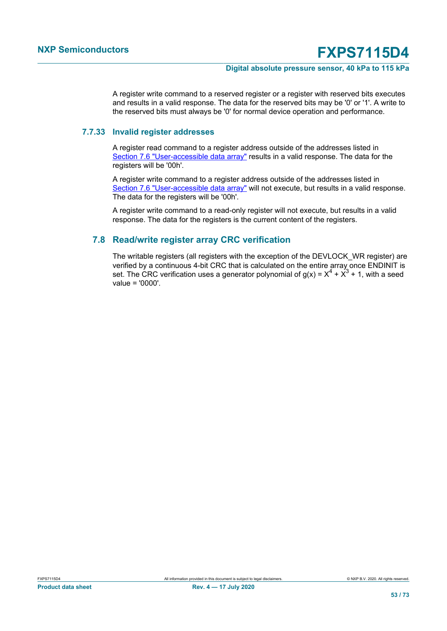#### **Digital absolute pressure sensor, 40 kPa to 115 kPa**

A register write command to a reserved register or a register with reserved bits executes and results in a valid response. The data for the reserved bits may be '0' or '1'. A write to the reserved bits must always be '0' for normal device operation and performance.

#### **7.7.33 Invalid register addresses**

A register read command to a register address outside of the addresses listed in [Section 7.6 "User-accessible data array"](#page-26-0) results in a valid response. The data for the registers will be '00h'.

A register write command to a register address outside of the addresses listed in [Section 7.6 "User-accessible data array"](#page-26-0) will not execute, but results in a valid response. The data for the registers will be '00h'.

A register write command to a read-only register will not execute, but results in a valid response. The data for the registers is the current content of the registers.

#### **7.8 Read/write register array CRC verification**

The writable registers (all registers with the exception of the DEVLOCK\_WR register) are verified by a continuous 4-bit CRC that is calculated on the entire array once ENDINIT is set. The CRC verification uses a generator polynomial of g(x) =  $X^4$  +  $X^3$  + 1, with a seed value = '0000'.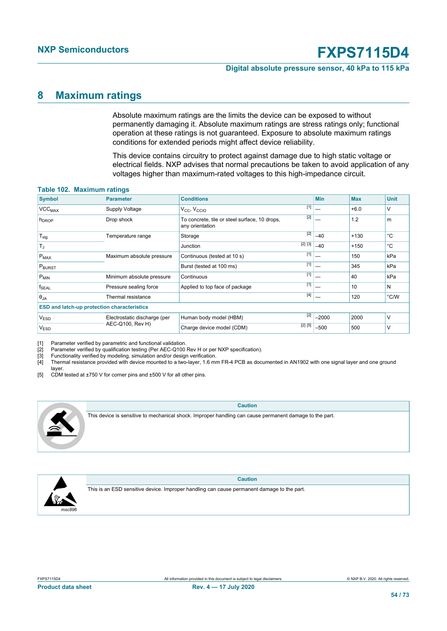#### **Digital absolute pressure sensor, 40 kPa to 115 kPa**

### <span id="page-53-1"></span><span id="page-53-0"></span>**8 Maximum ratings**

<span id="page-53-4"></span><span id="page-53-3"></span><span id="page-53-2"></span>Absolute maximum ratings are the limits the device can be exposed to without permanently damaging it. Absolute maximum ratings are stress ratings only; functional operation at these ratings is not guaranteed. Exposure to absolute maximum ratings conditions for extended periods might affect device reliability.

<span id="page-53-5"></span>This device contains circuitry to protect against damage due to high static voltage or electrical fields. NXP advises that normal precautions be taken to avoid application of any voltages higher than maximum-rated voltages to this high-impedance circuit.

| $14010$ $1941$ $11401$ $111$ $111$                 |                              |                                                                  |         |            |            |             |
|----------------------------------------------------|------------------------------|------------------------------------------------------------------|---------|------------|------------|-------------|
| <b>Symbol</b>                                      | <b>Parameter</b>             | <b>Conditions</b>                                                |         | <b>Min</b> | <b>Max</b> | <b>Unit</b> |
| VCC <sub>MAX</sub>                                 | <b>Supply Voltage</b>        | $V_{CC}$ , $V_{CCIO}$                                            | $[1]$   |            | $+6.0$     | V           |
| h <sub>DROP</sub>                                  | Drop shock                   | To concrete, tile or steel surface, 10 drops,<br>any orientation | $[2]$   |            | 1.2        | m           |
| $T_{\text{stg}}$                                   | Temperature range            | Storage                                                          | $[2]$   | $-40$      | $+130$     | °C          |
| $T_J$                                              |                              | Junction                                                         | [2] [3] | $-40$      | $+150$     | °C          |
| $P_{MAX}$                                          | Maximum absolute pressure    | Continuous (tested at 10 s)                                      | $[1]$   |            | 150        | kPa         |
| P <sub>BURST</sub>                                 |                              | Burst (tested at 100 ms)                                         | $[1]$   |            | 345        | kPa         |
| $P_{MIN}$                                          | Minimum absolute pressure    | Continuous                                                       | $[1]$   |            | 40         | kPa         |
| $f_{SEAL}$                                         | Pressure sealing force       | Applied to top face of package                                   | $[1]$   |            | 10         | N           |
| $\Theta_{JA}$                                      | Thermal resistance           |                                                                  | $[4]$   |            | 120        | °C/W        |
| <b>ESD and latch-up protection characteristics</b> |                              |                                                                  |         |            |            |             |
| <b>VESD</b>                                        | Electrostatic discharge (per | Human body model (HBM)                                           | $[2]$   | $-2000$    | 2000       | $\vee$      |
| V <sub>ESD</sub>                                   | AEC-Q100, Rev H)             | Charge device model (CDM)                                        | [2] [5] | $-500$     | 500        | ν           |
|                                                    |                              |                                                                  |         |            |            |             |

#### **Table 102. Maximum ratings**

[1] Parameter verified by parametric and functional validation.<br>[2] Parameter verified by qualification testing (Per AEC-Q100<br>[3] Functionality verified by modeling, simulation and/or design Parameter verified by qualification testing (Per AEC-Q100 Rev H or per NXP specification).

[3] Functionality verified by modeling, simulation and/or design verification.<br>[4] Thermal resistance provided with device mounted to a two-layer, 1.6 mr

[4] Thermal resistance provided with device mounted to a two-layer, 1.6 mm FR-4 PCB as documented in AN1902 with one signal layer and one ground

layer.

 $\frac{1}{2}$  CDM tested at ±750 V for corner pins and ±500 V for all other pins.



**Caution**

This device is sensitive to mechanical shock. Improper handling can cause permanent damage to the part.



**Caution** This is an ESD sensitive device. Improper handling can cause permanent damage to the part.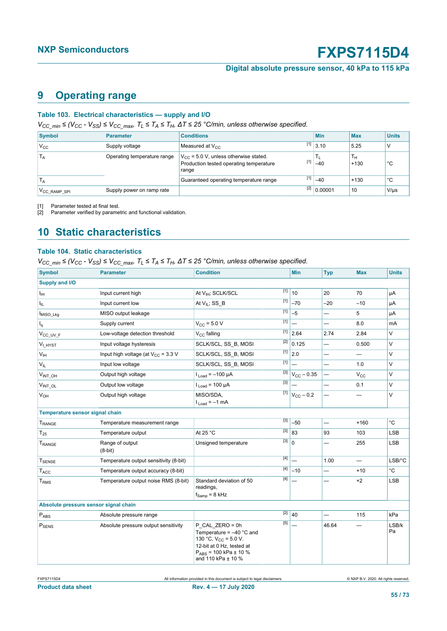**Digital absolute pressure sensor, 40 kPa to 115 kPa**

### <span id="page-54-2"></span><span id="page-54-1"></span><span id="page-54-0"></span>**9 Operating range**

#### <span id="page-54-3"></span>**Table 103. Electrical characteristics — supply and I/O**

*VCC\_min ≤ (VCC - VSS) ≤ VCC\_max, TL ≤ TA ≤ TH, ΔT ≤ 25 °C/min, unless otherwise specified.*

| <b>Symbol</b>            | <b>Parameter</b>            | <b>Conditions</b>                                                                              | <b>Min</b>               | <b>Max</b>   | <b>Units</b> |
|--------------------------|-----------------------------|------------------------------------------------------------------------------------------------|--------------------------|--------------|--------------|
| V <sub>cc</sub>          | Supply voltage              | Measured at $V_{CC}$                                                                           | $[1]$ 3.10               | 5.25         |              |
| $T_A$                    | Operating temperature range | $V_{CC}$ = 5.0 V, unless otherwise stated.<br>Production tested operating temperature<br>range | $[1]$ $-40$              | Ŧн<br>$+130$ | °C           |
| <sup>1</sup> A           |                             | Guaranteed operating temperature range                                                         | $[1]$ -40                | $+130$       | °С           |
| V <sub>CC</sub> RAMP SPI | Supply power on ramp rate   |                                                                                                | $\overline{[2]}$ 0.00001 | 10           | $V/\mu s$    |

[1] Parameter tested at final test.<br>[2] Parameter verified by parame

Parameter verified by parametric and functional validation.

### <span id="page-54-4"></span>**10 Static characteristics**

#### <span id="page-54-5"></span>**Table 104. Static characteristics**

*VCC\_min ≤ (VCC - VSS) ≤ VCC\_max, TL ≤ TA ≤ TH, ΔT ≤ 25 °C/min, unless otherwise specified.*

| <b>Symbol</b>                         | <b>Parameter</b>                        | <b>Condition</b>                                                                                                                                                                                                                                                           | Min                                | <b>Typ</b>               | <b>Max</b>               | <b>Units</b> |
|---------------------------------------|-----------------------------------------|----------------------------------------------------------------------------------------------------------------------------------------------------------------------------------------------------------------------------------------------------------------------------|------------------------------------|--------------------------|--------------------------|--------------|
| Supply and I/O                        |                                         |                                                                                                                                                                                                                                                                            |                                    |                          |                          |              |
| Iн                                    | Input current high                      | $[1]$<br>At V <sub>IH</sub> ; SCLK/SCL                                                                                                                                                                                                                                     | 10                                 | 20                       | 70                       | μA           |
| Ι'n.                                  | Input current low                       | $[1]$<br>At $V_{IL}$ ; SS_B                                                                                                                                                                                                                                                | $-70$                              | $-20$                    | $-10$                    | μA           |
| MISO Lkg                              | MISO output leakage                     | $[1]$                                                                                                                                                                                                                                                                      | $-5$                               |                          | 5                        | μA           |
| $I_q$                                 | Supply current                          | [1]<br>$V_{CC}$ = 5.0 V                                                                                                                                                                                                                                                    |                                    | $\overline{\phantom{0}}$ | 0.8                      | mA           |
| V <sub>CC_UV_F</sub>                  | Low-voltage detection threshold         | $[1]$<br>$V_{C}$ falling                                                                                                                                                                                                                                                   | 2.64                               | 2.74                     | 2.84                     | $\vee$       |
| V <sub>I HYST</sub>                   | Input voltage hysteresis                | $[2]$<br>SCLK/SCL, SS B, MOSI                                                                                                                                                                                                                                              | 0.125                              |                          | 0.500                    | $\vee$       |
| $V_{\text{IH}}$                       | Input high voltage (at $V_{CC}$ = 3.3 V | $[1]$<br>SCLK/SCL, SS B, MOSI                                                                                                                                                                                                                                              | 2.0                                |                          | $\overline{\phantom{0}}$ | $\vee$       |
| $V_{IL}$                              | Input low voltage                       | $[1]$<br>SCLK/SCL, SS B, MOSI                                                                                                                                                                                                                                              |                                    |                          | 1.0                      | $\vee$       |
| $V_{INT\_OH}$                         | Output high voltage                     | $1_{Load} = -100 \mu A$                                                                                                                                                                                                                                                    | $\sqrt{31}$ $V_{\text{CC}}$ - 0.35 |                          | $V_{\rm CC}$             | $\vee$       |
| VINT OL                               | Output low voltage                      | $[3]$<br>$I_{Load}$ = 100 µA                                                                                                                                                                                                                                               |                                    |                          | 0.1                      | $\vee$       |
| V <sub>OH</sub>                       | Output high voltage                     | $[1]$<br>MISO/SDA.<br>$l_{\text{Load}} = -1$ mA                                                                                                                                                                                                                            | $V_{CC}$ - 0.2                     | —                        | -                        | V            |
| Temperature sensor signal chain       |                                         |                                                                                                                                                                                                                                                                            |                                    |                          |                          |              |
| T <sub>RANGE</sub>                    | Temperature measurement range           | $[3]$                                                                                                                                                                                                                                                                      | $-50$                              |                          | $+160$                   | $^{\circ}$ C |
| $T_{25}$                              | Temperature output                      | $[3]$<br>At 25 °C                                                                                                                                                                                                                                                          | 83                                 | 93                       | 103                      | <b>LSB</b>   |
| T <sub>RANGE</sub>                    | Range of output<br>$(8-bit)$            | $[3]$<br>Unsigned temperature                                                                                                                                                                                                                                              | $\overline{0}$                     | $\overline{\phantom{0}}$ | 255                      | <b>LSB</b>   |
| <b>T</b> SENSE                        | Temperature output sensitivity (8-bit)  | [4]                                                                                                                                                                                                                                                                        |                                    | 1.00                     |                          | $LSB$ $C$    |
| TACC                                  | Temperature output accuracy (8-bit)     |                                                                                                                                                                                                                                                                            | $-10$                              |                          | $+10$                    | $^{\circ}$ C |
| T <sub>RMS</sub>                      | Temperature output noise RMS (8-bit)    | $[4] % \begin{center} \includegraphics[width=\linewidth]{imagesSupplemental/Imh} \end{center} % \vspace{-1em} \caption{The image shows the number of parameters in the left and right.} \label{fig:limsub}$<br>Standard deviation of 50<br>readings,<br>$f_{Samp} = 8$ kHz |                                    |                          | $+2$                     | <b>LSB</b>   |
| Absolute pressure sensor signal chain |                                         |                                                                                                                                                                                                                                                                            |                                    |                          |                          |              |
| $P_{\text{ABS}}$                      | Absolute pressure range                 | $[2]$                                                                                                                                                                                                                                                                      | 40                                 |                          | 115                      | kPa          |
| $\mathsf{P}_{\mathsf{SENS}}$          | Absolute pressure output sensitivity    | $[5]$<br>$P$ CAL ZERO = 0h<br>Temperature = $-40$ °C and<br>130 °C, $V_{CC}$ = 5.0 V.<br>12-bit at 0 Hz, tested at<br>$P_{ABS}$ = 100 kPa ± 10 %<br>and 110 kPa ± 10 %                                                                                                     |                                    | 46.64                    |                          | LSB/k<br>Pa  |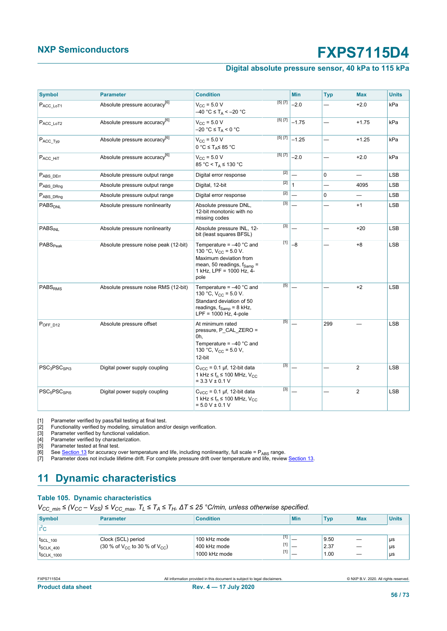#### **Digital absolute pressure sensor, 40 kPa to 115 kPa**

<span id="page-55-7"></span><span id="page-55-6"></span><span id="page-55-5"></span><span id="page-55-4"></span><span id="page-55-3"></span><span id="page-55-2"></span><span id="page-55-1"></span>

| <b>Symbol</b>                        | <b>Parameter</b>                          | <b>Condition</b>                                                                                                                                                |         | <b>Min</b>     | <b>Typ</b>  | <b>Max</b>               | <b>Units</b> |
|--------------------------------------|-------------------------------------------|-----------------------------------------------------------------------------------------------------------------------------------------------------------------|---------|----------------|-------------|--------------------------|--------------|
| $P_{ACC\_LoT1}$                      | Absolute pressure accuracy <sup>[6]</sup> | $V_{CC}$ = 5.0 V<br>$-40 °C \leq T_A < -20 °C$                                                                                                                  | [5] [7] | $-2.0$         |             | $+2.0$                   | kPa          |
| $P_{ACC\_LoT2}$                      | Absolute pressure accuracy <sup>[6]</sup> | $V_{\text{CC}} = 5.0 V$<br>$-20$ °C $\leq$ T <sub>A</sub> < 0 °C                                                                                                | [5] [7] | $-1.75$        |             | $+1.75$                  | kPa          |
| $P_{ACC\_Type}$                      | Absolute pressure accuracy <sup>[6]</sup> | $V_{\rm CC} = 5.0 V$<br>$0 °C \leq T_A \leq 85 °C$                                                                                                              | [5] [7] | $-1.25$        |             | $+1.25$                  | kPa          |
| $P_{ACC\_HIT}$                       | Absolute pressure accuracy <sup>[6]</sup> | $V_{CC}$ = 5.0 V<br>$85 °C < T_A \leq 130 °C$                                                                                                                   | [5] [7] | $-2.0$         |             | $+2.0$                   | kPa          |
| $P_{ABS\_DEF}$                       | Absolute pressure output range            | Digital error response                                                                                                                                          | [2]     |                | $\mathbf 0$ | $\overline{\phantom{0}}$ | <b>LSB</b>   |
| P <sub>ABS</sub> DRng                | Absolute pressure output range            | Digital, 12-bit                                                                                                                                                 | [2]     | $\overline{1}$ |             | 4095                     | <b>LSB</b>   |
| PABS DRng                            | Absolute pressure output range            | Digital error response                                                                                                                                          | $[2]$   |                | 0           |                          | LSB          |
| PABS <sub>DNI</sub>                  | Absolute pressure nonlinearity            | Absolute pressure DNL,<br>12-bit monotonic with no<br>missing codes                                                                                             | [3]     |                |             | $+1$                     | <b>LSB</b>   |
| <b>PABS<sub>INI</sub></b>            | Absolute pressure nonlinearity            | Absolute pressure INL, 12-<br>bit (least squares BFSL)                                                                                                          | $[3]$   |                |             | $+20$                    | <b>LSB</b>   |
| PABS <sub>Peak</sub>                 | Absolute pressure noise peak (12-bit)     | Temperature = $-40$ °C and<br>130 °C, $V_{CC}$ = 5.0 V.<br>Maximum deviation from<br>mean, 50 readings, $f_{\text{Samp}} =$<br>1 kHz, LPF = 1000 Hz, 4-<br>pole | $[1]$   | $-8$           |             | $+8$                     | <b>LSB</b>   |
| PABSRMS                              | Absolute pressure noise RMS (12-bit)      | Temperature = $-40$ °C and<br>130 °C, $V_{CC}$ = 5.0 V.<br>Standard deviation of 50<br>readings, $f_{\text{Samp}} = 8$ kHz,<br>$LPF = 1000 Hz$ , 4-pole         | $[5]$   |                |             | $+2$                     | LSB          |
| $P_{OFF_1D12}$                       | Absolute pressure offset                  | At minimum rated<br>pressure, P CAL ZERO =<br>0h,<br>Temperature = $-40$ °C and<br>130 °C, $V_{CC}$ = 5.0 V,<br>12-bit                                          | $[5]$   |                | 299         |                          | <b>LSB</b>   |
| PSC <sub>3</sub> PSC <sub>SP13</sub> | Digital power supply coupling             | $C_{VCC}$ = 0.1 µf, 12-bit data<br>1 kHz $\leq f_n \leq 100$ MHz, $V_{CC}$<br>$= 3.3 V \pm 0.1 V$                                                               | $[3]$   |                |             | $\overline{2}$           | <b>LSB</b>   |
| PSC <sub>5</sub> PSC <sub>SPI5</sub> | Digital power supply coupling             | $C_{VCC}$ = 0.1 µf, 12-bit data<br>1 kHz $\leq$ f <sub>n</sub> $\leq$ 100 MHz, V <sub>CC</sub><br>$= 5.0 V \pm 0.1 V$                                           | $[3]$   |                |             | $\overline{2}$           | <b>LSB</b>   |

[1] Parameter verified by pass/fail testing at final test.<br>
[2] Functionality verified by modeling, simulation and/<br>
[3] Parameter verified by functional validation.<br>
[4] Parameter verified by characterization. [2] Functionality verified by modeling, simulation and/or design verification.

[3] Parameter verified by functional validation.

[4] Parameter verified by characterization.<br>[5] Parameter tested at final test.

[5] Parameter tested at final test.<br>[6] See <u>Section 13</u> for accuracy of

<sup>1</sup>. See [Section 13](#page-58-0) for accuracy over temperature and life, including nonlinearity, full scale = P<sub>ABS</sub> range.<br>[7] Parameter does not include lifetime drift. For complete pressure drift over temperature and life, review Parameter does not include lifetime drift. For complete pressure drift over temperature and life, review [Section 13.](#page-58-0)

### <span id="page-55-8"></span>**11 Dynamic characteristics**

#### **Table 105. Dynamic characteristics**

<span id="page-55-0"></span>*VCC\_min ≤ (VCC – VSS) ≤ VCC\_max, TL ≤ TA ≤ TH, ΔT ≤ 25 °C/min, unless otherwise specified.*

| <b>Symbol</b>      | <b>Parameter</b>                                                | <b>Condition</b> | <b>Min</b> | <b>Typ</b> | <b>Max</b>               | <b>Units</b> |
|--------------------|-----------------------------------------------------------------|------------------|------------|------------|--------------------------|--------------|
| $I^2C$             |                                                                 |                  |            |            |                          |              |
| $t_{SCL}$ 100      | Clock (SCL) period                                              | 100 kHz mode     |            | 9.50       | _                        | us           |
| $t_{SCLK}$ 400     | $(30\% \text{ of } V_{CC} \text{ to } 30\% \text{ of } V_{CC})$ | 400 kHz mode     | _          | 2.37       | –                        | us           |
| <b>t</b> SCLK 1000 |                                                                 | 1000 kHz mode    | _          | 1.00       | $\overline{\phantom{a}}$ | μs           |

| <b>Product data sheet</b> |  |
|---------------------------|--|

FXPS7115D4 All information provided in this document is subject to legal disclaimers. © NXP B.V. 2020. All rights reserved.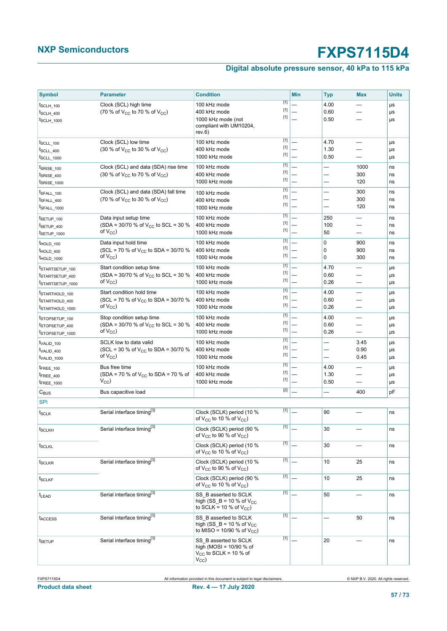### **Digital absolute pressure sensor, 40 kPa to 115 kPa**

| <b>Symbol</b>                      | <b>Parameter</b>                                      | <b>Condition</b>                                                                                            | <b>Min</b> | <b>Typ</b>               | <b>Max</b>               | <b>Units</b> |
|------------------------------------|-------------------------------------------------------|-------------------------------------------------------------------------------------------------------------|------------|--------------------------|--------------------------|--------------|
| t <sub>SCLH</sub> 100              | Clock (SCL) high time                                 | $[1]$<br>100 kHz mode                                                                                       |            | 4.00                     |                          | μs           |
| t <sub>SCLH</sub> 400              | (70 % of $V_{CC}$ to 70 % of $V_{CC}$ )               | $[1]$<br>400 kHz mode                                                                                       |            | 0.60                     |                          | μs           |
| ISCLH 1000                         |                                                       | $[1]$<br>1000 kHz mode (not                                                                                 |            | 0.50                     |                          | μs           |
|                                    |                                                       | compliant with UM10204,<br>rev.6)                                                                           |            |                          |                          |              |
| t <sub>SCLL_100</sub>              | Clock (SCL) low time                                  | $[1]$<br>100 kHz mode                                                                                       |            | 4.70                     |                          | μs           |
| $t_{SCLL}$ 400                     | (30 % of $V_{CC}$ to 30 % of $V_{CC}$ )               | $[1]$<br>400 kHz mode                                                                                       |            | 1.30                     |                          | μs           |
| t <sub>SCLL_1000</sub>             |                                                       | $[1]$<br>1000 kHz mode                                                                                      |            | 0.50                     |                          | μs           |
| t <sub>SRISE</sub> 100             | Clock (SCL) and data (SDA) rise time                  | $[1]$<br>100 kHz mode                                                                                       |            |                          | 1000                     | ns           |
| t <sub>SRISE</sub> _400            | (30 % of $V_{CC}$ to 70 % of $V_{CC}$ )               | $[1]$<br>400 kHz mode                                                                                       |            | —                        | 300                      | ns           |
| t <sub>SRISE</sub> <sub>1000</sub> |                                                       | $[1]$<br>1000 kHz mode                                                                                      |            |                          | 120                      | ns           |
| t <sub>SFALL</sub> 100             | Clock (SCL) and data (SDA) fall time                  | $[1]$<br>100 kHz mode                                                                                       |            |                          | 300                      | ns           |
| t <sub>SFALL_400</sub>             | (70 % of V <sub>CC</sub> to 30 % of V <sub>CC</sub> ) | $[1]$<br>400 kHz mode<br>$[1]$                                                                              |            |                          | 300                      | ns           |
| ISFALL_1000                        |                                                       | 1000 kHz mode                                                                                               |            | —                        | 120                      | ns           |
| t <sub>SETUP</sub> 100             | Data input setup time                                 | $[1]$<br>100 kHz mode                                                                                       |            | 250                      |                          | ns           |
| t <sub>SETUP_400</sub>             | (SDA = 30/70 % of $V_{CC}$ to SCL = 30 %              | $[1]$<br>400 kHz mode                                                                                       |            | 100                      |                          | ns           |
| tsETUP_1000                        | of V <sub>CC</sub> )                                  | $[1]$<br>1000 kHz mode                                                                                      |            | 50                       | $\overline{\phantom{0}}$ | ns           |
| THOLD 100                          | Data input hold time                                  | $[1]$<br>100 kHz mode                                                                                       |            | $\mathbf 0$              | 900                      | ns           |
| THOLD 400                          | (SCL = 70 % of $V_{CC}$ to SDA = 30/70 %              | $[1]$<br>400 kHz mode                                                                                       |            | $\mathbf 0$              | 900                      | ns           |
| <sup>I</sup> HOLD_1000             | of V <sub>CC</sub> )                                  | $[1]$<br>1000 kHz mode                                                                                      |            | 0                        | 300                      | ns           |
| ISTARTSETUP 100                    | Start condition setup time                            | $[1]$<br>100 kHz mode                                                                                       |            | 4.70                     | —                        | μs           |
| ISTARTSETUP_400                    | (SDA = 30/70 % of $V_{CC}$ to SCL = 30 %              | $[1]$<br>400 kHz mode                                                                                       |            | 0.60                     |                          | μs           |
| ISTARTSETUP_1000                   | of $V_{CC}$ )                                         | $[1]$<br>1000 kHz mode                                                                                      |            | 0.26                     |                          | μs           |
| ISTARTHOLD 100                     | Start condition hold time                             | $[1]$<br>100 kHz mode                                                                                       |            | 4.00                     |                          | μs           |
| <sup>t</sup> STARTHOLD 400         | (SCL = 70 % of $V_{CC}$ to SDA = 30/70 %              | $[1]$<br>400 kHz mode<br>$[1]$                                                                              |            | 0.60                     |                          | μs           |
| ISTARTHOLD 1000                    | of $V_{CC}$ )                                         | 1000 kHz mode                                                                                               |            | 0.26                     |                          | μs           |
| tstopsetup 100                     | Stop condition setup time                             | $[1]$<br>100 kHz mode                                                                                       |            | 4.00                     |                          | μs           |
| tstopsetup 400                     | (SDA = 30/70 % of V <sub>CC</sub> to SCL = 30 %       | $[1]$<br>400 kHz mode<br>$[1]$                                                                              |            | 0.60                     |                          | μs           |
| tstopsetup_1000                    | of $V_{CC}$ )                                         | 1000 kHz mode                                                                                               |            | 0.26                     |                          | μs           |
| TVALID 100                         | SCLK low to data valid                                | $[1]$<br>100 kHz mode                                                                                       |            | $\overline{\phantom{0}}$ | 3.45                     | μs           |
| t <sub>VALID_400</sub>             | (SCL = 30 % of $V_{CC}$ to SDA = 30/70 %              | $[1]$<br>400 kHz mode<br>$[1]$                                                                              |            |                          | 0.90                     | μs           |
| TVALID_1000                        | of $V_{CC}$ )                                         | 1000 kHz mode                                                                                               |            |                          | 0.45                     | μs           |
| t <sub>FREE</sub> 100              | Bus free time                                         | $[1]$<br>100 kHz mode<br>$[1]$                                                                              |            | 4.00                     |                          | μs           |
| t <sub>FREE</sub> 400              | (SDA = 70 % of V <sub>CC</sub> to SDA = 70 % of       | 400 kHz mode<br>$[1]$                                                                                       |            | 1.30                     |                          | μs           |
| <sup>t</sup> FREE_1000             | $V_{\rm CC}$                                          | 1000 kHz mode                                                                                               |            | 0.50                     |                          | μs           |
| $C_{\text{BUS}}$                   | Bus capacitive load                                   | $[2]$                                                                                                       |            |                          | 400                      | pF           |
| <b>SPI</b>                         |                                                       |                                                                                                             |            |                          |                          |              |
| t <sub>SCLK</sub>                  | Serial interface timing <sup>[3]</sup>                | $[1]$<br>Clock (SCLK) period (10 %<br>of $V_{CC}$ to 10 % of $V_{CC}$ )                                     |            | 90                       |                          | ns           |
| $t_{SCLKH}$                        | Serial interface timing <sup>[3]</sup>                | $[1]$<br>Clock (SCLK) period (90 %<br>of $V_{CC}$ to 90 % of $V_{CC}$ )                                     |            | 30                       |                          | ns           |
| t <sub>SCLKL</sub>                 |                                                       | $[1]$<br>Clock (SCLK) period (10 %                                                                          |            | 30                       |                          | ns           |
|                                    |                                                       | of $V_{CC}$ to 10 % of $V_{CC}$ )                                                                           |            |                          |                          |              |
| t <sub>SCLKR</sub>                 | Serial interface timing <sup>[3]</sup>                | $[1]$<br>Clock (SCLK) period (10 %<br>of $V_{CC}$ to 90 % of $V_{CC}$ )                                     |            | 10                       | 25                       | ns           |
| t <sub>SCLKF</sub>                 |                                                       | $[1]$<br>Clock (SCLK) period (90 %<br>of $V_{CC}$ to 10 % of $V_{CC}$ )                                     |            | 10                       | 25                       | ns           |
| t <sub>LEAD</sub>                  | Serial interface timing <sup>[3]</sup>                | $[1]$<br>SS B asserted to SCLK<br>high (SS $B = 10 %$ of V <sub>CC</sub><br>to SCLK = 10 % of $V_{CC}$ )    |            | 50                       |                          | ns           |
| <b>IACCESS</b>                     | Serial interface timing <sup>[3]</sup>                | $[1]$<br>SS B asserted to SCLK<br>high (SS $B = 10 %$ of V <sub>CC</sub><br>to MISO = 10/90 % of $V_{CC}$ ) |            |                          | 50                       | ns           |
| <sup>t</sup> SETUP                 | Serial interface timing <sup>[3]</sup>                | $[1]$<br>SS B asserted to SCLK<br>high (MOSI = $10/90$ % of<br>$V_{CC}$ to SCLK = 10 % of<br>$V_{\rm CC}$   |            | 20                       |                          | ns           |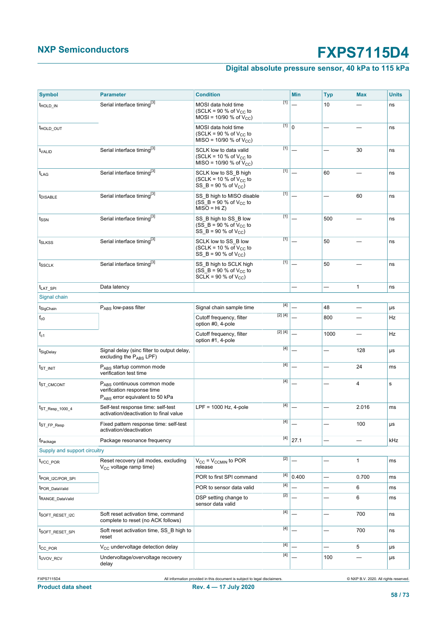### **Digital absolute pressure sensor, 40 kPa to 115 kPa**

| <b>Symbol</b>                | <b>Parameter</b>                                                                             | <b>Condition</b>                                                                                   |                                                                                                                                                                                                           | Min                    | <b>Typ</b>               | <b>Max</b>               | <b>Units</b> |
|------------------------------|----------------------------------------------------------------------------------------------|----------------------------------------------------------------------------------------------------|-----------------------------------------------------------------------------------------------------------------------------------------------------------------------------------------------------------|------------------------|--------------------------|--------------------------|--------------|
| <sup>T</sup> HOLD IN         | Serial interface timing <sup>[3]</sup>                                                       | MOSI data hold time<br>(SCLK = 90 % of $V_{CC}$ to<br>MOSI = $10/90$ % of $V_{CC}$ )               | $[1]$                                                                                                                                                                                                     |                        | 10                       |                          | ns           |
| <sup>t</sup> HOLD OUT        |                                                                                              | MOSI data hold time<br>(SCLK = 90 % of $V_{CC}$ to<br>MISO = 10/90 % of $V_{CC}$ )                 | $\overline{[1]}$ <sub>0</sub>                                                                                                                                                                             |                        |                          |                          | ns           |
| t <sub>VALID</sub>           | Serial interface timing <sup>[3]</sup>                                                       | SCLK low to data valid<br>(SCLK = 10 % of $V_{CC}$ to<br>MISO = 10/90 % of $V_{CC}$ )              | $[1]$                                                                                                                                                                                                     |                        |                          | 30                       | ns           |
| t <sub>LAG</sub>             | Serial interface timing <sup>[3]</sup>                                                       | SCLK low to SS B high<br>(SCLK = 10 % of $V_{CC}$ to<br>SS $B = 90 % of VCC$                       | $[1]$                                                                                                                                                                                                     |                        | 60                       |                          | ns           |
| <b><i>IDISABLE</i></b>       | Serial interface timing <sup>[3]</sup>                                                       | SS B high to MISO disable<br>$(SS_B = 90 % of V_{CC} to$<br>$MISO = Hi Z)$                         | $[1]$                                                                                                                                                                                                     |                        |                          | 60                       | ns           |
| t <sub>SSN</sub>             | Serial interface timing <sup>[3]</sup>                                                       | SS B high to SS B low<br>$(S\overline{S} - B = 90 %$ of V <sub>CC</sub> to<br>SS $B = 90 % of VCC$ | $[1]$                                                                                                                                                                                                     |                        | 500                      |                          | ns           |
| t <sub>SLKSS</sub>           | Serial interface timing <sup>[3]</sup>                                                       | SCLK low to SS B low<br>(SCLK = 10 % of $V_{CC}$ to<br>SS $B = 90 % of VCC$                        | $[1]$                                                                                                                                                                                                     |                        | 50                       |                          | ns           |
| t <sub>SSCLK</sub>           | Serial interface timing <sup>[3]</sup>                                                       | SS B high to SCLK high<br>$(SS_B = 90 % of V_{CC} to$<br>$\overline{SCLK}$ = 90 % of $V_{CC}$ )    | $[1]$                                                                                                                                                                                                     |                        | 50                       |                          | ns           |
| <sup>t</sup> LAT_SPI         | Data latency                                                                                 |                                                                                                    |                                                                                                                                                                                                           |                        | —                        | 1                        | ns           |
| Signal chain                 |                                                                                              |                                                                                                    |                                                                                                                                                                                                           |                        |                          |                          |              |
| t <sub>SigChain</sub>        | PABS low-pass filter                                                                         | Signal chain sample time                                                                           | $[4]$                                                                                                                                                                                                     |                        | 48                       |                          | μs           |
| $f_{c0}$                     |                                                                                              | Cutoff frequency, filter<br>option #0, 4-pole                                                      | [2] [4]                                                                                                                                                                                                   |                        | 800                      |                          | Hz           |
| $f_{c1}$                     |                                                                                              | Cutoff frequency, filter<br>option #1, 4-pole                                                      | [2] [4]                                                                                                                                                                                                   |                        | 1000                     |                          | Hz           |
| t <sub>SigDelay</sub>        | Signal delay (sinc filter to output delay,<br>excluding the PABS LPF)                        |                                                                                                    | $[4]$                                                                                                                                                                                                     |                        | $\overline{\phantom{0}}$ | 128                      | μs           |
| <sup>t</sup> st init         | PABS startup common mode<br>verification test time                                           |                                                                                                    | $[4]$                                                                                                                                                                                                     |                        | ÷.                       | 24                       | ms           |
| t <sub>ST_CMCONT</sub>       | PABS continuous common mode<br>verification response time<br>PABS error equivalent to 50 kPa |                                                                                                    |                                                                                                                                                                                                           |                        |                          | $\overline{4}$           | s            |
| t <sub>ST</sub> Resp 1000 4  | Self-test response time: self-test<br>activation/deactivation to final value                 | $LPF = 1000 Hz$ , 4-pole                                                                           | $[4] % \includegraphics[width=0.9\columnwidth]{figures/fig_4} \caption{A_1$-error of the estimators in the left and right.} \label{fig:2_4}$                                                              |                        |                          | 2.016                    | ms           |
| <sup>L</sup> ST_FP_Resp      | Fixed pattern response time: self-test<br>activation/deactivation                            |                                                                                                    | [4]                                                                                                                                                                                                       |                        |                          | 100                      | μs           |
| <sup>†</sup> Package         | Package resonance frequency                                                                  |                                                                                                    | $[4]$                                                                                                                                                                                                     | 27.1                   | $\overline{\phantom{0}}$ | $\overline{\phantom{0}}$ | kHz          |
| Supply and support circuitry |                                                                                              |                                                                                                    |                                                                                                                                                                                                           |                        |                          |                          |              |
| t <sub>vcc</sub> POR         | Reset recovery (all modes, excluding<br>$V_{CC}$ voltage ramp time)                          | $V_{CC}$ = $V_{CCMIN}$ to POR<br>release                                                           | [2]                                                                                                                                                                                                       |                        | <u>—</u>                 | 1                        | ms           |
| <sup>t</sup> POR_I2C/POR_SPI |                                                                                              | POR to first SPI command                                                                           |                                                                                                                                                                                                           | $\overline{[4]}$ 0.400 | $\overline{\phantom{0}}$ | 0.700                    | ms           |
| t <sub>POR</sub> DataValid   |                                                                                              | POR to sensor data valid                                                                           |                                                                                                                                                                                                           |                        | ▃                        | 6                        | ms           |
| tRANGE DataValid             |                                                                                              | DSP setting change to<br>sensor data valid                                                         | $[2]$                                                                                                                                                                                                     |                        | $\overline{\phantom{0}}$ | 6                        | ms           |
| t <sub>soft</sub> reset 12C  | Soft reset activation time, command<br>complete to reset (no ACK follows)                    |                                                                                                    | $[4]$                                                                                                                                                                                                     |                        | —<br>—                   | 700                      | ns           |
| <sup>t</sup> SOFT RESET SPI  | Soft reset activation time, SS_B high to<br>reset                                            |                                                                                                    | $[4] % \includegraphics[width=0.9\columnwidth]{figures/fig_4} \caption{A_1$-error of the estimators in the left and right.} \label{fig:2_4}$                                                              |                        | —                        | 700                      | ns           |
| <sup>t</sup> cc_por          | V <sub>CC</sub> undervoltage detection delay                                                 |                                                                                                    | $[4] % \includegraphics[width=0.9\columnwidth]{figures/fig_4} \caption{A_1$-error of the estimators in the left and right.} \label{fig:2_4}$                                                              |                        | —                        | 5                        | μs           |
| t <sub>UVOV</sub> RCV        | Undervoltage/overvoltage recovery<br>delay                                                   |                                                                                                    | $[4] % \includegraphics[width=0.9\columnwidth]{figures/fig_4} \caption{A_1$ (a) and the left-hand side is a function of the number of times. The left side is the number of times.} \label{fig:fig:time}$ |                        | 100                      | $\overline{\phantom{0}}$ | μs           |

**58 / 73**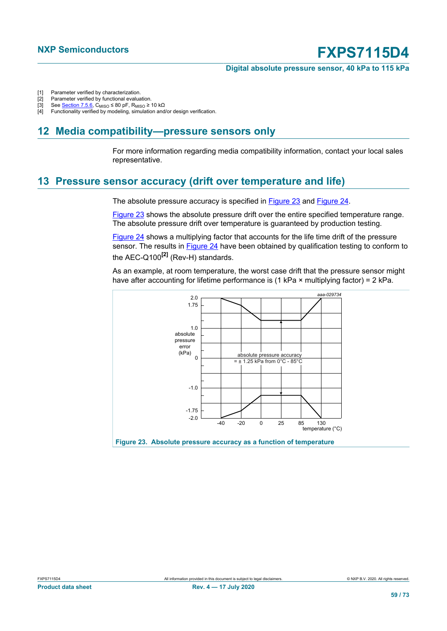**Digital absolute pressure sensor, 40 kPa to 115 kPa**

- <span id="page-58-1"></span>[1] Parameter verified by characterization.<br>[2] Parameter verified by functional evalua
- <span id="page-58-2"></span>[2] Parameter verified by functional evaluation.<br>[3] See Section 7.5.6, C<sub>MISO</sub>  $\leq$  80 pF, R<sub>MISO</sub>  $\geq$
- [3] See <u>Section 7.5.6</u>, C<sub>MISO</sub> ≤ 80 pF, R<sub>MISO</sub> ≥ 10 kΩ<br>[4] Functionality verified by modeling, simulation and
- <span id="page-58-4"></span><span id="page-58-3"></span>Functionality verified by modeling, simulation and/or design verification.

### **12 Media compatibility—pressure sensors only**

For more information regarding media compatibility information, contact your local sales representative.

### <span id="page-58-0"></span>**13 Pressure sensor accuracy (drift over temperature and life)**

The absolute pressure accuracy is specified in [Figure 23](#page-58-5) and [Figure 24](#page-59-0).

[Figure 23](#page-58-5) shows the absolute pressure drift over the entire specified temperature range. The absolute pressure drift over temperature is guaranteed by production testing.

[Figure 24](#page-59-0) shows a multiplying factor that accounts for the life time drift of the pressure sensor. The results in [Figure 24](#page-59-0) have been obtained by qualification testing to conform to the AEC-Q100**[2]** (Rev-H) standards.

As an example, at room temperature, the worst case drift that the pressure sensor might have after accounting for lifetime performance is (1 kPa  $\times$  multiplying factor) = 2 kPa.

<span id="page-58-5"></span>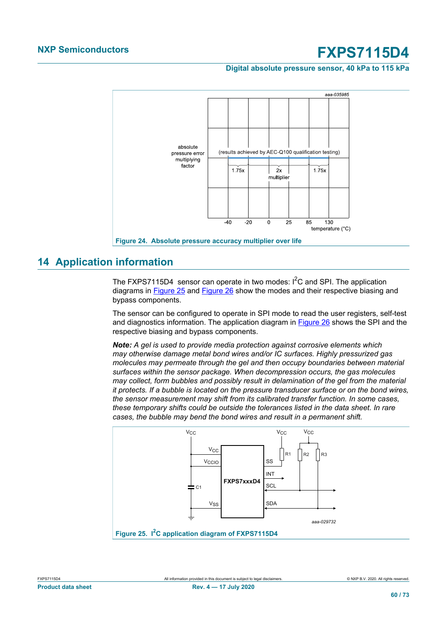#### **Digital absolute pressure sensor, 40 kPa to 115 kPa**

<span id="page-59-0"></span>

### **14 Application information**

The FXPS7115D4 sensor can operate in two modes:  $I^2C$  and SPI. The application diagrams in [Figure 25](#page-59-1) and [Figure 26](#page-60-0) show the modes and their respective biasing and bypass components.

The sensor can be configured to operate in SPI mode to read the user registers, self-test and diagnostics information. The application diagram in [Figure 26](#page-60-0) shows the SPI and the respective biasing and bypass components.

*Note: A gel is used to provide media protection against corrosive elements which may otherwise damage metal bond wires and/or IC surfaces. Highly pressurized gas molecules may permeate through the gel and then occupy boundaries between material surfaces within the sensor package. When decompression occurs, the gas molecules may collect, form bubbles and possibly result in delamination of the gel from the material it protects. If a bubble is located on the pressure transducer surface or on the bond wires, the sensor measurement may shift from its calibrated transfer function. In some cases, these temporary shifts could be outside the tolerances listed in the data sheet. In rare cases, the bubble may bend the bond wires and result in a permanent shift.*

<span id="page-59-1"></span>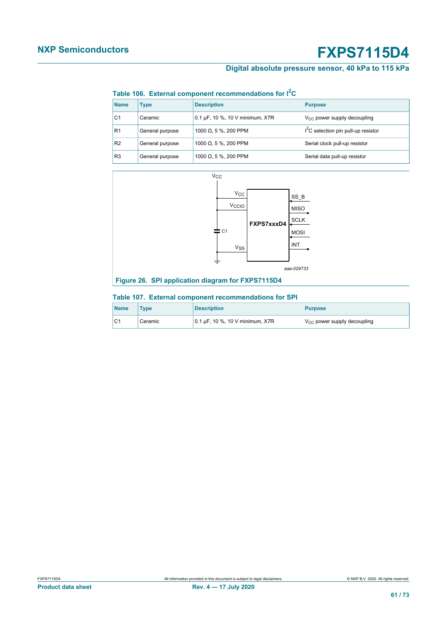### **Digital absolute pressure sensor, 40 kPa to 115 kPa**

#### <span id="page-60-1"></span>**Table 106. External component recommendations for I2C**

| <b>Name</b>    | Type            | <b>Description</b>              | <b>Purpose</b>                                  |
|----------------|-----------------|---------------------------------|-------------------------------------------------|
| C <sub>1</sub> | Ceramic         | 0.1 µF, 10 %, 10 V minimum, X7R | $V_{CC}$ power supply decoupling                |
| R <sub>1</sub> | General purpose | 1000 $\Omega$ , 5 %, 200 PPM    | I <sup>2</sup> C selection pin pull-up resistor |
| R <sub>2</sub> | General purpose | 1000 $\Omega$ , 5 %, 200 PPM    | Serial clock pull-up resistor                   |
| R <sub>3</sub> | General purpose | 1000 $\Omega$ , 5 %, 200 PPM    | Serial data pull-up resistor                    |

<span id="page-60-0"></span>

#### <span id="page-60-2"></span>**Table 107. External component recommendations for SPI**

| <b>Name</b>    | <b>Type</b> | <b>Description</b>                      | <b>Purpose</b>                   |
|----------------|-------------|-----------------------------------------|----------------------------------|
| C <sub>1</sub> | Ceramic     | $10.1 \,\mu$ F, 10 %, 10 V minimum, X7R | $V_{CC}$ power supply decoupling |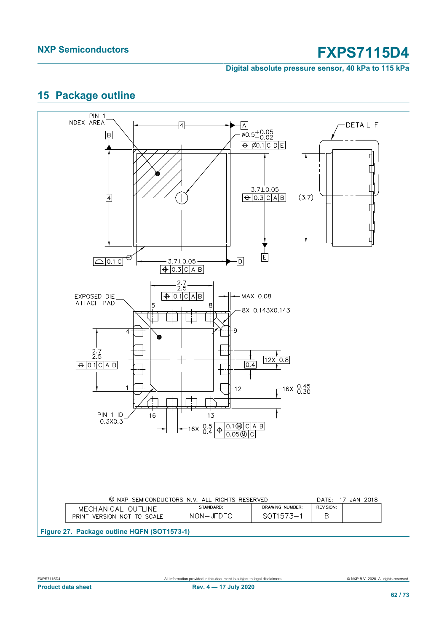**Digital absolute pressure sensor, 40 kPa to 115 kPa**

### <span id="page-61-0"></span>**15 Package outline**

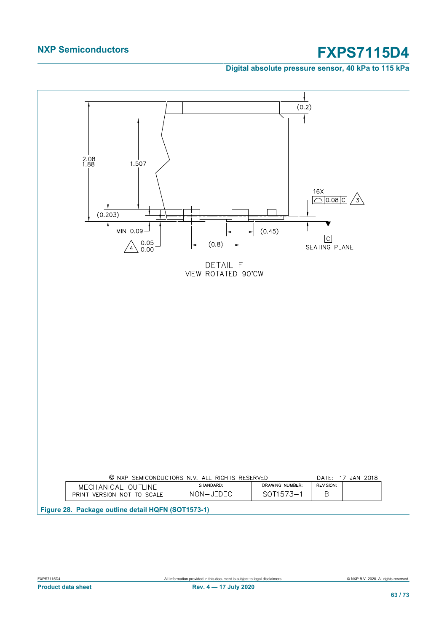**Digital absolute pressure sensor, 40 kPa to 115 kPa**

<span id="page-62-0"></span>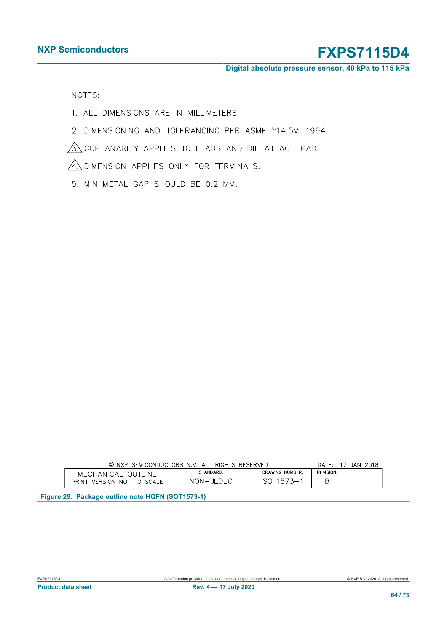**Digital absolute pressure sensor, 40 kPa to 115 kPa**

### <span id="page-63-0"></span>NOTES:

- 1. ALL DIMENSIONS ARE IN MILLIMETERS.
- 2. DIMENSIONING AND TOLERANCING PER ASME Y14.5M-1994.

 $\hat{A}$  coplanarity applies to leads and die attach pad.

AN DIMENSION APPLIES ONLY FOR TERMINALS.

5. MIN METAL GAP SHOULD BE 0.2 MM.

|                                                  | © NXP SEMICONDUCTORS N.V. ALL RIGHTS RESERVED<br>DATE: 17 JAN 2018 |           |                 |           |  |  |
|--------------------------------------------------|--------------------------------------------------------------------|-----------|-----------------|-----------|--|--|
|                                                  | MECHANICAL OUTLINE                                                 | STANDARD: | DRAWING NUMBER: | REVISION: |  |  |
|                                                  | PRINT VERSION NOT TO SCALE                                         | NON-JEDEC | SOT1573-1       | R         |  |  |
| Figure 29. Package outline note HQFN (SOT1573-1) |                                                                    |           |                 |           |  |  |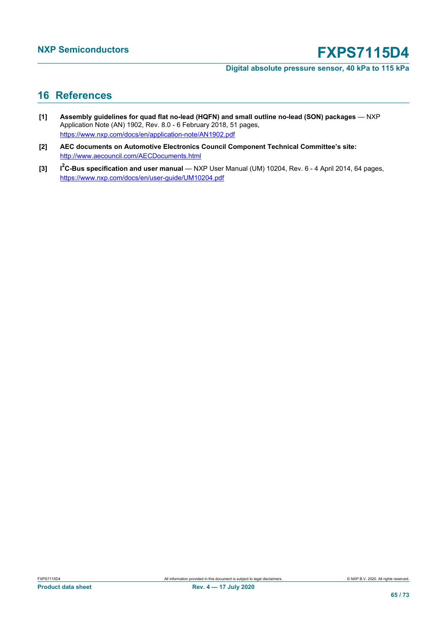**Digital absolute pressure sensor, 40 kPa to 115 kPa**

### **16 References**

- **[1] Assembly guidelines for quad flat no-lead (HQFN) and small outline no-lead (SON) packages** NXP Application Note (AN) 1902, Rev. 8.0 - 6 February 2018, 51 pages, <https://www.nxp.com/docs/en/application-note/AN1902.pdf>
- **[2] AEC documents on Automotive Electronics Council Component Technical Committee's site:** <http://www.aecouncil.com/AECDocuments.html>
- **[3] I <sup>2</sup>C-Bus specification and user manual** — NXP User Manual (UM) 10204, Rev. 6 - 4 April 2014, 64 pages, <https://www.nxp.com/docs/en/user-guide/UM10204.pdf>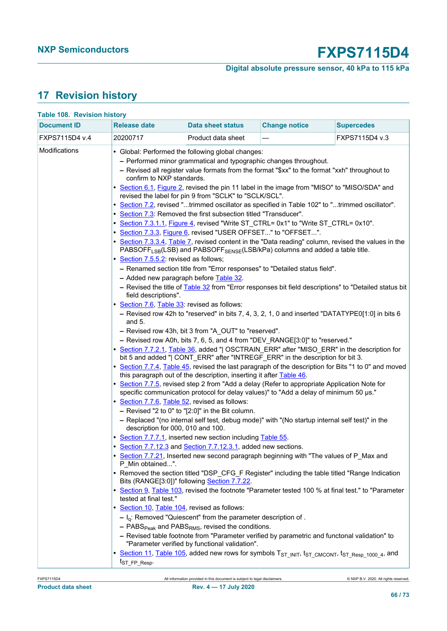### **Digital absolute pressure sensor, 40 kPa to 115 kPa**

### **17 Revision history**

<span id="page-65-0"></span>

| <b>Document ID</b><br><b>Release date</b><br><b>Change notice</b><br><b>Supercedes</b><br>Data sheet status<br>FXPS7115D4 v.4<br>20200717<br>FXPS7115D4 v.3<br>Product data sheet<br>Modifications<br>• Global: Performed the following global changes:<br>- Performed minor grammatical and typographic changes throughout.<br>- Revised all register value formats from the format "\$xx" to the format "xxh" throughout to<br>confirm to NXP standards.<br>• Section 6.1, Figure 2, revised the pin 11 label in the image from "MISO" to "MISO/SDA" and<br>revised the label for pin 9 from "SCLK" to "SCLK/SCL".<br>• Section 7.2, revised "trimmed oscillator as specified in Table 102" to "trimmed oscillator".<br>• Section 7.3: Removed the first subsection titled "Transducer".<br>• Section 7.3.1.1, Figure 4, revised "Write ST_CTRL= 0x1" to "Write ST_CTRL= 0x10".<br>• Section 7.3.3, Figure 6, revised "USER OFFSET" to "OFFSET".<br>PABSOFF <sub>LSB</sub> (LSB) and PABSOFF <sub>SENSE</sub> (LSB/kPa) columns and added a table title.<br>• Section 7.5.5.2: revised as follows;<br>- Renamed section title from "Error responses" to "Detailed status field".<br>- Added new paragraph before Table 32.<br>field descriptions".<br>• Section 7.6, Table 33: revised as follows:<br>and $5.$<br>- Revised row 43h, bit 3 from "A_OUT" to "reserved".<br>- Revised row A0h, bits 7, 6, 5, and 4 from "DEV_RANGE[3:0]" to "reserved."<br>bit 5 and added "  CONT_ERR" after "INTREGF_ERR" in the description for bit 3.<br>this paragraph out of the description, inserting it after Table 46.<br>• Section 7.7.5, revised step 2 from "Add a delay (Refer to appropriate Application Note for<br>specific communication protocol for delay values)" to "Add a delay of minimum 50 µs."<br>Section 7.7.6, Table 52, revised as follows:<br>$-$ Revised "2 to 0" to "[2:0]" in the Bit column.<br>- Replaced "(no internal self test, debug mode)" with "(No startup internal self test)" in the<br>description for 000, 010 and 100.<br>• Section 7.7.7.1, inserted new section including Table 55.<br>Section 7.7.12.3 and Section 7.7.12.3.1, added new sections. | • Section 7.3.3.4, Table 7, revised content in the "Data reading" column, revised the values in the<br>- Revised the title of Table 32 from "Error responses bit field descriptions" to "Detailed status bit<br>- Revised row 42h to "reserved" in bits 7, 4, 3, 2, 1, 0 and inserted "DATATYPE0[1:0] in bits 6<br>• Section 7.7.2.1, Table 36, added "  OSCTRAIN ERR" after "MISO ERR" in the description for<br>• Section 7.7.4, Table 45, revised the last paragraph of the description for Bits "1 to 0" and moved<br>• Section 7.7.21, Inserted new second paragraph beginning with "The values of P_Max and<br>P Min obtained".<br>• Removed the section titled "DSP_CFG_F Register" including the table titled "Range Indication<br>Bits (RANGE[3:0])" following Section 7.7.22.<br>• Section 9, Table 103, revised the footnote "Parameter tested 100 % at final test." to "Parameter<br>tested at final test."<br>• Section 10, Table 104, revised as follows:<br>$- I_q$ : Removed "Quiescent" from the parameter description of.<br>$-$ PABS <sub>Peak</sub> and PABS <sub>RMS</sub> , revised the conditions.<br>- Revised table footnote from "Parameter verified by parametric and functonal validation" to<br>"Parameter verified by functional validation".<br>• Section 11, Table 105, added new rows for symbols T <sub>ST INIT</sub> , t <sub>ST_CMCONT</sub> , t <sub>ST_Resp_1000_4</sub> , and |                                    |                           |  |  |
|---------------------------------------------------------------------------------------------------------------------------------------------------------------------------------------------------------------------------------------------------------------------------------------------------------------------------------------------------------------------------------------------------------------------------------------------------------------------------------------------------------------------------------------------------------------------------------------------------------------------------------------------------------------------------------------------------------------------------------------------------------------------------------------------------------------------------------------------------------------------------------------------------------------------------------------------------------------------------------------------------------------------------------------------------------------------------------------------------------------------------------------------------------------------------------------------------------------------------------------------------------------------------------------------------------------------------------------------------------------------------------------------------------------------------------------------------------------------------------------------------------------------------------------------------------------------------------------------------------------------------------------------------------------------------------------------------------------------------------------------------------------------------------------------------------------------------------------------------------------------------------------------------------------------------------------------------------------------------------------------------------------------------------------------------------------------------------------------------------------------------------------------------------------------------------------|----------------------------------------------------------------------------------------------------------------------------------------------------------------------------------------------------------------------------------------------------------------------------------------------------------------------------------------------------------------------------------------------------------------------------------------------------------------------------------------------------------------------------------------------------------------------------------------------------------------------------------------------------------------------------------------------------------------------------------------------------------------------------------------------------------------------------------------------------------------------------------------------------------------------------------------------------------------------------------------------------------------------------------------------------------------------------------------------------------------------------------------------------------------------------------------------------------------------------------------------------------------------------------------------------------------------------------------------------------------------------------------------------------------------|------------------------------------|---------------------------|--|--|
|                                                                                                                                                                                                                                                                                                                                                                                                                                                                                                                                                                                                                                                                                                                                                                                                                                                                                                                                                                                                                                                                                                                                                                                                                                                                                                                                                                                                                                                                                                                                                                                                                                                                                                                                                                                                                                                                                                                                                                                                                                                                                                                                                                                       |                                                                                                                                                                                                                                                                                                                                                                                                                                                                                                                                                                                                                                                                                                                                                                                                                                                                                                                                                                                                                                                                                                                                                                                                                                                                                                                                                                                                                      |                                    |                           |  |  |
|                                                                                                                                                                                                                                                                                                                                                                                                                                                                                                                                                                                                                                                                                                                                                                                                                                                                                                                                                                                                                                                                                                                                                                                                                                                                                                                                                                                                                                                                                                                                                                                                                                                                                                                                                                                                                                                                                                                                                                                                                                                                                                                                                                                       |                                                                                                                                                                                                                                                                                                                                                                                                                                                                                                                                                                                                                                                                                                                                                                                                                                                                                                                                                                                                                                                                                                                                                                                                                                                                                                                                                                                                                      |                                    |                           |  |  |
|                                                                                                                                                                                                                                                                                                                                                                                                                                                                                                                                                                                                                                                                                                                                                                                                                                                                                                                                                                                                                                                                                                                                                                                                                                                                                                                                                                                                                                                                                                                                                                                                                                                                                                                                                                                                                                                                                                                                                                                                                                                                                                                                                                                       |                                                                                                                                                                                                                                                                                                                                                                                                                                                                                                                                                                                                                                                                                                                                                                                                                                                                                                                                                                                                                                                                                                                                                                                                                                                                                                                                                                                                                      | <b>Table 108. Revision history</b> |                           |  |  |
|                                                                                                                                                                                                                                                                                                                                                                                                                                                                                                                                                                                                                                                                                                                                                                                                                                                                                                                                                                                                                                                                                                                                                                                                                                                                                                                                                                                                                                                                                                                                                                                                                                                                                                                                                                                                                                                                                                                                                                                                                                                                                                                                                                                       |                                                                                                                                                                                                                                                                                                                                                                                                                                                                                                                                                                                                                                                                                                                                                                                                                                                                                                                                                                                                                                                                                                                                                                                                                                                                                                                                                                                                                      |                                    | t <sub>ST_FP_Resp</sub> . |  |  |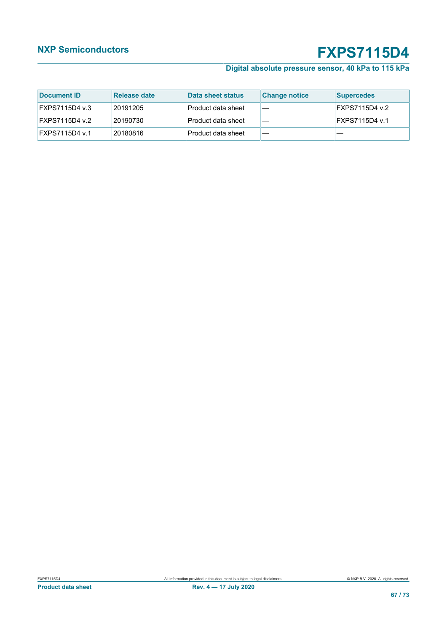### **Digital absolute pressure sensor, 40 kPa to 115 kPa**

| Document ID           | Release date | Data sheet status  | <b>Change notice</b> | <b>Supercedes</b> |
|-----------------------|--------------|--------------------|----------------------|-------------------|
| FXPS7115D4 v.3        | 20191205     | Product data sheet |                      | FXPS7115D4 v.2    |
| FXPS7115D4 v.2        | 20190730     | Product data sheet |                      | FXPS7115D4 v.1    |
| <b>FXPS7115D4 v.1</b> | 20180816     | Product data sheet |                      |                   |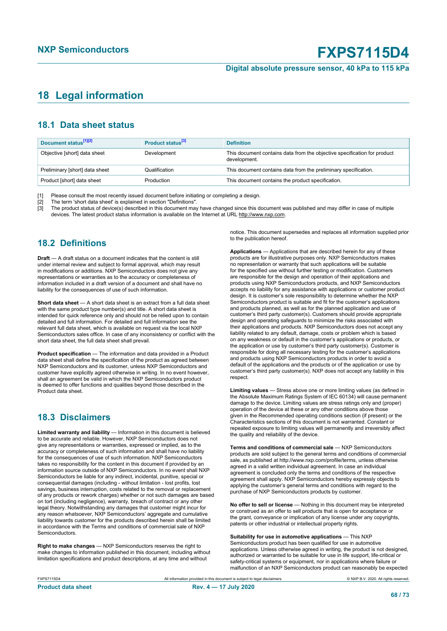#### **Digital absolute pressure sensor, 40 kPa to 115 kPa**

### <span id="page-67-0"></span>**18 Legal information**

### **18.1 Data sheet status**

| Document status <sup>[1][2]</sup> | Product status <sup>[3]</sup> | <b>Definition</b>                                                                        |
|-----------------------------------|-------------------------------|------------------------------------------------------------------------------------------|
| Objective [short] data sheet      | Development                   | This document contains data from the objective specification for product<br>development. |
| Preliminary [short] data sheet    | Qualification                 | This document contains data from the preliminary specification.                          |
| Product [short] data sheet        | Production                    | This document contains the product specification.                                        |

[1] Please consult the most recently issued document before initiating or completing a design.<br>[2] The term 'short data sheet' is explained in section "Definitions".

t :<br>[2] The term 'short data sheet' is explained in section "Definitions".<br>[3] The product status of device(s) described in this document may

The product status of device(s) described in this document may have changed since this document was published and may differ in case of multiple devices. The latest product status information is available on the Internet at URL http://www.nxp.com.

### **18.2 Definitions**

**Draft** — A draft status on a document indicates that the content is still under internal review and subject to formal approval, which may result in modifications or additions. NXP Semiconductors does not give any representations or warranties as to the accuracy or completeness of information included in a draft version of a document and shall have no liability for the consequences of use of such information.

**Short data sheet** — A short data sheet is an extract from a full data sheet with the same product type number(s) and title. A short data sheet is intended for quick reference only and should not be relied upon to contain detailed and full information. For detailed and full information see the relevant full data sheet, which is available on request via the local NXP Semiconductors sales office. In case of any inconsistency or conflict with the short data sheet, the full data sheet shall prevail.

**Product specification** — The information and data provided in a Product data sheet shall define the specification of the product as agreed between NXP Semiconductors and its customer, unless NXP Semiconductors and customer have explicitly agreed otherwise in writing. In no event however, shall an agreement be valid in which the NXP Semiconductors product is deemed to offer functions and qualities beyond those described in the Product data sheet.

### **18.3 Disclaimers**

**Limited warranty and liability** — Information in this document is believed to be accurate and reliable. However, NXP Semiconductors does not give any representations or warranties, expressed or implied, as to the accuracy or completeness of such information and shall have no liability for the consequences of use of such information. NXP Semiconductors takes no responsibility for the content in this document if provided by an information source outside of NXP Semiconductors. In no event shall NXP Semiconductors be liable for any indirect, incidental, punitive, special or consequential damages (including - without limitation - lost profits, lost savings, business interruption, costs related to the removal or replacement of any products or rework charges) whether or not such damages are based on tort (including negligence), warranty, breach of contract or any other legal theory. Notwithstanding any damages that customer might incur for any reason whatsoever, NXP Semiconductors' aggregate and cumulative liability towards customer for the products described herein shall be limited in accordance with the Terms and conditions of commercial sale of NXP **Semiconductors** 

**Right to make changes** — NXP Semiconductors reserves the right to make changes to information published in this document, including without limitation specifications and product descriptions, at any time and without

notice. This document supersedes and replaces all information supplied prior to the publication hereof.

**Applications** — Applications that are described herein for any of these products are for illustrative purposes only. NXP Semiconductors makes no representation or warranty that such applications will be suitable for the specified use without further testing or modification. Customers are responsible for the design and operation of their applications and products using NXP Semiconductors products, and NXP Semiconductors accepts no liability for any assistance with applications or customer product design. It is customer's sole responsibility to determine whether the NXP Semiconductors product is suitable and fit for the customer's applications and products planned, as well as for the planned application and use of customer's third party customer(s). Customers should provide appropriate design and operating safeguards to minimize the risks associated with their applications and products. NXP Semiconductors does not accept any liability related to any default, damage, costs or problem which is based on any weakness or default in the customer's applications or products, or the application or use by customer's third party customer(s). Customer is responsible for doing all necessary testing for the customer's applications and products using NXP Semiconductors products in order to avoid a default of the applications and the products or of the application or use by customer's third party customer(s). NXP does not accept any liability in this respect.

**Limiting values** — Stress above one or more limiting values (as defined in the Absolute Maximum Ratings System of IEC 60134) will cause permanent damage to the device. Limiting values are stress ratings only and (proper) operation of the device at these or any other conditions above those given in the Recommended operating conditions section (if present) or the Characteristics sections of this document is not warranted. Constant or repeated exposure to limiting values will permanently and irreversibly affect the quality and reliability of the device.

**Terms and conditions of commercial sale** — NXP Semiconductors products are sold subject to the general terms and conditions of commercial sale, as published at http://www.nxp.com/profile/terms, unless otherwise agreed in a valid written individual agreement. In case an individual agreement is concluded only the terms and conditions of the respective agreement shall apply. NXP Semiconductors hereby expressly objects to applying the customer's general terms and conditions with regard to the purchase of NXP Semiconductors products by customer.

**No offer to sell or license** — Nothing in this document may be interpreted or construed as an offer to sell products that is open for acceptance or the grant, conveyance or implication of any license under any copyrights, patents or other industrial or intellectual property rights.

**Suitability for use in automotive applications** — This NXP Semiconductors product has been qualified for use in automotive applications. Unless otherwise agreed in writing, the product is not designed, authorized or warranted to be suitable for use in life support, life-critical or safety-critical systems or equipment, nor in applications where failure or malfunction of an NXP Semiconductors product can reasonably be expected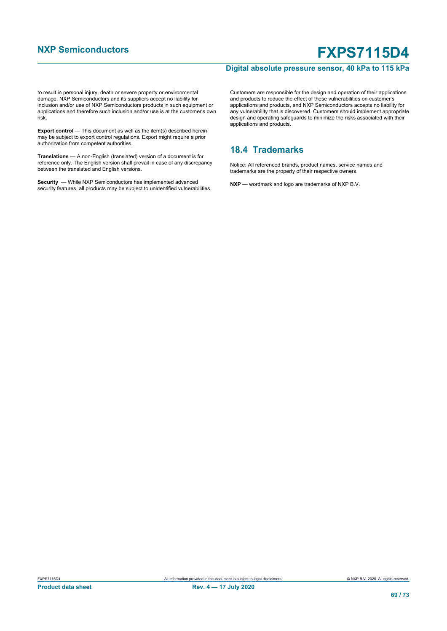#### **Digital absolute pressure sensor, 40 kPa to 115 kPa**

to result in personal injury, death or severe property or environmental damage. NXP Semiconductors and its suppliers accept no liability for inclusion and/or use of NXP Semiconductors products in such equipment or applications and therefore such inclusion and/or use is at the customer's own risk.

**Export control** — This document as well as the item(s) described herein may be subject to export control regulations. Export might require a prior authorization from competent authorities.

**Translations** — A non-English (translated) version of a document is for reference only. The English version shall prevail in case of any discrepancy between the translated and English versions.

**Security** — While NXP Semiconductors has implemented advanced security features, all products may be subject to unidentified vulnerabilities.

Customers are responsible for the design and operation of their applications and products to reduce the effect of these vulnerabilities on customer's applications and products, and NXP Semiconductors accepts no liability for any vulnerability that is discovered. Customers should implement appropriate design and operating safeguards to minimize the risks associated with their applications and products.

### **18.4 Trademarks**

Notice: All referenced brands, product names, service names and trademarks are the property of their respective owners.

**NXP** — wordmark and logo are trademarks of NXP B.V.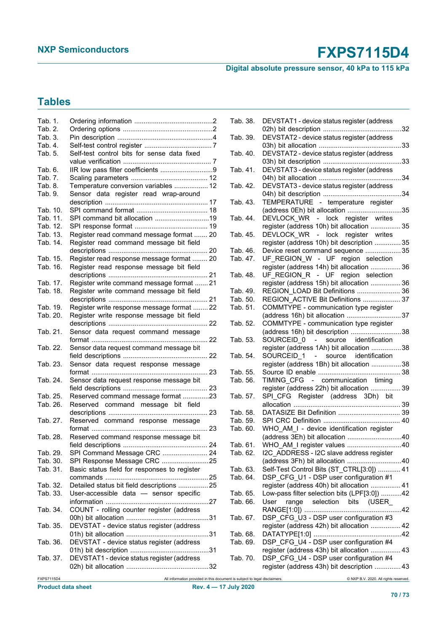### **Digital absolute pressure sensor, 40 kPa to 115 kPa**

### **Tables**

| Tab. 1.    |                                                                            | Tab. 38. | DEVSTAT1 - device status register (address       |
|------------|----------------------------------------------------------------------------|----------|--------------------------------------------------|
| Tab. 2.    |                                                                            |          |                                                  |
| Tab. 3.    |                                                                            | Tab. 39. | DEVSTAT2 - device status register (address       |
| Tab. 4.    |                                                                            |          |                                                  |
| Tab. 5.    | Self-test control bits for sense data fixed                                | Tab. 40. | DEVSTAT2 - device status register (address       |
|            |                                                                            |          |                                                  |
| Tab. 6.    | IIR low pass filter coefficients 9                                         | Tab. 41. | DEVSTAT3 - device status register (address       |
| Tab. 7.    |                                                                            |          |                                                  |
| Tab. 8.    | Temperature conversion variables  12                                       | Tab. 42. | DEVSTAT3 - device status register (address       |
| Tab. 9.    | Sensor data register read wrap-around                                      |          |                                                  |
|            |                                                                            | Tab. 43. | TEMPERATURE - temperature register               |
| Tab. 10.   |                                                                            |          |                                                  |
| Tab. 11.   |                                                                            | Tab. 44. | DEVLOCK_WR - lock register writes                |
| Tab. 12.   |                                                                            |          | register (address 10h) bit allocation  35        |
| Tab. 13.   | Register read command message format  20                                   | Tab. 45. | DEVLOCK_WR - lock register writes                |
| Tab. 14.   | Register read command message bit field                                    |          | register (address 10h) bit description  35       |
|            |                                                                            | Tab. 46. | Device reset command sequence  35                |
| Tab. 15.   | Register read response message format  20                                  | Tab. 47. | UF_REGION_W - UF region selection                |
| Tab. 16.   | Register read response message bit field                                   |          | register (address 14h) bit allocation  36        |
|            |                                                                            | Tab. 48. | UF_REGION_R - UF region selection                |
| Tab. 17.   | Register write command message format  21                                  |          | register (address 15h) bit allocation  36        |
| Tab. 18.   | Register write command message bit field                                   | Tab. 49. | REGION_LOAD Bit Definitions  36                  |
|            |                                                                            | Tab. 50. | REGION ACTIVE Bit Definitions  37                |
| Tab. 19.   | Register write response message format  22                                 | Tab. 51. | COMMTYPE - communication type register           |
| Tab. 20.   | Register write response message bit field                                  |          | (address 16h) bit allocation 37                  |
|            |                                                                            | Tab. 52. | COMMTYPE - communication type register           |
| Tab. 21.   | Sensor data request command message                                        |          | (address 16h) bit description 38                 |
|            |                                                                            | Tab. 53. | SOURCEID 0 - source<br>identification            |
| Tab. 22.   | Sensor data request command message bit                                    |          | register (address 1Ah) bit allocation 38         |
|            |                                                                            | Tab. 54. | SOURCEID <sub>1</sub> - source<br>identification |
| Tab. 23.   | Sensor data request response message                                       |          | register (address 1Bh) bit allocation 38         |
|            |                                                                            | Tab. 55. |                                                  |
| Tab. 24.   | Sensor data request response message bit                                   | Tab. 56. | TIMING CFG - communication timing                |
|            |                                                                            |          |                                                  |
| Tab. 25.   |                                                                            |          | register (address 22h) bit allocation  39        |
|            | Reserved command message format 23                                         | Tab. 57. | SPI_CFG Register (address 3Dh) bit               |
| Tab. 26.   | Reserved command message bit field                                         |          |                                                  |
|            |                                                                            | Tab. 58. |                                                  |
| Tab. 27.   | Reserved command response message                                          | Tab. 59. |                                                  |
|            |                                                                            | Tab. 60. | WHO AM I - device identification register        |
| Tab. 28.   | Reserved command response message bit                                      |          | (address 3Eh) bit allocation 40                  |
|            |                                                                            |          | Tab. 61. WHO_AM_I register values 40             |
| Tab. 29.   | SPI Command Message CRC  24                                                | Tab. 62. | I2C_ADDRESS - I2C slave address register         |
| Tab. 30.   | SPI Response Message CRC 25                                                |          | (address 3Fh) bit allocation 40                  |
| Tab. 31.   | Basic status field for responses to register                               | Tab. 63. | Self-Test Control Bits (ST_CTRL[3:0])  41        |
|            |                                                                            | Tab. 64. | DSP_CFG_U1 - DSP user configuration #1           |
| Tab. 32.   | Detailed status bit field descriptions  25                                 |          | register (address 40h) bit allocation  41        |
| Tab. 33.   | User-accessible data - sensor specific                                     | Tab. 65. | Low-pass filter selection bits (LPF[3:0]) 42     |
|            |                                                                            | Tab. 66. | selection bits (USER<br>User<br>range            |
| Tab. 34.   | COUNT - rolling counter register (address                                  |          |                                                  |
|            |                                                                            | Tab. 67. | DSP CFG U3 - DSP user configuration #3           |
| Tab. 35.   | DEVSTAT - device status register (address                                  |          | register (address 42h) bit allocation  42        |
|            |                                                                            | Tab. 68. |                                                  |
| Tab. 36.   | DEVSTAT - device status register (address                                  | Tab. 69. | DSP_CFG_U4 - DSP user configuration #4           |
|            |                                                                            |          | register (address 43h) bit allocation  43        |
| Tab. 37.   | DEVSTAT1 - device status register (address                                 | Tab. 70. | DSP_CFG_U4 - DSP user configuration #4           |
|            |                                                                            |          | register (address 43h) bit description  43       |
|            |                                                                            |          |                                                  |
| FXPS7115D4 | All information provided in this document is subject to legal disclaimers. |          | @ NXP B.V. 2020. All rights reserved.            |

| Tab. 38. | DEVSTAT1 - device status register (address                                           |  |
|----------|--------------------------------------------------------------------------------------|--|
| Tab. 39. | DEVSTAT2 - device status register (address                                           |  |
|          |                                                                                      |  |
| Tab. 40. | DEVSTAT2 - device status register (address                                           |  |
| Tab. 41. | DEVSTAT3 - device status register (address                                           |  |
|          |                                                                                      |  |
| Tab. 42. | DEVSTAT3 - device status register (address                                           |  |
| Tab. 43. | TEMPERATURE - temperature register                                                   |  |
|          | (address 0Eh) bit allocation 35                                                      |  |
| Tab. 44. | DEVLOCK WR - lock register writes                                                    |  |
| Tab. 45. | register (address 10h) bit allocation  35<br>DEVLOCK_WR - lock register writes       |  |
|          | register (address 10h) bit description  35                                           |  |
| Tab. 46. | Device reset command sequence  35                                                    |  |
| Tab. 47. | UF REGION W - UF region selection                                                    |  |
|          | register (address 14h) bit allocation  36                                            |  |
| Tab. 48. | UF_REGION_R - UF region selection                                                    |  |
|          | register (address 15h) bit allocation  36                                            |  |
| Tab. 49. | REGION LOAD Bit Definitions  36                                                      |  |
| Tab. 50. | REGION ACTIVE Bit Definitions  37                                                    |  |
| Tab. 51. | COMMTYPE - communication type register                                               |  |
|          | (address 16h) bit allocation 37                                                      |  |
| Tab. 52. | COMMTYPE - communication type register                                               |  |
|          | (address 16h) bit description 38                                                     |  |
|          |                                                                                      |  |
|          |                                                                                      |  |
| Tab. 53. | SOURCEID_0 - source identification                                                   |  |
| Tab. 54. | register (address 1Ah) bit allocation 38<br>SOURCEID 1 - source identification       |  |
|          | register (address 1Bh) bit allocation 38                                             |  |
| Tab. 55. |                                                                                      |  |
| Tab. 56. | TIMING CFG - communication timing                                                    |  |
|          | register (address 22h) bit allocation  39                                            |  |
| Tab. 57. | SPI_CFG Register (address 3Dh) bit                                                   |  |
|          |                                                                                      |  |
| Tab. 58. | DATASIZE Bit Definition  39                                                          |  |
| Tab. 59. |                                                                                      |  |
| Tab. 60. | WHO AM I - device identification register                                            |  |
|          | (address 3Eh) bit allocation 40                                                      |  |
| Tab. 61. | WHO AM_I register values 40                                                          |  |
| Tab. 62. | I2C_ADDRESS - I2C slave address register                                             |  |
|          | (address 3Fh) bit allocation 40                                                      |  |
| Tab. 63. | Self-Test Control Bits (ST_CTRL[3:0])  41                                            |  |
| Tab. 64. | DSP_CFG_U1 - DSP user configuration #1                                               |  |
|          | register (address 40h) bit allocation  41                                            |  |
| Tab. 65. | Low-pass filter selection bits (LPF[3:0]) 42                                         |  |
| Tab. 66. | range selection bits (USER_<br>User                                                  |  |
|          |                                                                                      |  |
| Tab. 67. | DSP_CFG_U3 - DSP user configuration #3                                               |  |
|          | register (address 42h) bit allocation  42                                            |  |
| Tab. 68. |                                                                                      |  |
| Tab. 69. | DSP_CFG_U4 - DSP user configuration #4                                               |  |
|          | register (address 43h) bit allocation  43                                            |  |
| Tab. 70. | DSP_CFG_U4 - DSP user configuration #4<br>register (address 43h) bit description  43 |  |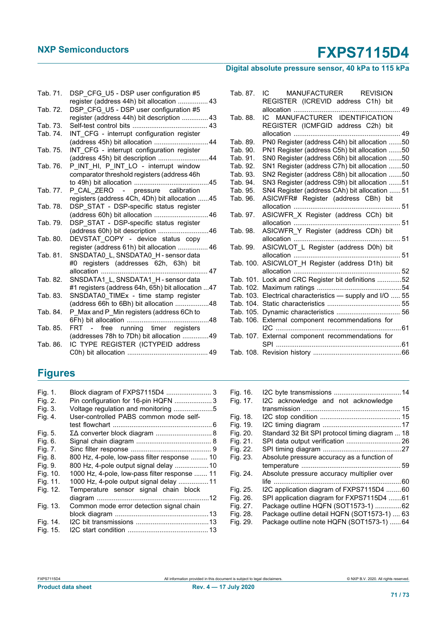### **Digital absolute pressure sensor, 40 kPa to 115 kPa**

| Tab. 71. | DSP CFG U5 - DSP user configuration #5                                   |
|----------|--------------------------------------------------------------------------|
|          | register (address 44h) bit allocation  43                                |
| Tab. 72. | DSP CFG U5 - DSP user configuration #5                                   |
|          | register (address 44h) bit description  43                               |
| Tab. 73. |                                                                          |
| Tab. 74. | INT CFG - interrupt configuration register                               |
|          | (address 45h) bit allocation  44                                         |
| Tab. 75. | INT CFG - interrupt configuration register                               |
|          | (address 45h) bit description 44                                         |
| Tab. 76. | P_INT_HI, P_INT_LO - interrupt window                                    |
|          | comparator threshold registers (address 46h                              |
|          |                                                                          |
| Tab. 77. | P CAL ZERO - pressure calibration                                        |
|          | registers (address 4Ch, 4Dh) bit allocation 45                           |
| Tab. 78. | DSP STAT - DSP-specific status register                                  |
|          |                                                                          |
| Tab. 79. | DSP STAT - DSP-specific status register                                  |
|          | (address 60h) bit description 46                                         |
| Tab. 80. | DEVSTAT_COPY - device status copy                                        |
|          | register (address 61h) bit allocation  46                                |
| Tab. 81. | SNSDATA0 L, SNSDATA0 H - sensor data                                     |
|          | #0 registers (addresses 62h, 63h) bit                                    |
|          | allocation<br>47                                                         |
| Tab. 82. | SNSDATA1 L, SNSDATA1 H - sensor data                                     |
|          | #1 registers (address 64h, 65h) bit allocation 47                        |
| Tab. 83. | SNSDATA0_TIMEx - time stamp register                                     |
|          | (address 66h to 6Bh) bit allocation 48                                   |
| Tab. 84. | P Max and P Min registers (address 6Ch to                                |
| Tab. 85. | FRT -                                                                    |
|          | free running timer registers<br>(addresses 78h to 7Dh) bit allocation 49 |
| Tab. 86. | IC TYPE REGISTER (ICTYPEID address                                       |
|          |                                                                          |
|          |                                                                          |

| Tab. 87. | IC MANUFACTURER REVISION                                  |  |
|----------|-----------------------------------------------------------|--|
|          | REGISTER (ICREVID address C1h) bit                        |  |
|          |                                                           |  |
| Tab. 88. | IC MANUFACTURER IDENTIFICATION                            |  |
|          | REGISTER (ICMFGID address C2h) bit                        |  |
|          |                                                           |  |
| Tab. 89. | PN0 Register (address C4h) bit allocation 50              |  |
| Tab. 90. | PN1 Register (address C5h) bit allocation 50              |  |
| Tab. 91. | SN0 Register (address C6h) bit allocation 50              |  |
| Tab. 92. | SN1 Register (address C7h) bit allocation 50              |  |
| Tab. 93. | SN2 Register (address C8h) bit allocation 50              |  |
| Tab. 94. | SN3 Register (address C9h) bit allocation 51              |  |
| Tab. 95. | SN4 Register (address CAh) bit allocation  51             |  |
| Tab. 96. | ASICWFR# Register (address CBh) bit                       |  |
|          |                                                           |  |
| Tab. 97. | ASICWFR_X Register (address CCh) bit                      |  |
|          |                                                           |  |
| Tab. 98. | ASICWFR_Y Register (address CDh) bit                      |  |
|          |                                                           |  |
| Tab. 99. | ASICWLOT_L Register (address D0h) bit                     |  |
|          |                                                           |  |
|          | Tab. 100. ASICWLOT_H Register (address D1h) bit           |  |
|          |                                                           |  |
|          | Tab. 101. Lock and CRC Register bit definitions 52        |  |
|          |                                                           |  |
|          | Tab. 103. Electrical characteristics - supply and I/O  55 |  |
|          |                                                           |  |
|          |                                                           |  |
|          | Tab. 106. External component recommendations for          |  |
|          |                                                           |  |
|          | Tab. 107. External component recommendations for          |  |
|          |                                                           |  |
|          |                                                           |  |

### **Figures**

| Fig. 1.  |                                               |
|----------|-----------------------------------------------|
| Fig. 2.  | Pin configuration for 16-pin HQFN 3           |
| Fig. 3.  | Voltage regulation and monitoring 5           |
| Fig. 4.  | User-controlled PABS common mode self-        |
|          |                                               |
| Fig. 5.  | ΣΔ converter block diagram  8                 |
| Fig. 6.  |                                               |
| Fig. 7.  |                                               |
| Fig. 8.  | 800 Hz, 4-pole, low-pass filter response  10  |
| Fig. 9.  | 800 Hz, 4-pole output signal delay 10         |
| Fig. 10. | 1000 Hz, 4-pole, low-pass filter response  11 |
| Fig. 11. | 1000 Hz, 4-pole output signal delay 11        |
| Fig. 12. | Temperature sensor signal chain block         |
|          |                                               |
| Fig. 13. | Common mode error detection signal chain      |
|          |                                               |
| Fig. 14. |                                               |
| Fig. 15. |                                               |

| Fig. 16. |                                                 |  |
|----------|-------------------------------------------------|--|
| Fig. 17. | I2C acknowledge and not acknowledge             |  |
|          |                                                 |  |
| Fig. 18. |                                                 |  |
| Fig. 19. |                                                 |  |
| Fig. 20. | Standard 32 Bit SPI protocol timing diagram  18 |  |
| Fig. 21. | SPI data output verification  26                |  |
| Fig. 22. |                                                 |  |
| Fig. 23. | Absolute pressure accuracy as a function of     |  |
|          |                                                 |  |
| Fig. 24. | Absolute pressure accuracy multiplier over      |  |
|          |                                                 |  |
| Fig. 25. | I2C application diagram of FXPS7115D4 60        |  |
| Fig. 26. | SPI application diagram for FXPS7115D4 61       |  |
| Fig. 27. | Package outline HQFN (SOT1573-1) 62             |  |
| Fig. 28. | Package outline detail HQFN (SOT1573-1)  63     |  |
| Fig. 29. | Package outline note HQFN (SOT1573-1)  64       |  |
|          |                                                 |  |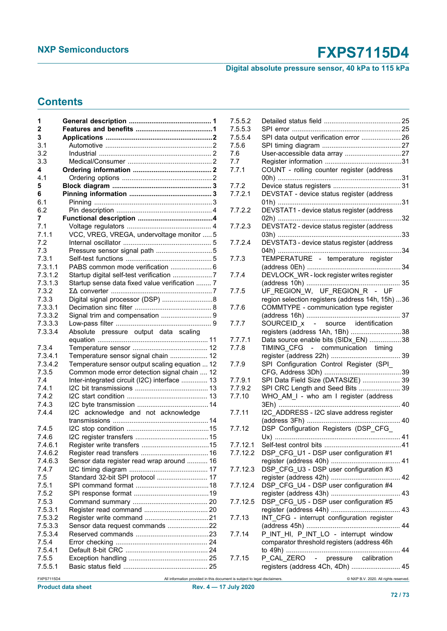### **Digital absolute pressure sensor, 40 kPa to 115 kPa**

### **Contents**

| 1            |                                                                            | 7.5.5.2  |                                                  |  |
|--------------|----------------------------------------------------------------------------|----------|--------------------------------------------------|--|
| $\mathbf{2}$ |                                                                            | 7.5.5.3  |                                                  |  |
| 3            |                                                                            | 7.5.5.4  | SPI data output verification error  26           |  |
| 3.1          |                                                                            | 7.5.6    |                                                  |  |
| 3.2          |                                                                            | 7.6      |                                                  |  |
| 3.3          |                                                                            | 7.7      |                                                  |  |
| 4            |                                                                            | 7.7.1    | COUNT - rolling counter register (address        |  |
| 4.1          |                                                                            |          |                                                  |  |
| 5.           |                                                                            | 7.7.2    |                                                  |  |
| 6            |                                                                            | 7.7.2.1  | DEVSTAT - device status register (address        |  |
| 6.1          |                                                                            |          |                                                  |  |
| 6.2          |                                                                            | 7.7.2.2  | DEVSTAT1 - device status register (address       |  |
| 7            |                                                                            |          |                                                  |  |
| 7.1          |                                                                            | 7.7.2.3  | DEVSTAT2 - device status register (address       |  |
| 7.1.1        | VCC, VREG, VREGA, undervoltage monitor  5                                  |          |                                                  |  |
| 7.2          |                                                                            | 7.7.2.4  | DEVSTAT3 - device status register (address       |  |
| 7.3          |                                                                            |          |                                                  |  |
| 7.3.1        |                                                                            | 7.7.3    | TEMPERATURE - temperature register               |  |
| 7.3.1.1      | PABS common mode verification  6                                           |          |                                                  |  |
| 7.3.1.2      |                                                                            |          |                                                  |  |
|              |                                                                            | 7.7.4    | DEVLOCK_WR - lock register writes register       |  |
| 7.3.1.3      | Startup sense data fixed value verification  7                             |          |                                                  |  |
| 7.3.2        |                                                                            | 7.7.5    | UF REGION W, UF REGION R - UF                    |  |
| 7.3.3        | Digital signal processor (DSP) 8                                           |          | region selection registers (address 14h, 15h) 36 |  |
| 7.3.3.1      |                                                                            | 7.7.6    | COMMTYPE - communication type register           |  |
| 7.3.3.2      | Signal trim and compensation  9                                            |          |                                                  |  |
| 7.3.3.3      |                                                                            | 7.7.7    | SOURCEID x - source identification               |  |
| 7.3.3.4      | Absolute pressure output data scaling                                      |          | registers (address 1Ah, 1Bh) 38                  |  |
|              |                                                                            | 7.7.7.1  | Data source enable bits (SIDx_EN) 38             |  |
| 7.3.4        |                                                                            | 7.7.8    | TIMING CFG - communication timing                |  |
| 7.3.4.1      | Temperature sensor signal chain  12                                        |          |                                                  |  |
| 7.3.4.2      | Temperature sensor output scaling equation  12                             | 7.7.9    | SPI Configuration Control Register (SPI          |  |
| 7.3.5        | Common mode error detection signal chain  12                               |          |                                                  |  |
| 7.4          | Inter-integrated circuit (I2C) interface  13                               | 7.7.9.1  | SPI Data Field Size (DATASIZE)  39               |  |
| 7.4.1        |                                                                            | 7.7.9.2  | SPI CRC Length and Seed Bits  39                 |  |
| 7.4.2        |                                                                            | 7.7.10   | WHO_AM_I - who am I register (address            |  |
| 7.4.3        |                                                                            |          |                                                  |  |
| 7.4.4        | I2C acknowledge and not acknowledge                                        | 7.7.11   | I2C ADDRESS - I2C slave address register         |  |
|              |                                                                            |          |                                                  |  |
| 7.4.5        |                                                                            | 7.7.12   | DSP Configuration Registers (DSP_CFG_            |  |
| 7.4.6        |                                                                            |          |                                                  |  |
| 7.4.6.1      |                                                                            | 7.7.12.1 |                                                  |  |
| 7.4.6.2      |                                                                            |          | 7.7.12.2 DSP_CFG_U1 - DSP user configuration #1  |  |
| 7.4.6.3      | Sensor data register read wrap around  16                                  |          |                                                  |  |
| 7.4.7        |                                                                            | 7.7.12.3 | DSP_CFG_U3 - DSP user configuration #3           |  |
| 7.5          | Standard 32-bit SPI protocol  17                                           |          |                                                  |  |
|              |                                                                            |          |                                                  |  |
| 7.5.1        |                                                                            | 7.7.12.4 | DSP_CFG_U4 - DSP user configuration #4           |  |
| 7.5.2        |                                                                            |          |                                                  |  |
| 7.5.3        |                                                                            | 7.7.12.5 | DSP_CFG_U5 - DSP user configuration #5           |  |
| 7.5.3.1      |                                                                            |          |                                                  |  |
| 7.5.3.2      |                                                                            | 7.7.13   | INT_CFG - interrupt configuration register       |  |
| 7.5.3.3      | Sensor data request commands 22                                            |          |                                                  |  |
| 7.5.3.4      |                                                                            | 7.7.14   | P_INT_HI, P_INT_LO - interrupt window            |  |
| 7.5.4        |                                                                            |          | comparator threshold registers (address 46h      |  |
| 7.5.4.1      |                                                                            |          |                                                  |  |
| 7.5.5        |                                                                            | 7.7.15   | P CAL ZERO - pressure calibration                |  |
| 7.5.5.1      |                                                                            |          | registers (address 4Ch, 4Dh)  45                 |  |
| FXPS7115D4   | All information provided in this document is subject to legal disclaimers. |          | @ NXP B.V. 2020. All rights reserved.            |  |
|              |                                                                            |          |                                                  |  |

| 7.5.5.2  |                                                  |    |
|----------|--------------------------------------------------|----|
| 7.5.5.3  |                                                  |    |
| 7.5.5.4  | SPI data output verification error  26           |    |
| 7.5.6    |                                                  |    |
| 7.6      |                                                  |    |
| 7.7      |                                                  |    |
|          |                                                  |    |
| 7.7.1    | COUNT - rolling counter register (address        |    |
|          |                                                  |    |
| 7.7.2    |                                                  |    |
| 7.7.2.1  | DEVSTAT - device status register (address        |    |
| 7.7.2.2  | DEVSTAT1 - device status register (address       |    |
|          |                                                  |    |
|          |                                                  |    |
| 7.7.2.3  | DEVSTAT2 - device status register (address       |    |
|          |                                                  | 33 |
| 7.7.2.4  | DEVSTAT3 - device status register (address       |    |
|          |                                                  | 34 |
| 7.7.3    | TEMPERATURE - temperature register               |    |
|          |                                                  |    |
| 7.7.4    | DEVLOCK_WR - lock register writes register       |    |
|          |                                                  |    |
| 7.7.5    | UF_REGION_W, UF_REGION_R - UF                    |    |
|          |                                                  |    |
|          | region selection registers (address 14h, 15h) 36 |    |
| 7.7.6    | COMMTYPE - communication type register           |    |
|          |                                                  |    |
| 7.7.7    | SOURCEID_x - source identification               |    |
|          | registers (address 1Ah, 1Bh) 38                  |    |
| 7.7.7.1  | Data source enable bits (SIDx_EN) 38             |    |
| 7.7.8    | TIMING CFG - communication timing                |    |
|          |                                                  |    |
|          |                                                  |    |
| 7.7.9    | SPI Configuration Control Register (SPI_         |    |
|          |                                                  |    |
| 7.7.9.1  | SPI Data Field Size (DATASIZE)  39               |    |
| 7.7.9.2  | SPI CRC Length and Seed Bits  39                 |    |
| 7.7.10   | WHO_AM_I - who am I register (address            |    |
|          |                                                  |    |
| 7.7.11   | I2C ADDRESS - I2C slave address register         |    |
|          |                                                  |    |
| 7.7.12   | DSP Configuration Registers (DSP CFG             |    |
|          |                                                  |    |
|          |                                                  |    |
| 7.7.12.1 |                                                  |    |
| 7.7.12.2 | DSP CFG U1 - DSP user configuration #1           |    |
|          |                                                  |    |
| 7.7.12.3 | DSP_CFG_U3 - DSP user configuration #3           |    |
|          |                                                  |    |
| 7.7.12.4 | DSP_CFG_U4 - DSP user configuration #4           |    |
|          |                                                  |    |
| 7.7.12.5 | DSP_CFG_U5 - DSP user configuration #5           |    |
|          |                                                  |    |
|          |                                                  |    |
| 7.7.13   | INT CFG - interrupt configuration register       |    |
|          |                                                  |    |
| 7.7.14   | P_INT_HI, P_INT_LO - interrupt window            |    |
|          | comparator threshold registers (address 46h      |    |
|          |                                                  |    |
| 7.7.15   | P_CAL_ZERO<br>- pressure calibration             |    |
|          | registers (address 4Ch, 4Dh)  45                 |    |
|          |                                                  |    |